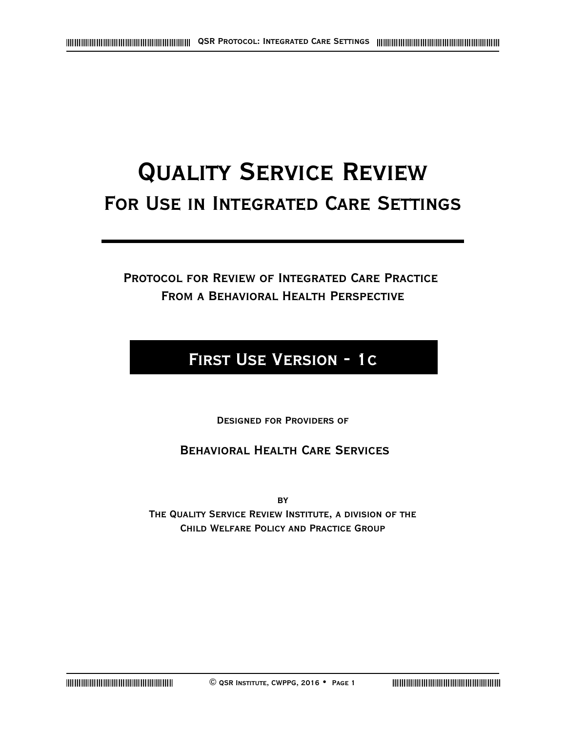# **QUALITY SERVICE REVIEW For Use in Integrated Care Settings**

**Protocol for Review of Integrated Care Practice From a Behavioral Health Perspective**

# **First Use Version - 1c**

**Designed for Providers of**

# **Behavioral Health Care Services**

**by**

**The Quality Service Review Institute, a division of the Child Welfare Policy and Practice Group**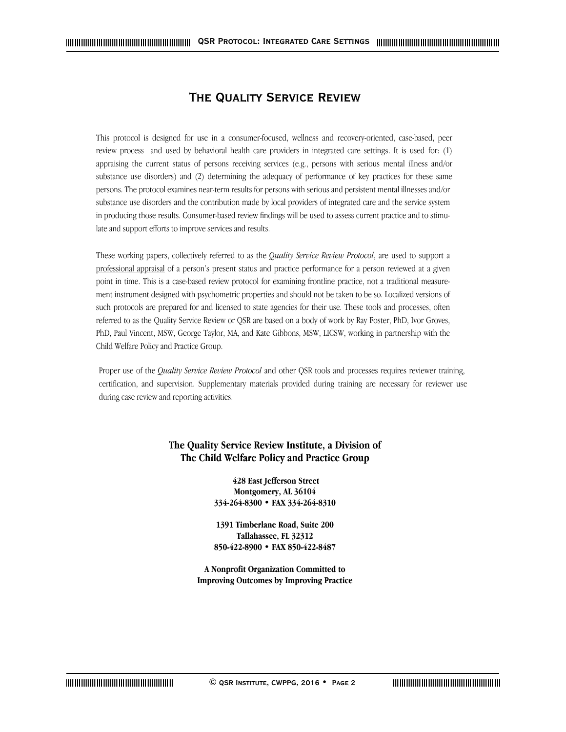# **The Quality Service Review**

This protocol is designed for use in a consumer-focused, wellness and recovery-oriented, case-based, peer review process and used by behavioral health care providers in integrated care settings. It is used for: (1) appraising the current status of persons receiving services (e.g., persons with serious mental illness and/or substance use disorders) and (2) determining the adequacy of performance of key practices for these same persons. The protocol examines near-term results for persons with serious and persistent mental illnesses and/or substance use disorders and the contribution made by local providers of integrated care and the service system in producing those results. Consumer-based review findings will be used to assess current practice and to stimulate and support efforts to improve services and results.

These working papers, collectively referred to as the *Quality Service Review Protocol*, are used to support a professional appraisal of a person's present status and practice performance for a person reviewed at a given point in time. This is a case-based review protocol for examining frontline practice, not a traditional measurement instrument designed with psychometric properties and should not be taken to be so. Localized versions of such protocols are prepared for and licensed to state agencies for their use. These tools and processes, often referred to as the Quality Service Review or QSR are based on a body of work by Ray Foster, PhD, Ivor Groves, PhD, Paul Vincent, MSW, George Taylor, MA, and Kate Gibbons, MSW, LICSW, working in partnership with the Child Welfare Policy and Practice Group.

Proper use of the *Quality Service Review Protocol* and other QSR tools and processes requires reviewer training, certification, and supervision. Supplementary materials provided during training are necessary for reviewer use during case review and reporting activities.

# **The Quality Service Review Institute, a Division of The Child Welfare Policy and Practice Group**

 **428 East Jefferson Street Montgomery, AL 36104 334-264-8300 • FAX 334-264-8310**

**1391 Timberlane Road, Suite 200 Tallahassee, FL 32312 850-422-8900 • FAX 850-422-8487**

**A Nonprofit Organization Committed to Improving Outcomes by Improving Practice**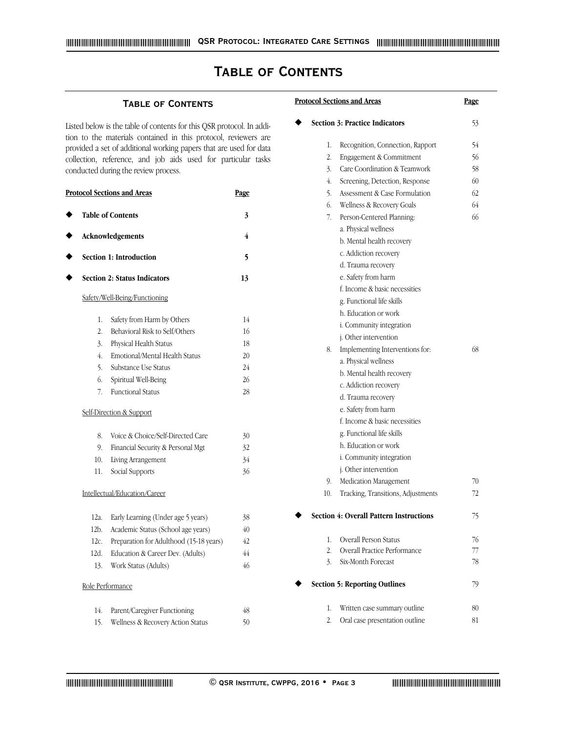# **QSR Protocol: Integrated Care Settings**

# **Table of Contents**

# **Table of Contents**

Listed below is the table of contents for this QSR protocol. In addition to the materials contained in this protocol, reviewers are provided a set of additional working papers that are used for data collection, reference, and job aids used for particular tasks conducted during the review process.

|  |                                                                                                                                                                                                                                                                                                                                                                                                                                                                                                                                                                                                                                                                                                                                                                                                                                                                                                                                                                                            | <b>Page</b> |
|--|--------------------------------------------------------------------------------------------------------------------------------------------------------------------------------------------------------------------------------------------------------------------------------------------------------------------------------------------------------------------------------------------------------------------------------------------------------------------------------------------------------------------------------------------------------------------------------------------------------------------------------------------------------------------------------------------------------------------------------------------------------------------------------------------------------------------------------------------------------------------------------------------------------------------------------------------------------------------------------------------|-------------|
|  |                                                                                                                                                                                                                                                                                                                                                                                                                                                                                                                                                                                                                                                                                                                                                                                                                                                                                                                                                                                            | 3           |
|  |                                                                                                                                                                                                                                                                                                                                                                                                                                                                                                                                                                                                                                                                                                                                                                                                                                                                                                                                                                                            | 4           |
|  |                                                                                                                                                                                                                                                                                                                                                                                                                                                                                                                                                                                                                                                                                                                                                                                                                                                                                                                                                                                            | 5           |
|  |                                                                                                                                                                                                                                                                                                                                                                                                                                                                                                                                                                                                                                                                                                                                                                                                                                                                                                                                                                                            | 13          |
|  | <b>Protocol Sections and Areas</b><br><b>Table of Contents</b><br>Acknowledgements<br>Section 1: Introduction<br><b>Section 2: Status Indicators</b><br>Safety/Well-Being/Functioning<br>Safety from Harm by Others<br>1.<br>$2^{1}$<br>Behavioral Risk to Self/Others<br>3.<br>Physical Health Status<br>4.<br>Emotional/Mental Health Status<br>5.<br>Substance Use Status<br>6.<br>Spiritual Well-Being<br><b>Functional Status</b><br>7.<br>Self-Direction & Support<br>Voice & Choice/Self-Directed Care<br>8.<br>9.<br>Financial Security & Personal Mgt<br>10.<br>Living Arrangement<br>Social Supports<br>11.<br>Intellectual/Education/Career<br>12a.<br>Early Learning (Under age 5 years)<br>$12b$ .<br>Academic Status (School age years)<br>12c.<br>Preparation for Adulthood (15-18 years)<br>12d.<br>Education & Career Dev. (Adults)<br>13.<br>Work Status (Adults)<br>Role Performance<br>14.<br>Parent/Caregiver Functioning<br>Wellness & Recovery Action Status<br>15. |             |
|  |                                                                                                                                                                                                                                                                                                                                                                                                                                                                                                                                                                                                                                                                                                                                                                                                                                                                                                                                                                                            | 14          |
|  |                                                                                                                                                                                                                                                                                                                                                                                                                                                                                                                                                                                                                                                                                                                                                                                                                                                                                                                                                                                            | 16          |
|  |                                                                                                                                                                                                                                                                                                                                                                                                                                                                                                                                                                                                                                                                                                                                                                                                                                                                                                                                                                                            | 18          |
|  |                                                                                                                                                                                                                                                                                                                                                                                                                                                                                                                                                                                                                                                                                                                                                                                                                                                                                                                                                                                            | 20          |
|  |                                                                                                                                                                                                                                                                                                                                                                                                                                                                                                                                                                                                                                                                                                                                                                                                                                                                                                                                                                                            | 24          |
|  |                                                                                                                                                                                                                                                                                                                                                                                                                                                                                                                                                                                                                                                                                                                                                                                                                                                                                                                                                                                            | 26          |
|  |                                                                                                                                                                                                                                                                                                                                                                                                                                                                                                                                                                                                                                                                                                                                                                                                                                                                                                                                                                                            | 28          |
|  |                                                                                                                                                                                                                                                                                                                                                                                                                                                                                                                                                                                                                                                                                                                                                                                                                                                                                                                                                                                            |             |
|  |                                                                                                                                                                                                                                                                                                                                                                                                                                                                                                                                                                                                                                                                                                                                                                                                                                                                                                                                                                                            | 30          |
|  |                                                                                                                                                                                                                                                                                                                                                                                                                                                                                                                                                                                                                                                                                                                                                                                                                                                                                                                                                                                            | 32          |
|  |                                                                                                                                                                                                                                                                                                                                                                                                                                                                                                                                                                                                                                                                                                                                                                                                                                                                                                                                                                                            | 34          |
|  |                                                                                                                                                                                                                                                                                                                                                                                                                                                                                                                                                                                                                                                                                                                                                                                                                                                                                                                                                                                            | 36          |
|  |                                                                                                                                                                                                                                                                                                                                                                                                                                                                                                                                                                                                                                                                                                                                                                                                                                                                                                                                                                                            |             |
|  |                                                                                                                                                                                                                                                                                                                                                                                                                                                                                                                                                                                                                                                                                                                                                                                                                                                                                                                                                                                            | 38          |
|  |                                                                                                                                                                                                                                                                                                                                                                                                                                                                                                                                                                                                                                                                                                                                                                                                                                                                                                                                                                                            | 40          |
|  |                                                                                                                                                                                                                                                                                                                                                                                                                                                                                                                                                                                                                                                                                                                                                                                                                                                                                                                                                                                            | 42          |
|  |                                                                                                                                                                                                                                                                                                                                                                                                                                                                                                                                                                                                                                                                                                                                                                                                                                                                                                                                                                                            | 44          |
|  |                                                                                                                                                                                                                                                                                                                                                                                                                                                                                                                                                                                                                                                                                                                                                                                                                                                                                                                                                                                            | 46          |
|  |                                                                                                                                                                                                                                                                                                                                                                                                                                                                                                                                                                                                                                                                                                                                                                                                                                                                                                                                                                                            |             |
|  |                                                                                                                                                                                                                                                                                                                                                                                                                                                                                                                                                                                                                                                                                                                                                                                                                                                                                                                                                                                            | 48          |
|  |                                                                                                                                                                                                                                                                                                                                                                                                                                                                                                                                                                                                                                                                                                                                                                                                                                                                                                                                                                                            | 50          |
|  |                                                                                                                                                                                                                                                                                                                                                                                                                                                                                                                                                                                                                                                                                                                                                                                                                                                                                                                                                                                            |             |

| <b>Protocol Sections and Areas</b> |                                                | <b>Page</b> |  |
|------------------------------------|------------------------------------------------|-------------|--|
|                                    | <b>Section 3: Practice Indicators</b>          | 53          |  |
| 1.                                 | Recognition, Connection, Rapport               | 54          |  |
| 2.                                 | Engagement & Commitment                        | 56          |  |
| 3.                                 | Care Coordination & Teamwork                   | 58          |  |
| 4.                                 | Screening, Detection, Response                 | 60          |  |
| 5.                                 | Assessment & Case Formulation                  | 62          |  |
| 6.                                 | Wellness & Recovery Goals                      | 64          |  |
| 7.                                 | Person-Centered Planning:                      | 66          |  |
|                                    | a. Physical wellness                           |             |  |
|                                    | b. Mental health recovery                      |             |  |
|                                    | c. Addiction recovery                          |             |  |
|                                    | d. Trauma recovery                             |             |  |
|                                    | e. Safety from harm                            |             |  |
|                                    | f. Income & basic necessities                  |             |  |
|                                    | g. Functional life skills                      |             |  |
|                                    | h. Education or work                           |             |  |
|                                    | i. Community integration                       |             |  |
|                                    | j. Other intervention                          |             |  |
| 8.                                 | Implementing Interventions for:                | 68          |  |
|                                    | a. Physical wellness                           |             |  |
|                                    | b. Mental health recovery                      |             |  |
|                                    | c. Addiction recovery                          |             |  |
|                                    | d. Trauma recovery                             |             |  |
|                                    | e. Safety from harm                            |             |  |
|                                    | f. Income & basic necessities                  |             |  |
|                                    | g. Functional life skills                      |             |  |
|                                    | h. Education or work                           |             |  |
|                                    | i. Community integration                       |             |  |
|                                    | <i>i</i> . Other intervention                  |             |  |
| 9.                                 | Medication Management                          | 70          |  |
| 10.                                | Tracking, Transitions, Adjustments             | 72          |  |
|                                    | <b>Section 4: Overall Pattern Instructions</b> | 75          |  |
| 1.                                 | Overall Person Status                          | 76          |  |
| 2.                                 | Overall Practice Performance                   | 77          |  |
| 3.                                 | Six-Month Forecast                             | 78          |  |
|                                    | <b>Section 5: Reporting Outlines</b>           | 79          |  |
| 1.                                 | Written case summary outline                   | 80          |  |
| 2.                                 | Oral case presentation outline                 | 81          |  |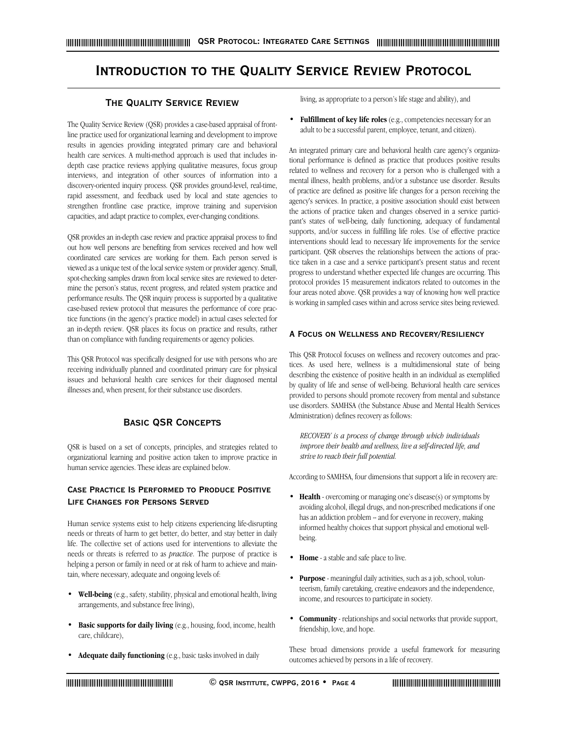# **The Quality Service Review**

The Quality Service Review (QSR) provides a case-based appraisal of frontline practice used for organizational learning and development to improve results in agencies providing integrated primary care and behavioral health care services. A multi-method approach is used that includes indepth case practice reviews applying qualitative measures, focus group interviews, and integration of other sources of information into a discovery-oriented inquiry process. QSR provides ground-level, real-time, rapid assessment, and feedback used by local and state agencies to strengthen frontline case practice, improve training and supervision capacities, and adapt practice to complex, ever-changing conditions.

QSR provides an in-depth case review and practice appraisal process to find out how well persons are benefiting from services received and how well coordinated care services are working for them. Each person served is viewed as a unique test of the local service system or provider agency. Small, spot-checking samples drawn from local service sites are reviewed to determine the person's status, recent progress, and related system practice and performance results. The QSR inquiry process is supported by a qualitative case-based review protocol that measures the performance of core practice functions (in the agency's practice model) in actual cases selected for an in-depth review. QSR places its focus on practice and results, rather than on compliance with funding requirements or agency policies.

This QSR Protocol was specifically designed for use with persons who are receiving individually planned and coordinated primary care for physical issues and behavioral health care services for their diagnosed mental illnesses and, when present, for their substance use disorders.

# **Basic QSR Concepts**

QSR is based on a set of concepts, principles, and strategies related to organizational learning and positive action taken to improve practice in human service agencies. These ideas are explained below.

# **Case Practice Is Performed to Produce Positive Life Changes for Persons Served**

Human service systems exist to help citizens experiencing life-disrupting needs or threats of harm to get better, do better, and stay better in daily life. The collective set of actions used for interventions to alleviate the needs or threats is referred to as *practice*. The purpose of practice is helping a person or family in need or at risk of harm to achieve and maintain, where necessary, adequate and ongoing levels of:

- **Well-being** (e.g., safety, stability, physical and emotional health, living arrangements, and substance free living),
- **Basic supports for daily living** (e.g., housing, food, income, health care, childcare),
- **Adequate daily functioning** (e.g., basic tasks involved in daily

living, as appropriate to a person's life stage and ability), and

• **Fulfillment of key life roles** (e.g., competencies necessary for an adult to be a successful parent, employee, tenant, and citizen).

An integrated primary care and behavioral health care agency's organizational performance is defined as practice that produces positive results related to wellness and recovery for a person who is challenged with a mental illness, health problems, and/or a substance use disorder. Results of practice are defined as positive life changes for a person receiving the agency's services. In practice, a positive association should exist between the actions of practice taken and changes observed in a service participant's states of well-being, daily functioning, adequacy of fundamental supports, and/or success in fulfilling life roles. Use of effective practice interventions should lead to necessary life improvements for the service participant. QSR observes the relationships between the actions of practice taken in a case and a service participant's present status and recent progress to understand whether expected life changes are occurring. This protocol provides 15 measurement indicators related to outcomes in the four areas noted above. QSR provides a way of knowing how well practice is working in sampled cases within and across service sites being reviewed.

#### **A Focus on Wellness and Recovery/Resiliency**

This QSR Protocol focuses on wellness and recovery outcomes and practices. As used here, wellness is a multidimensional state of being describing the existence of positive health in an individual as exemplified by quality of life and sense of well-being. Behavioral health care services provided to persons should promote recovery from mental and substance use disorders. SAMHSA (the Substance Abuse and Mental Health Services Administration) defines recovery as follows:

*RECOVERY is a process of change through which individuals improve their health and wellness, live a self-directed life, and strive to reach their full potential.*

According to SAMHSA, four dimensions that support a life in recovery are:

- **Health** overcoming or managing one's disease(s) or symptoms by avoiding alcohol, illegal drugs, and non-prescribed medications if one has an addiction problem -- and for everyone in recovery, making informed healthy choices that support physical and emotional wellbeing.
- **Home** a stable and safe place to live.
- **Purpose** meaningful daily activities, such as a job, school, volunteerism, family caretaking, creative endeavors and the independence, income, and resources to participate in society.
- **Community** relationships and social networks that provide support, friendship, love, and hope.

These broad dimensions provide a useful framework for measuring outcomes achieved by persons in a life of recovery.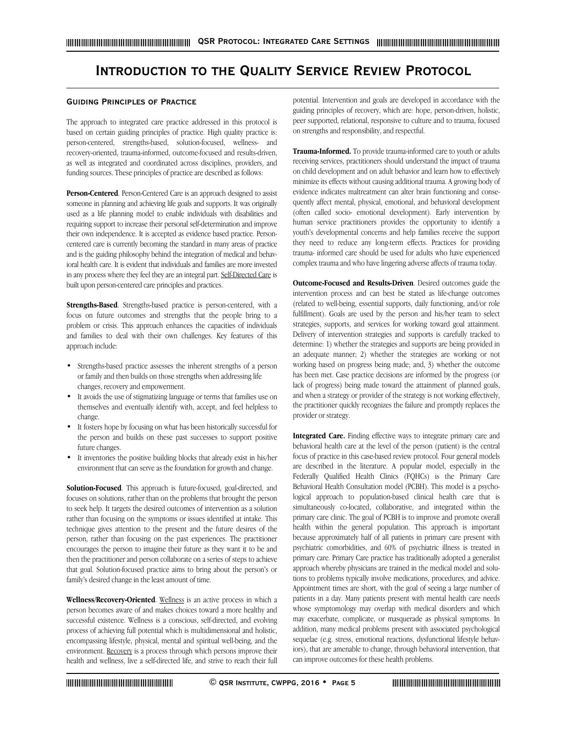#### **Guiding Principles of Practice**

The approach to integrated care practice addressed in this protocol is based on certain guiding principles of practice. High quality practice is: person-centered, strengths-based, solution-focused, wellness- and recovery-oriented, trauma-informed, outcome-focused and results-driven, as well as integrated and coordinated across disciplines, providers, and funding sources. These principles of practice are described as follows:

**Person-Centered**. Person-Centered Care is an approach designed to assist someone in planning and achieving life goals and supports. It was originally used as a life planning model to enable individuals with disabilities and requiring support to increase their personal self-determination and improve their own independence. It is accepted as evidence based practice. Personcentered care is currently becoming the standard in many areas of practice and is the guiding philosophy behind the integration of medical and behavioral health care. It is evident that individuals and families are more invested in any process where they feel they are an integral part. Self-Directed Care is built upon person-centered care principles and practices.

**Strengths-Based**. Strengths-based practice is person-centered, with a focus on future outcomes and strengths that the people bring to a problem or crisis. This approach enhances the capacities of individuals and families to deal with their own challenges. Key features of this approach include:

- Strengths-based practice assesses the inherent strengths of a person or family and then builds on those strengths when addressing life changes, recovery and empowerment.
- It avoids the use of stigmatizing language or terms that families use on themselves and eventually identify with, accept, and feel helpless to change.
- It fosters hope by focusing on what has been historically successful for the person and builds on these past successes to support positive future changes.
- It inventories the positive building blocks that already exist in his/her environment that can serve as the foundation for growth and change.

**Solution-Focused**. This approach is future-focused, goal-directed, and focuses on solutions, rather than on the problems that brought the person to seek help. It targets the desired outcomes of intervention as a solution rather than focusing on the symptoms or issues identified at intake. This technique gives attention to the present and the future desires of the person, rather than focusing on the past experiences. The practitioner encourages the person to imagine their future as they want it to be and then the practitioner and person collaborate on a series of steps to achieve that goal. Solution-focused practice aims to bring about the person's or family's desired change in the least amount of time.

**Wellness/Recovery-Oriented**. Wellness is an active process in which a person becomes aware of and makes choices toward a more healthy and successful existence. Wellness is a conscious, self-directed, and evolving process of achieving full potential which is multidimensional and holistic, encompassing lifestyle, physical, mental and spiritual well-being, and the environment. Recovery is a process through which persons improve their health and wellness, live a self-directed life, and strive to reach their full

potential. Intervention and goals are developed in accordance with the guiding principles of recovery, which are: hope, person-driven, holistic, peer supported, relational, responsive to culture and to trauma, focused on strengths and responsibility, and respectful.

**Trauma-Informed.** To provide trauma-informed care to youth or adults receiving services, practitioners should understand the impact of trauma on child development and on adult behavior and learn how to effectively minimize its effects without causing additional trauma. A growing body of evidence indicates maltreatment can alter brain functioning and consequently affect mental, physical, emotional, and behavioral development (often called socio- emotional development). Early intervention by human service practitioners provides the opportunity to identify a youth's developmental concerns and help families receive the support they need to reduce any long-term effects. Practices for providing trauma- informed care should be used for adults who have experienced complex trauma and who have lingering adverse affects of trauma today.

**Outcome-Focused and Results-Driven**. Desired outcomes guide the intervention process and can best be stated as life-change outcomes (related to well-being, essential supports, daily functioning, and/or role fulfillment). Goals are used by the person and his/her team to select strategies, supports, and services for working toward goal attainment. Delivery of intervention strategies and supports is carefully tracked to determine: 1) whether the strategies and supports are being provided in an adequate manner; 2) whether the strategies are working or not working based on progress being made; and, 3) whether the outcome has been met. Case practice decisions are informed by the progress (or lack of progress) being made toward the attainment of planned goals, and when a strategy or provider of the strategy is not working effectively, the practitioner quickly recognizes the failure and promptly replaces the provider or strategy.

**Integrated Care.** Finding effective ways to integrate primary care and behavioral health care at the level of the person (patient) is the central focus of practice in this case-based review protocol. Four general models are described in the literature. A popular model, especially in the Federally Qualified Health Clinics (FQHCs) is the Primary Care Behavioral Health Consultation model (PCBH). This model is a psychological approach to population-based clinical health care that is simultaneously co-located, collaborative, and integrated within the primary care clinic. The goal of PCBH is to improve and promote overall health within the general population. This approach is important because approximately half of all patients in primary care present with psychiatric comorbidities, and 60% of psychiatric illness is treated in primary care. Primary Care practice has traditionally adopted a generalist approach whereby physicians are trained in the medical model and solutions to problems typically involve medications, procedures, and advice. Appointment times are short, with the goal of seeing a large number of patients in a day. Many patients present with mental health care needs whose symptomology may overlap with medical disorders and which may exacerbate, complicate, or masquerade as physical symptoms. In addition, many medical problems present with associated psychological sequelae (e.g. stress, emotional reactions, dysfunctional lifestyle behaviors), that are amenable to change, through behavioral intervention, that can improve outcomes for these health problems.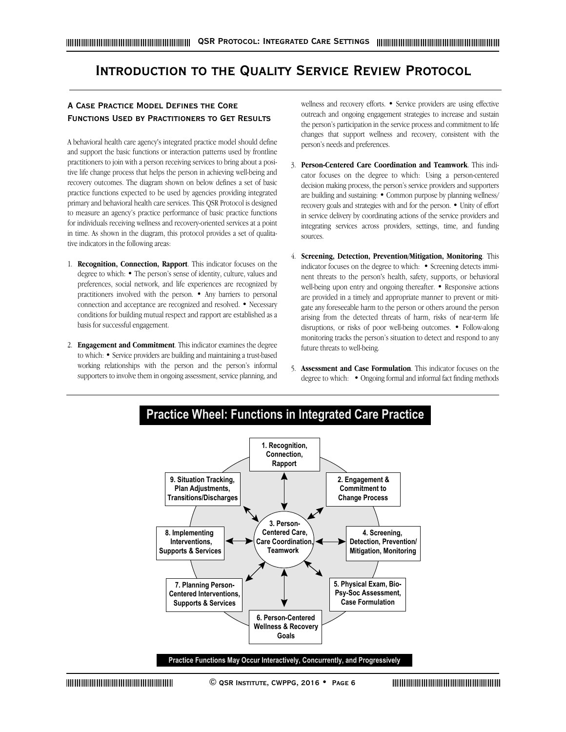# **A Case Practice Model Defines the Core Functions Used by Practitioners to Get Results**

A behavioral health care agency's integrated practice model should define and support the basic functions or interaction patterns used by frontline practitioners to join with a person receiving services to bring about a positive life change process that helps the person in achieving well-being and recovery outcomes. The diagram shown on below defines a set of basic practice functions expected to be used by agencies providing integrated primary and behavioral health care services. This QSR Protocol is designed to measure an agency's practice performance of basic practice functions for individuals receiving wellness and recovery-oriented services at a point in time. As shown in the diagram, this protocol provides a set of qualitative indicators in the following areas:

- 1. **Recognition, Connection, Rapport**. This indicator focuses on the degree to which: • The person's sense of identity, culture, values and preferences, social network, and life experiences are recognized by practitioners involved with the person. • Any barriers to personal connection and acceptance are recognized and resolved. • Necessary conditions for building mutual respect and rapport are established as a basis for successful engagement.
- 2. **Engagement and Commitment**. This indicator examines the degree to which: • Service providers are building and maintaining a trust-based working relationships with the person and the person's informal supporters to involve them in ongoing assessment, service planning, and

wellness and recovery efforts. • Service providers are using effective outreach and ongoing engagement strategies to increase and sustain the person's participation in the service process and commitment to life changes that support wellness and recovery, consistent with the person's needs and preferences.

- 3. **Person-Centered Care Coordination and Teamwork**. This indicator focuses on the degree to which: Using a person-centered decision making process, the person's service providers and supporters are building and sustaining: • Common purpose by planning wellness/ recovery goals and strategies with and for the person. • Unity of effort in service delivery by coordinating actions of the service providers and integrating services across providers, settings, time, and funding sources.
- 4. **Screening, Detection, Prevention/Mitigation, Monitoring**. This indicator focuses on the degree to which: • Screening detects imminent threats to the person's health, safety, supports, or behavioral well-being upon entry and ongoing thereafter. • Responsive actions are provided in a timely and appropriate manner to prevent or mitigate any foreseeable harm to the person or others around the person arising from the detected threats of harm, risks of near-term life disruptions, or risks of poor well-being outcomes. • Follow-along monitoring tracks the person's situation to detect and respond to any future threats to well-being.
- 5. **Assessment and Case Formulation**. This indicator focuses on the degree to which: • Ongoing formal and informal fact finding methods

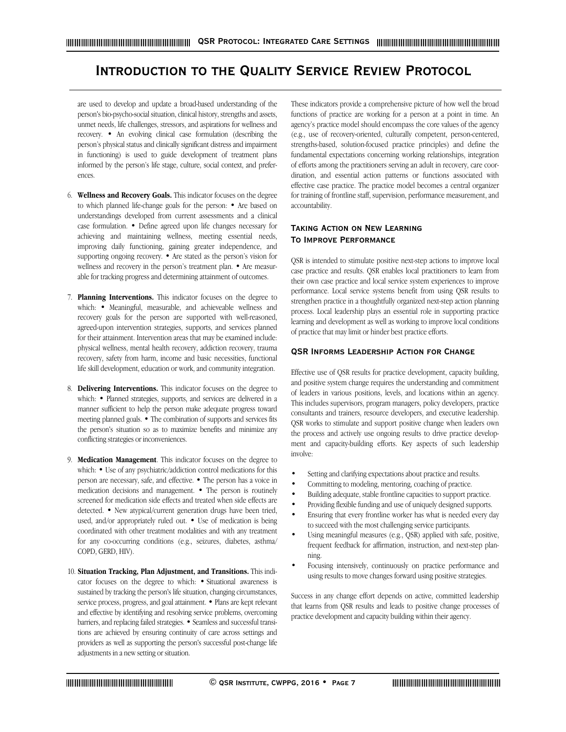are used to develop and update a broad-based understanding of the person's bio-psycho-social situation, clinical history, strengths and assets, unmet needs, life challenges, stressors, and aspirations for wellness and recovery. • An evolving clinical case formulation (describing the person's physical status and clinically significant distress and impairment in functioning) is used to guide development of treatment plans informed by the person's life stage, culture, social context, and preferences.

- 6. **Wellness and Recovery Goals.** This indicator focuses on the degree to which planned life-change goals for the person: • Are based on understandings developed from current assessments and a clinical case formulation. • Define agreed upon life changes necessary for achieving and maintaining wellness, meeting essential needs, improving daily functioning, gaining greater independence, and supporting ongoing recovery. • Are stated as the person's vision for wellness and recovery in the person's treatment plan. • Are measurable for tracking progress and determining attainment of outcomes.
- 7. **Planning Interventions.** This indicator focuses on the degree to which: • Meaningful, measurable, and achieveable wellness and recovery goals for the person are supported with well-reasoned, agreed-upon intervention strategies, supports, and services planned for their attainment. Intervention areas that may be examined include: physical wellness, mental health recovery, addiction recovery, trauma recovery, safety from harm, income and basic necessities, functional life skill development, education or work, and community integration.
- 8. **Delivering Interventions.** This indicator focuses on the degree to which: • Planned strategies, supports, and services are delivered in a manner sufficient to help the person make adequate progress toward meeting planned goals. • The combination of supports and services fits the person's situation so as to maximize benefits and minimize any conflicting strategies or inconveniences.
- 9. **Medication Management**. This indicator focuses on the degree to which: • Use of any psychiatric/addiction control medications for this person are necessary, safe, and effective. • The person has a voice in medication decisions and management. • The person is routinely screened for medication side effects and treated when side effects are detected. • New atypical/current generation drugs have been tried, used, and/or appropriately ruled out. • Use of medication is being coordinated with other treatment modalities and with any treatment for any co-occurring conditions (e.g., seizures, diabetes, asthma/ COPD, GERD, HIV).
- 10. **Situation Tracking, Plan Adjustment, and Transitions.** This indicator focuses on the degree to which: • Situational awareness is sustained by tracking the person's life situation, changing circumstances, service process, progress, and goal attainment. • Plans are kept relevant and effective by identifying and resolving service problems, overcoming barriers, and replacing failed strategies. • Seamless and successful transitions are achieved by ensuring continuity of care across settings and providers as well as supporting the person's successful post-change life adjustments in a new setting or situation.

These indicators provide a comprehensive picture of how well the broad functions of practice are working for a person at a point in time. An agency's practice model should encompass the core values of the agency (e.g., use of recovery-oriented, culturally competent, person-centered, strengths-based, solution-focused practice principles) and define the fundamental expectations concerning working relationships, integration of efforts among the practitioners serving an adult in recovery, care coordination, and essential action patterns or functions associated with effective case practice. The practice model becomes a central organizer for training of frontline staff, supervision, performance measurement, and accountability.

# **Taking Action on New Learning To Improve Performance**

QSR is intended to stimulate positive next-step actions to improve local case practice and results. QSR enables local practitioners to learn from their own case practice and local service system experiences to improve performance. Local service systems benefit from using QSR results to strengthen practice in a thoughtfully organized next-step action planning process. Local leadership plays an essential role in supporting practice learning and development as well as working to improve local conditions of practice that may limit or hinder best practice efforts.

# **QSR Informs Leadership Action for Change**

Effective use of QSR results for practice development, capacity building, and positive system change requires the understanding and commitment of leaders in various positions, levels, and locations within an agency. This includes supervisors, program managers, policy developers, practice consultants and trainers, resource developers, and executive leadership. QSR works to stimulate and support positive change when leaders own the process and actively use ongoing results to drive practice development and capacity-building efforts. Key aspects of such leadership involve:

- Setting and clarifying expectations about practice and results.
- Committing to modeling, mentoring, coaching of practice.
- Building adequate, stable frontline capacities to support practice.
- Providing flexible funding and use of uniquely designed supports.
- Ensuring that every frontline worker has what is needed every day to succeed with the most challenging service participants.
- Using meaningful measures (e.g., QSR) applied with safe, positive, frequent feedback for affirmation, instruction, and next-step planning.
- Focusing intensively, continuously on practice performance and using results to move changes forward using positive strategies.

Success in any change effort depends on active, committed leadership that learns from QSR results and leads to positive change processes of practice development and capacity building within their agency.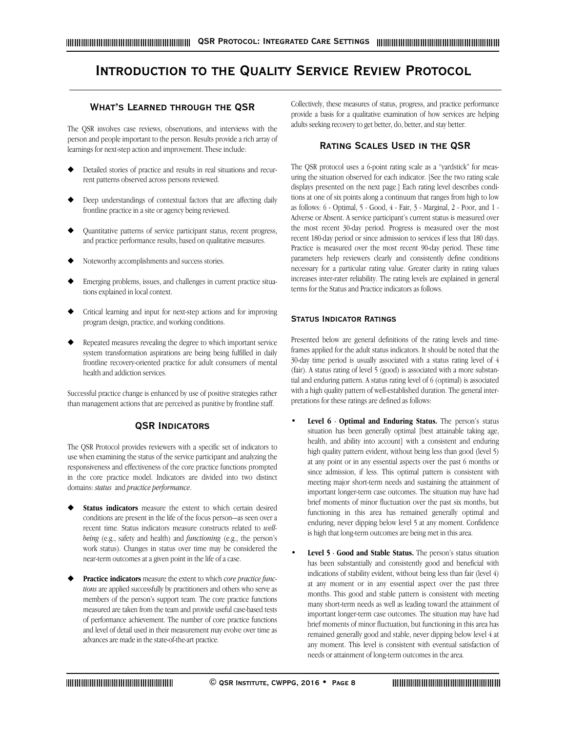# **What's Learned through the QSR**

The QSR involves case reviews, observations, and interviews with the person and people important to the person. Results provide a rich array of learnings for next-step action and improvement. These include:

- ◆ Detailed stories of practice and results in real situations and recurrent patterns observed across persons reviewed.
- ◆ Deep understandings of contextual factors that are affecting daily frontline practice in a site or agency being reviewed.
- Quantitative patterns of service participant status, recent progress, and practice performance results, based on qualitative measures.
- Noteworthy accomplishments and success stories.
- Emerging problems, issues, and challenges in current practice situations explained in local context.
- ◆ Critical learning and input for next-step actions and for improving program design, practice, and working conditions.
- ◆ Repeated measures revealing the degree to which important service system transformation aspirations are being being fulfilled in daily frontline recovery-oriented practice for adult consumers of mental health and addiction services.

Successful practice change is enhanced by use of positive strategies rather than management actions that are perceived as punitive by frontline staff.

# **QSR Indicators**

The QSR Protocol provides reviewers with a specific set of indicators to use when examining the status of the service participant and analyzing the responsiveness and effectiveness of the core practice functions prompted in the core practice model. Indicators are divided into two distinct domains: *status* and *practice performance*.

- **Status indicators** measure the extent to which certain desired conditions are present in the life of the focus person—as seen over a recent time. Status indicators measure constructs related to *wellbeing* (e.g., safety and health) and *functioning* (e.g., the person's work status). Changes in status over time may be considered the near-term outcomes at a given point in the life of a case.
- Practice indicators measure the extent to which *core practice functions* are applied successfully by practitioners and others who serve as members of the person's support team. The core practice functions measured are taken from the team and provide useful case-based tests of performance achievement. The number of core practice functions and level of detail used in their measurement may evolve over time as advances are made in the state-of-the-art practice.

Collectively, these measures of status, progress, and practice performance provide a basis for a qualitative examination of how services are helping adults seeking recovery to get better, do, better, and stay better.

# **Rating Scales Used in the QSR**

The QSR protocol uses a 6-point rating scale as a "yardstick" for measuring the situation observed for each indicator. [See the two rating scale displays presented on the next page.] Each rating level describes conditions at one of six points along a continuum that ranges from high to low as follows: 6 - Optimal, 5 - Good, 4 - Fair, 3 - Marginal, 2 - Poor, and 1 - Adverse or Absent. A service participant's current status is measured over the most recent 30-day period. Progress is measured over the most recent 180-day period or since admission to services if less that 180 days. Practice is measured over the most recent 90-day period. These time parameters help reviewers clearly and consistently define conditions necessary for a particular rating value. Greater clarity in rating values increases inter-rater reliability. The rating levels are explained in general terms for the Status and Practice indicators as follows.

# **Status Indicator Ratings**

Presented below are general definitions of the rating levels and timeframes applied for the adult status indicators. It should be noted that the 30-day time period is usually associated with a status rating level of 4 (fair). A status rating of level 5 (good) is associated with a more substantial and enduring pattern. A status rating level of 6 (optimal) is associated with a high quality pattern of well-established duration. The general interpretations for these ratings are defined as follows:

- **Level 6 Optimal and Enduring Status.** The person's status situation has been generally optimal [best attainable taking age, health, and ability into account] with a consistent and enduring high quality pattern evident, without being less than good (level 5) at any point or in any essential aspects over the past 6 months or since admission, if less. This optimal pattern is consistent with meeting major short-term needs and sustaining the attainment of important longer-term case outcomes. The situation may have had brief moments of minor fluctuation over the past six months, but functioning in this area has remained generally optimal and enduring, never dipping below level 5 at any moment. Confidence is high that long-term outcomes are being met in this area.
- **Level 5** - **Good and Stable Status.** The person's status situation has been substantially and consistently good and beneficial with indications of stability evident, without being less than fair (level 4) at any moment or in any essential aspect over the past three months. This good and stable pattern is consistent with meeting many short-term needs as well as leading toward the attainment of important longer-term case outcomes. The situation may have had brief moments of minor fluctuation, but functioning in this area has remained generally good and stable, never dipping below level 4 at any moment. This level is consistent with eventual satisfaction of needs or attainment of long-term outcomes in the area.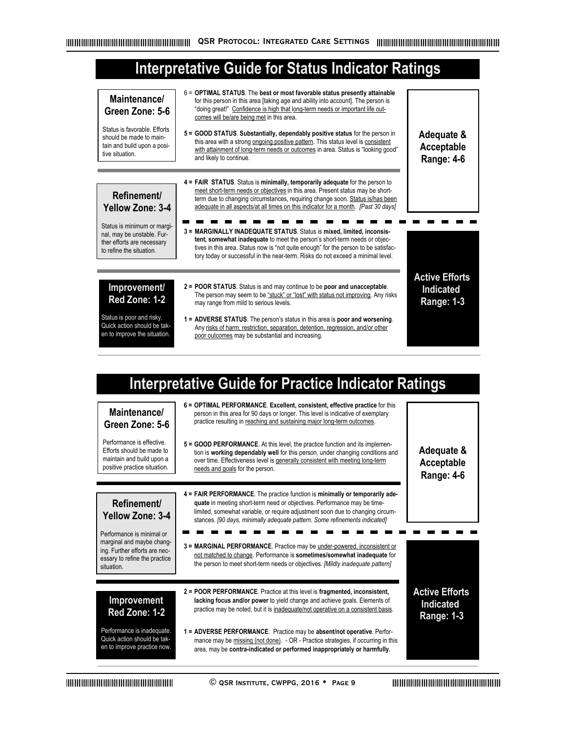# **Interpretative Guide for Status Indicator Ratings**

| Maintenance/<br>Green Zone: 5-6<br>Status is favorable Ffforts<br>should be made to main-<br>tain and build upon a posi-<br>tive situation.                   | 6 = OPTIMAL STATUS. The best or most favorable status presently attainable<br>for this person in this area [taking age and ability into account]. The person is<br>"doing great!" Confidence is high that long-term needs or important life out-<br>comes will be/are being met in this area.<br>5 = GOOD STATUS. Substantially, dependably positive status for the person in<br>this area with a strong ongoing positive pattern. This status level is consistent<br>with attainment of long-term needs or outcomes in area. Status is "looking good"<br>and likely to continue.                                                                                     | Adequate &<br>Acceptable<br><b>Range: 4-6</b>                  |
|---------------------------------------------------------------------------------------------------------------------------------------------------------------|-----------------------------------------------------------------------------------------------------------------------------------------------------------------------------------------------------------------------------------------------------------------------------------------------------------------------------------------------------------------------------------------------------------------------------------------------------------------------------------------------------------------------------------------------------------------------------------------------------------------------------------------------------------------------|----------------------------------------------------------------|
| Refinement/<br><b>Yellow Zone: 3-4</b><br>Status is minimum or margi-<br>nal, may be unstable. Fur-<br>ther efforts are necessary<br>to refine the situation. | 4 = FAIR STATUS. Status is minimally, temporarily adequate for the person to<br>meet short-term needs or objectives in this area. Present status may be short-<br>term due to changing circumstances, requiring change soon. Status is/has been<br>adequate in all aspects/at all times on this indicator for a month. [Past 30 days]<br>3 = MARGINALLY INADEQUATE STATUS. Status is mixed. limited. inconsis-<br>tent, somewhat inadequate to meet the person's short-term needs or objec-<br>tives in this area. Status now is "not quite enough" for the person to be satisfac-<br>tory today or successful in the near-term. Risks do not exceed a minimal level. |                                                                |
| Improvement/<br>Red Zone: 1-2<br>Status is poor and risky.<br>Quick action should be tak-<br>en to improve the situation.                                     | 2 = POOR STATUS. Status is and may continue to be poor and unacceptable.<br>The person may seem to be "stuck" or "lost" with status not improving. Any risks<br>may range from mild to serious levels.<br>1 = ADVERSE STATUS. The person's status in this area is poor and worsening.<br>Any risks of harm, restriction, separation, detention, regression, and/or other<br>poor outcomes may be substantial and increasing.                                                                                                                                                                                                                                          | <b>Active Efforts</b><br><b>Indicated</b><br><b>Range: 1-3</b> |

# **Interpretative Guide for Practice Indicator Ratings**

| Maintenance/<br>Green Zone: 5-6<br>Performance is effective<br>Efforts should be made to<br>maintain and build upon a<br>positive practice situation.                            | 6 = OPTIMAL PERFORMANCE. Excellent, consistent, effective practice for this<br>person in this area for 90 days or longer. This level is indicative of exemplary<br>practice resulting in reaching and sustaining major long-term outcomes.<br>5 = GOOD PERFORMANCE. At this level, the practice function and its implemen-<br>tion is working dependably well for this person, under changing conditions and<br>over time. Effectiveness level is generally consistent with meeting long-term<br>needs and goals for the person.                                  | Adequate &<br>Acceptable<br>Range: 4-6                         |
|----------------------------------------------------------------------------------------------------------------------------------------------------------------------------------|-------------------------------------------------------------------------------------------------------------------------------------------------------------------------------------------------------------------------------------------------------------------------------------------------------------------------------------------------------------------------------------------------------------------------------------------------------------------------------------------------------------------------------------------------------------------|----------------------------------------------------------------|
| Refinement/<br><b>Yellow Zone: 3-4</b><br>Performance is minimal or<br>marginal and maybe chang-<br>ing. Further efforts are nec-<br>essary to refine the practice<br>situation. | 4 = FAIR PERFORMANCE. The practice function is minimally or temporarily ade-<br>quate in meeting short-term need or objectives. Performance may be time-<br>limited, somewhat variable, or require adjustment soon due to changing circum-<br>stances. [90 days, minimally adequate pattern. Some refinements indicated]<br>3 = MARGINAL PERFORMANCE. Practice may be under-powered, inconsistent or<br>not matched to change. Performance is sometimes/somewhat inadequate for<br>the person to meet short-term needs or objectives. [Mildly inadequate pattern] |                                                                |
| <b>Improvement</b><br>Red Zone: 1-2<br>Performance is inadequate.<br>Quick action should be tak-<br>en to improve practice now.                                                  | 2 = POOR PERFORMANCE. Practice at this level is fragmented, inconsistent,<br>lacking focus and/or power to yield change and achieve goals. Elements of<br>practice may be noted, but it is inadequate/not operative on a consistent basis.<br>1 = ADVERSE PERFORMANCE. Practice may be absent/not operative. Perfor-<br>mance may be missing (not done). - OR - Practice strategies, if occurring in this<br>area, may be contra-indicated or performed inappropriately or harmfully.                                                                             | <b>Active Efforts</b><br><b>Indicated</b><br><b>Range: 1-3</b> |

**© QSR Institute, CWPPG, 2016 • Page 9**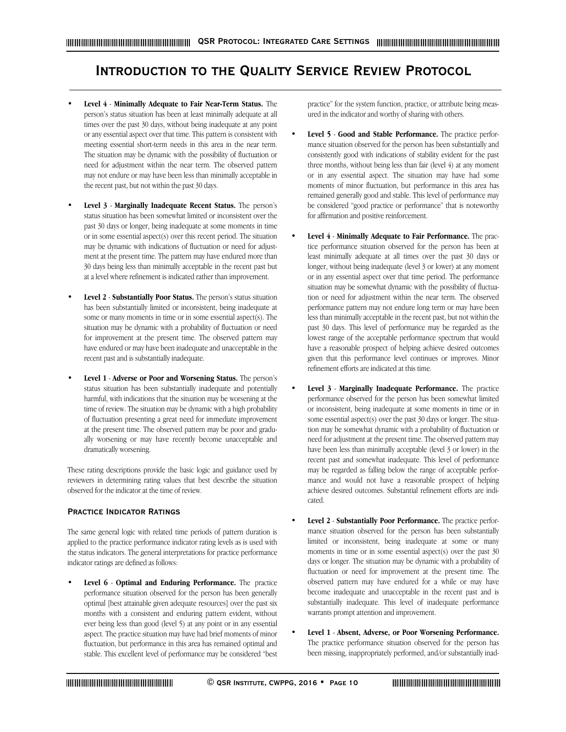# **INTRODUCTION TO THE QUALITY SERVICE REVIEW PROTOCOL**

- **Level 4** - **Minimally Adequate to Fair Near-Term Status.** The person's status situation has been at least minimally adequate at all times over the past 30 days, without being inadequate at any point or any essential aspect over that time. This pattern is consistent with meeting essential short-term needs in this area in the near term. The situation may be dynamic with the possibility of fluctuation or need for adjustment within the near term. The observed pattern may not endure or may have been less than minimally acceptable in the recent past, but not within the past 30 days.
- **Level 3 Marginally Inadequate Recent Status.** The person's status situation has been somewhat limited or inconsistent over the past 30 days or longer, being inadequate at some moments in time or in some essential aspect(s) over this recent period. The situation may be dynamic with indications of fluctuation or need for adjustment at the present time. The pattern may have endured more than 30 days being less than minimally acceptable in the recent past but at a level where refinement is indicated rather than improvement.
- **Level 2 Substantially Poor Status.** The person's status situation has been substantially limited or inconsistent, being inadequate at some or many moments in time or in some essential aspect(s). The situation may be dynamic with a probability of fluctuation or need for improvement at the present time. The observed pattern may have endured or may have been inadequate and unacceptable in the recent past and is substantially inadequate.
- **Level 1 Adverse or Poor and Worsening Status.** The person's status situation has been substantially inadequate and potentially harmful, with indications that the situation may be worsening at the time of review. The situation may be dynamic with a high probability of fluctuation presenting a great need for immediate improvement at the present time. The observed pattern may be poor and gradually worsening or may have recently become unacceptable and dramatically worsening.

These rating descriptions provide the basic logic and guidance used by reviewers in determining rating values that best describe the situation observed for the indicator at the time of review.

#### **Practice Indicator Ratings**

The same general logic with related time periods of pattern duration is applied to the practice performance indicator rating levels as is used with the status indicators. The general interpretations for practice performance indicator ratings are defined as follows:

• **Level 6** - **Optimal and Enduring Performance.** The practice performance situation observed for the person has been generally optimal [best attainable given adequate resources] over the past six months with a consistent and enduring pattern evident, without ever being less than good (level 5) at any point or in any essential aspect. The practice situation may have had brief moments of minor fluctuation, but performance in this area has remained optimal and stable. This excellent level of performance may be considered "best

practice" for the system function, practice, or attribute being measured in the indicator and worthy of sharing with others.

- **Level 5 Good and Stable Performance.** The practice performance situation observed for the person has been substantially and consistently good with indications of stability evident for the past three months, without being less than fair (level 4) at any moment or in any essential aspect. The situation may have had some moments of minor fluctuation, but performance in this area has remained generally good and stable. This level of performance may be considered "good practice or performance" that is noteworthy for affirmation and positive reinforcement.
- **Level 4 Minimally Adequate to Fair Performance.** The practice performance situation observed for the person has been at least minimally adequate at all times over the past 30 days or longer, without being inadequate (level 3 or lower) at any moment or in any essential aspect over that time period. The performance situation may be somewhat dynamic with the possibility of fluctuation or need for adjustment within the near term. The observed performance pattern may not endure long term or may have been less than minimally acceptable in the recent past, but not within the past 30 days. This level of performance may be regarded as the lowest range of the acceptable performance spectrum that would have a reasonable prospect of helping achieve desired outcomes given that this performance level continues or improves. Minor refinement efforts are indicated at this time.
- **Level 3 Marginally Inadequate Performance.** The practice performance observed for the person has been somewhat limited or inconsistent, being inadequate at some moments in time or in some essential aspect(s) over the past 30 days or longer. The situation may be somewhat dynamic with a probability of fluctuation or need for adjustment at the present time. The observed pattern may have been less than minimally acceptable (level 3 or lower) in the recent past and somewhat inadequate. This level of performance may be regarded as falling below the range of acceptable performance and would not have a reasonable prospect of helping achieve desired outcomes. Substantial refinement efforts are indicated.
- **Level 2 Substantially Poor Performance.** The practice performance situation observed for the person has been substantially limited or inconsistent, being inadequate at some or many moments in time or in some essential aspect(s) over the past 30 days or longer. The situation may be dynamic with a probability of fluctuation or need for improvement at the present time. The observed pattern may have endured for a while or may have become inadequate and unacceptable in the recent past and is substantially inadequate. This level of inadequate performance warrants prompt attention and improvement.
- **Level 1 Absent, Adverse, or Poor Worsening Performance.** The practice performance situation observed for the person has been missing, inappropriately performed, and/or substantially inad-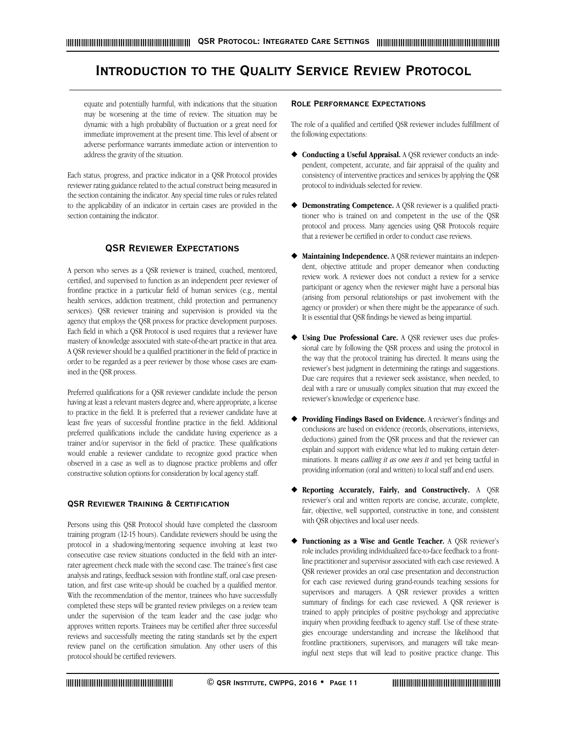# **INTRODUCTION TO THE QUALITY SERVICE REVIEW PROTOCOL**

equate and potentially harmful, with indications that the situation may be worsening at the time of review. The situation may be dynamic with a high probability of fluctuation or a great need for immediate improvement at the present time. This level of absent or adverse performance warrants immediate action or intervention to address the gravity of the situation.

Each status, progress, and practice indicator in a QSR Protocol provides reviewer rating guidance related to the actual construct being measured in the section containing the indicator. Any special time rules or rules related to the applicability of an indicator in certain cases are provided in the section containing the indicator.

# **QSR Reviewer Expectations**

A person who serves as a QSR reviewer is trained, coached, mentored, certified, and supervised to function as an independent peer reviewer of frontline practice in a particular field of human services (e.g., mental health services, addiction treatment, child protection and permanency services). QSR reviewer training and supervision is provided via the agency that employs the QSR process for practice development purposes. Each field in which a QSR Protocol is used requires that a reviewer have mastery of knowledge associated with state-of-the-art practice in that area. A QSR reviewer should be a qualified practitioner in the field of practice in order to be regarded as a peer reviewer by those whose cases are examined in the QSR process.

Preferred qualifications for a QSR reviewer candidate include the person having at least a relevant masters degree and, where appropriate, a license to practice in the field. It is preferred that a reviewer candidate have at least five years of successful frontline practice in the field. Additional preferred qualifications include the candidate having experience as a trainer and/or supervisor in the field of practice. These qualifications would enable a reviewer candidate to recognize good practice when observed in a case as well as to diagnose practice problems and offer constructive solution options for consideration by local agency staff.

# **QSR Reviewer Training & Certification**

Persons using this QSR Protocol should have completed the classroom training program (12-15 hours). Candidate reviewers should be using the protocol in a shadowing/mentoring sequence involving at least two consecutive case review situations conducted in the field with an interrater agreement check made with the second case. The trainee's first case analysis and ratings, feedback session with frontline staff, oral case presentation, and first case write-up should be coached by a qualified mentor. With the recommendation of the mentor, trainees who have successfully completed these steps will be granted review privileges on a review team under the supervision of the team leader and the case judge who approves written reports. Trainees may be certified after three successful reviews and successfully meeting the rating standards set by the expert review panel on the certification simulation. Any other users of this protocol should be certified reviewers.

#### **Role Performance Expectations**

The role of a qualified and certified QSR reviewer includes fulfillment of the following expectations:

- ◆ **Conducting a Useful Appraisal.** A QSR reviewer conducts an independent, competent, accurate, and fair appraisal of the quality and consistency of interventive practices and services by applying the QSR protocol to individuals selected for review.
- ◆ **Demonstrating Competence.** A QSR reviewer is a qualified practitioner who is trained on and competent in the use of the QSR protocol and process. Many agencies using QSR Protocols require that a reviewer be certified in order to conduct case reviews.
- Maintaining Independence. A QSR reviewer maintains an independent, objective attitude and proper demeanor when conducting review work. A reviewer does not conduct a review for a service participant or agency when the reviewer might have a personal bias (arising from personal relationships or past involvement with the agency or provider) or when there might be the appearance of such. It is essential that QSR findings be viewed as being impartial.
- ◆ **Using Due Professional Care.** A QSR reviewer uses due professional care by following the QSR process and using the protocol in the way that the protocol training has directed. It means using the reviewer's best judgment in determining the ratings and suggestions. Due care requires that a reviewer seek assistance, when needed, to deal with a rare or unusually complex situation that may exceed the reviewer's knowledge or experience base.
- ◆ **Providing Findings Based on Evidence.** A reviewer's findings and conclusions are based on evidence (records, observations, interviews, deductions) gained from the QSR process and that the reviewer can explain and support with evidence what led to making certain determinations. It means *calling it as one sees it* and yet being tactful in providing information (oral and written) to local staff and end users.
- **Reporting Accurately, Fairly, and Constructively.** A QSR reviewer's oral and written reports are concise, accurate, complete, fair, objective, well supported, constructive in tone, and consistent with QSR objectives and local user needs.
- ◆ **Functioning as a Wise and Gentle Teacher.** A QSR reviewer's role includes providing individualized face-to-face feedback to a frontline practitioner and supervisor associated with each case reviewed. A QSR reviewer provides an oral case presentation and deconstruction for each case reviewed during grand-rounds teaching sessions for supervisors and managers. A QSR reviewer provides a written summary of findings for each case reviewed. A QSR reviewer is trained to apply principles of positive psychology and appreciative inquiry when providing feedback to agency staff. Use of these strategies encourage understanding and increase the likelihood that frontline practitioners, supervisors, and managers will take meaningful next steps that will lead to positive practice change. This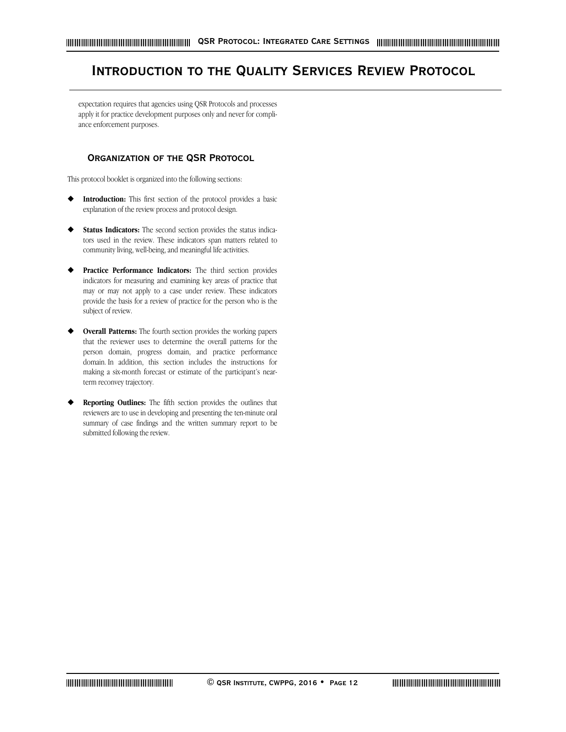# **INTRODUCTION TO THE QUALITY SERVICES REVIEW PROTOCOL**

expectation requires that agencies using QSR Protocols and processes apply it for practice development purposes only and never for compliance enforcement purposes.

# **ORGANIZATION OF THE QSR PROTOCOL**

This protocol booklet is organized into the following sections:

- **Introduction:** This first section of the protocol provides a basic explanation of the review process and protocol design.
- ◆ **Status Indicators:** The second section provides the status indicators used in the review. These indicators span matters related to community living, well-being, and meaningful life activities.
- Practice Performance Indicators: The third section provides indicators for measuring and examining key areas of practice that may or may not apply to a case under review. These indicators provide the basis for a review of practice for the person who is the subject of review.
- **Overall Patterns:** The fourth section provides the working papers that the reviewer uses to determine the overall patterns for the person domain, progress domain, and practice performance domain. In addition, this section includes the instructions for making a six-month forecast or estimate of the participant's nearterm reconvey trajectory.
- **Reporting Outlines:** The fifth section provides the outlines that reviewers are to use in developing and presenting the ten-minute oral summary of case findings and the written summary report to be submitted following the review.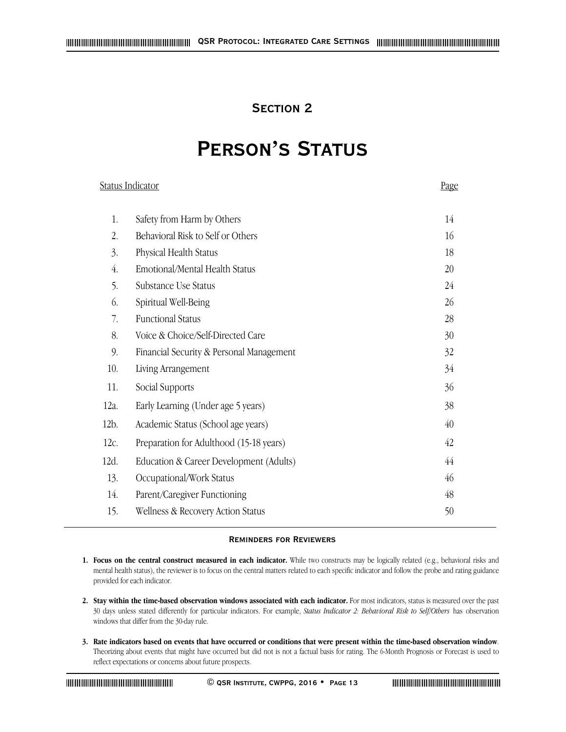# **Section 2**

# **Person's Status**

# Status Indicator **Page**

| 1.      | Safety from Harm by Others               | 14 |
|---------|------------------------------------------|----|
| 2.      | Behavioral Risk to Self or Others        | 16 |
| 3.      | Physical Health Status                   | 18 |
| 4.      | Emotional/Mental Health Status           | 20 |
| 5.      | Substance Use Status                     | 24 |
| 6.      | Spiritual Well-Being                     | 26 |
| 7.      | <b>Functional Status</b>                 | 28 |
| 8.      | Voice & Choice/Self-Directed Care        | 30 |
| 9.      | Financial Security & Personal Management | 32 |
| 10.     | Living Arrangement                       | 34 |
| 11.     | Social Supports                          | 36 |
| $12a$ . | Early Learning (Under age 5 years)       | 38 |
| 12b.    | Academic Status (School age years)       | 40 |
| 12c.    | Preparation for Adulthood (15-18 years)  | 42 |
| 12d.    | Education & Career Development (Adults)  | 44 |
| 13.     | Occupational/Work Status                 | 46 |
| 14.     | Parent/Caregiver Functioning             | 48 |
| 15.     | Wellness & Recovery Action Status        | 50 |

# **Reminders for Reviewers**

- **1. Focus on the central construct measured in each indicator.** While two constructs may be logically related (e.g., behavioral risks and mental health status), the reviewer is to focus on the central matters related to each specific indicator and follow the probe and rating guidance provided for each indicator.
- **2. Stay within the time-based observation windows associated with each indicator.** For most indicators, status is measured over the past 30 days unless stated differently for particular indicators. For example, *Status Indicator 2: Behavioral Risk to Self/Others* has observation windows that differ from the 30-day rule.
- **3. Rate indicators based on events that have occurred or conditions that were present within the time-based observation window**. Theorizing about events that might have occurred but did not is not a factual basis for rating. The 6-Month Prognosis or Forecast is used to reflect expectations or concerns about future prospects.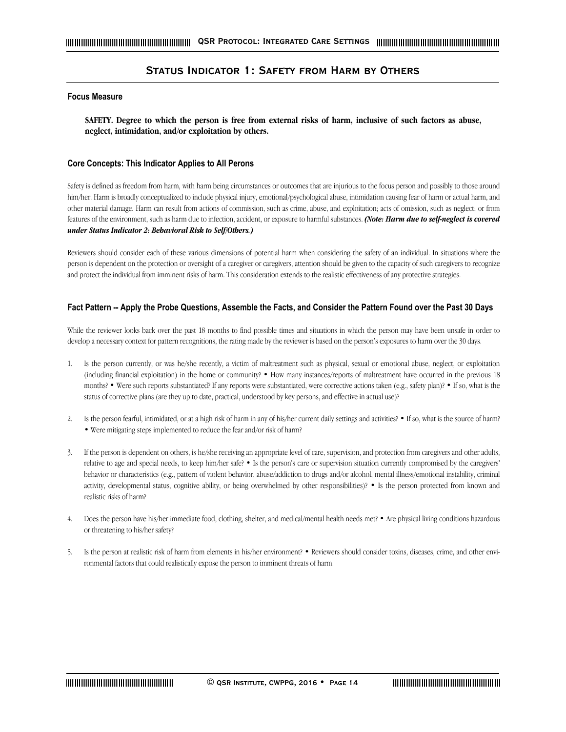# **Status Indicator 1: Safety from Harm by Others**

# **Focus Measure**

**SAFETY. Degree to which the person is free from external risks of harm, inclusive of such factors as abuse, neglect, intimidation, and/or exploitation by others.**

# **Core Concepts: This Indicator Applies to All Perons**

Safety is defined as freedom from harm, with harm being circumstances or outcomes that are injurious to the focus person and possibly to those around him/her. Harm is broadly conceptualized to include physical injury, emotional/psychological abuse, intimidation causing fear of harm or actual harm, and other material damage. Harm can result from actions of commission, such as crime, abuse, and exploitation; acts of omission, such as neglect; or from features of the environment, such as harm due to infection, accident, or exposure to harmful substances. *(Note: Harm due to self-neglect is covered under Status Indicator 2: Behavioral Risk to Self/Others.)*

Reviewers should consider each of these various dimensions of potential harm when considering the safety of an individual. In situations where the person is dependent on the protection or oversight of a caregiver or caregivers, attention should be given to the capacity of such caregivers to recognize and protect the individual from imminent risks of harm. This consideration extends to the realistic effectiveness of any protective strategies.

# **Fact Pattern -- Apply the Probe Questions, Assemble the Facts, and Consider the Pattern Found over the Past 30 Days**

While the reviewer looks back over the past 18 months to find possible times and situations in which the person may have been unsafe in order to develop a necessary context for pattern recognitions, the rating made by the reviewer is based on the person's exposures to harm over the 30 days.

- 1. Is the person currently, or was he/she recently, a victim of maltreatment such as physical, sexual or emotional abuse, neglect, or exploitation (including financial exploitation) in the home or community? • How many instances/reports of maltreatment have occurred in the previous 18 months? • Were such reports substantiated? If any reports were substantiated, were corrective actions taken (e.g., safety plan)? • If so, what is the status of corrective plans (are they up to date, practical, understood by key persons, and effective in actual use)?
- 2. Is the person fearful, intimidated, or at a high risk of harm in any of his/her current daily settings and activities? If so, what is the source of harm? • Were mitigating steps implemented to reduce the fear and/or risk of harm?
- 3. If the person is dependent on others, is he/she receiving an appropriate level of care, supervision, and protection from caregivers and other adults, relative to age and special needs, to keep him/her safe? • Is the person's care or supervision situation currently compromised by the caregivers' behavior or characteristics (e.g., pattern of violent behavior, abuse/addiction to drugs and/or alcohol, mental illness/emotional instability, criminal activity, developmental status, cognitive ability, or being overwhelmed by other responsibilities)? • Is the person protected from known and realistic risks of harm?
- 4. Does the person have his/her immediate food, clothing, shelter, and medical/mental health needs met? Are physical living conditions hazardous or threatening to his/her safety?
- 5. Is the person at realistic risk of harm from elements in his/her environment? Reviewers should consider toxins, diseases, crime, and other environmental factors that could realistically expose the person to imminent threats of harm.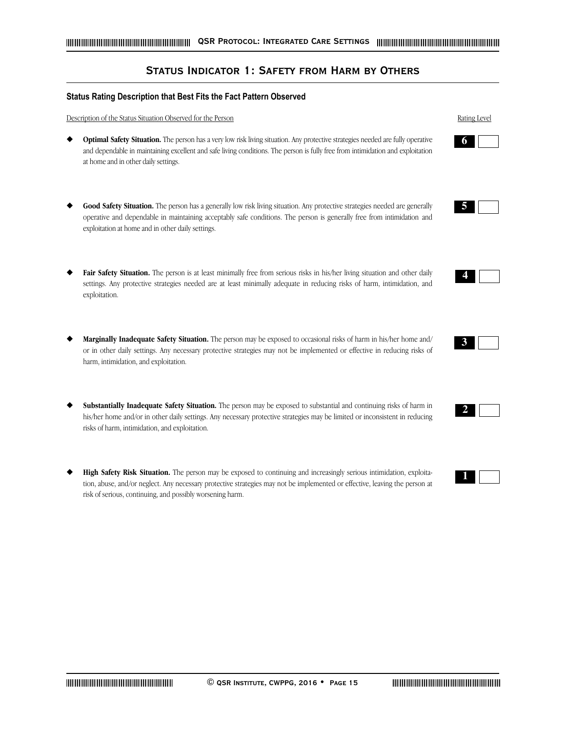# **Status Indicator 1: Safety from Harm by Others**

#### **Status Rating Description that Best Fits the Fact Pattern Observed**

Description of the Status Situation Observed for the Person

- Optimal Safety Situation. The person has a very low risk living situation. Any protective strategies needed are fully operative and dependable in maintaining excellent and safe living conditions. The person is fully free from intimidation and exploitation at home and in other daily settings.
- Good Safety Situation. The person has a generally low risk living situation. Any protective strategies needed are generally operative and dependable in maintaining acceptably safe conditions. The person is generally free from intimidation and exploitation at home and in other daily settings.
- Fair Safety Situation. The person is at least minimally free from serious risks in his/her living situation and other daily settings. Any protective strategies needed are at least minimally adequate in reducing risks of harm, intimidation, and exploitation.
- Marginally Inadequate Safety Situation. The person may be exposed to occasional risks of harm in his/her home and/ or in other daily settings. Any necessary protective strategies may not be implemented or effective in reducing risks of harm, intimidation, and exploitation.
- Substantially Inadequate Safety Situation. The person may be exposed to substantial and continuing risks of harm in his/her home and/or in other daily settings. Any necessary protective strategies may be limited or inconsistent in reducing risks of harm, intimidation, and exploitation.
- High Safety Risk Situation. The person may be exposed to continuing and increasingly serious intimidation, exploitation, abuse, and/or neglect. Any necessary protective strategies may not be implemented or effective, leaving the person at risk of serious, continuing, and possibly worsening harm.

| Rating Level |  |
|--------------|--|







|--|

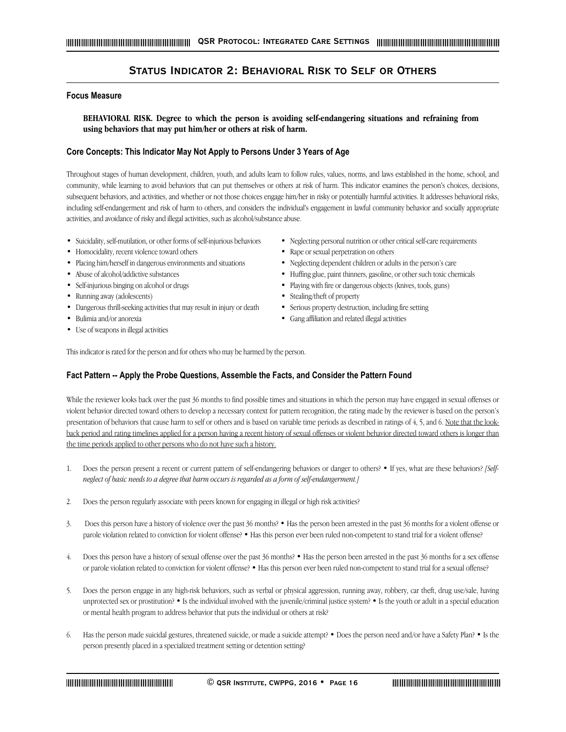# **Status Indicator 2: Behavioral Risk to Self or Others**

#### **Focus Measure**

**BEHAVIORAL RISK. Degree to which the person is avoiding self-endangering situations and refraining from using behaviors that may put him/her or others at risk of harm.**

# **Core Concepts: This Indicator May Not Apply to Persons Under 3 Years of Age**

Throughout stages of human development, children, youth, and adults learn to follow rules, values, norms, and laws established in the home, school, and community, while learning to avoid behaviors that can put themselves or others at risk of harm. This indicator examines the person's choices, decisions, subsequent behaviors, and activities, and whether or not those choices engage him/her in risky or potentially harmful activities. It addresses behavioral risks, including self-endangerment and risk of harm to others, and considers the individual's engagement in lawful community behavior and socially appropriate activities, and avoidance of risky and illegal activities, such as alcohol/substance abuse.

- Suicidality, self-mutilation, or other forms of self-injurious behaviors Neglecting personal nutrition or other critical self-care requirements
- Homocidality, recent violence toward others Rape or sexual perpetration on others
- Placing him/herself in dangerous environments and situations Neglecting dependent children or adults in the person's care
- 
- 
- Running away (adolescents) Stealing/theft of property
- Dangerous thrill-seeking activities that may result in injury or death Serious property destruction, including fire setting
- 
- Use of weapons in illegal activities
- 
- 
- 
- Abuse of alcohol/addictive substances Huffing glue, paint thinners, gasoline, or other such toxic chemicals
- Self-injurious binging on alcohol or drugs Playing with fire or dangerous objects (knives, tools, guns)
	-
	-
- Bulimia and/or anorexia Gang affiliation and related illegal activities

This indicator is rated for the person and for others who may be harmed by the person.

# **Fact Pattern -- Apply the Probe Questions, Assemble the Facts, and Consider the Pattern Found**

While the reviewer looks back over the past 36 months to find possible times and situations in which the person may have engaged in sexual offenses or violent behavior directed toward others to develop a necessary context for pattern recognition, the rating made by the reviewer is based on the person's presentation of behaviors that cause harm to self or others and is based on variable time periods as described in ratings of 4, 5, and 6. Note that the lookback period and rating timelines applied for a person having a recent history of sexual offenses or violent behavior directed toward others is longer than the time periods applied to other persons who do not have such a history.

- 1. Does the person present a recent or current pattern of self-endangering behaviors or danger to others? If yes, what are these behaviors? *[Selfneglect of basic needs to a degree that harm occurs is regarded as a form of self-endangerment.]*
- 2. Does the person regularly associate with peers known for engaging in illegal or high risk activities?
- 3. Does this person have a history of violence over the past 36 months? Has the person been arrested in the past 36 months for a violent offense or parole violation related to conviction for violent offense? • Has this person ever been ruled non-competent to stand trial for a violent offense?
- 4. Does this person have a history of sexual offense over the past 36 months? Has the person been arrested in the past 36 months for a sex offense or parole violation related to conviction for violent offense? • Has this person ever been ruled non-competent to stand trial for a sexual offense?
- 5. Does the person engage in any high-risk behaviors, such as verbal or physical aggression, running away, robbery, car theft, drug use/sale, having unprotected sex or prostitution? • Is the individual involved with the juvenile/criminal justice system? • Is the youth or adult in a special education or mental health program to address behavior that puts the individual or others at risk?
- 6. Has the person made suicidal gestures, threatened suicide, or made a suicide attempt? Does the person need and/or have a Safety Plan? Is the person presently placed in a specialized treatment setting or detention setting?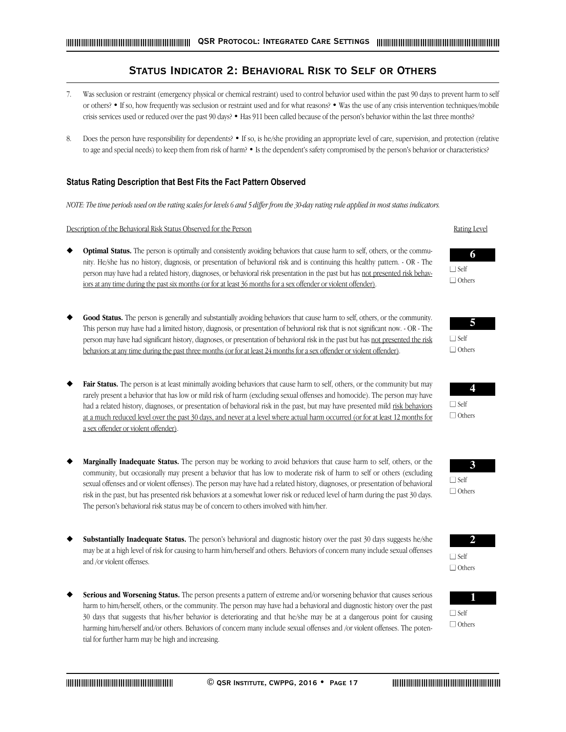# **Status Indicator 2: Behavioral Risk to Self or Others**

- 7. Was seclusion or restraint (emergency physical or chemical restraint) used to control behavior used within the past 90 days to prevent harm to self or others? • If so, how frequently was seclusion or restraint used and for what reasons? • Was the use of any crisis intervention techniques/mobile crisis services used or reduced over the past 90 days? • Has 911 been called because of the person's behavior within the last three months?
- 8. Does the person have responsibility for dependents? If so, is he/she providing an appropriate level of care, supervision, and protection (relative to age and special needs) to keep them from risk of harm? • Is the dependent's safety compromised by the person's behavior or characteristics?

# **Status Rating Description that Best Fits the Fact Pattern Observed**

*NOTE: The time periods used on the rating scales for levels 6 and 5 differ from the 30-day rating rule applied in most status indicators.*

#### Description of the Behavioral Risk Status Observed for the Person Rating Level

- **Optimal Status.** The person is optimally and consistently avoiding behaviors that cause harm to self, others, or the community. He/she has no history, diagnosis, or presentation of behavioral risk and is continuing this healthy pattern. - OR - The person may have had a related history, diagnoses, or behavioral risk presentation in the past but has not presented risk behaviors at any time during the past six months (or for at least 36 months for a sex offender or violent offender).
- Good Status. The person is generally and substantially avoiding behaviors that cause harm to self, others, or the community. This person may have had a limited history, diagnosis, or presentation of behavioral risk that is not significant now. - OR - The person may have had significant history, diagnoses, or presentation of behavioral risk in the past but has not presented the risk behaviors at any time during the past three months (or for at least 24 months for a sex offender or violent offender).
- Fair Status. The person is at least minimally avoiding behaviors that cause harm to self, others, or the community but may rarely present a behavior that has low or mild risk of harm (excluding sexual offenses and homocide). The person may have had a related history, diagnoses, or presentation of behavioral risk in the past, but may have presented mild risk behaviors at a much reduced level over the past 30 days, and never at a level where actual harm occurred (or for at least 12 months for a sex offender or violent offender).
- Marginally Inadequate Status. The person may be working to avoid behaviors that cause harm to self, others, or the community, but occasionally may present a behavior that has low to moderate risk of harm to self or others (excluding sexual offenses and or violent offenses). The person may have had a related history, diagnoses, or presentation of behavioral risk in the past, but has presented risk behaviors at a somewhat lower risk or reduced level of harm during the past 30 days. The person's behavioral risk status may be of concern to others involved with him/her.
- Substantially Inadequate Status. The person's behavioral and diagnostic history over the past 30 days suggests he/she may be at a high level of risk for causing to harm him/herself and others. Behaviors of concern many include sexual offenses and /or violent offenses.
- Serious and Worsening Status. The person presents a pattern of extreme and/or worsening behavior that causes serious harm to him/herself, others, or the community. The person may have had a behavioral and diagnostic history over the past 30 days that suggests that his/her behavior is deteriorating and that he/she may be at a dangerous point for causing harming him/herself and/or others. Behaviors of concern many include sexual offenses and /or violent offenses. The potential for further harm may be high and increasing.















 $\Box$  Self □ Others



□ Others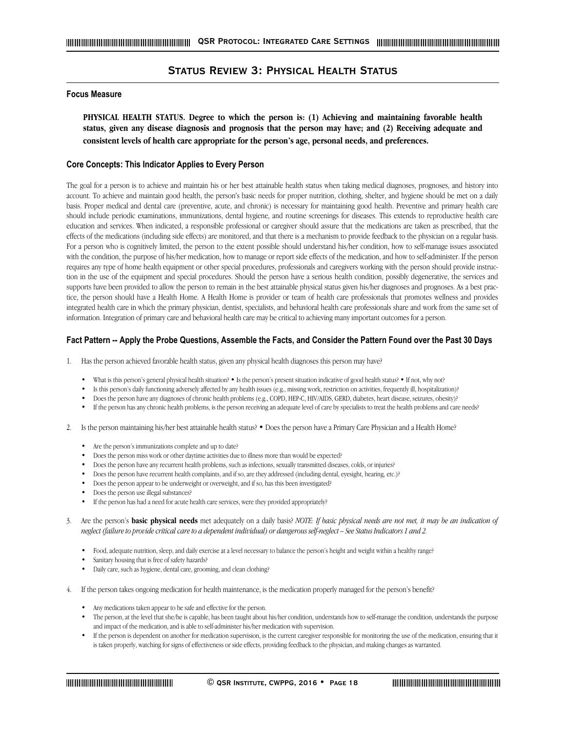# **Status Review 3: Physical Health Status**

#### **Focus Measure**

**PHYSICAL HEALTH STATUS. Degree to which the person is: (1) Achieving and maintaining favorable health status, given any disease diagnosis and prognosis that the person may have; and (2) Receiving adequate and consistent levels of health care appropriate for the person's age, personal needs, and preferences.** 

#### **Core Concepts: This Indicator Applies to Every Person**

The goal for a person is to achieve and maintain his or her best attainable health status when taking medical diagnoses, prognoses, and history into account. To achieve and maintain good health, the person's basic needs for proper nutrition, clothing, shelter, and hygiene should be met on a daily basis. Proper medical and dental care (preventive, acute, and chronic) is necessary for maintaining good health. Preventive and primary health care should include periodic examinations, immunizations, dental hygiene, and routine screenings for diseases. This extends to reproductive health care education and services. When indicated, a responsible professional or caregiver should assure that the medications are taken as prescribed, that the effects of the medications (including side effects) are monitored, and that there is a mechanism to provide feedback to the physician on a regular basis. For a person who is cognitively limited, the person to the extent possible should understand his/her condition, how to self-manage issues associated with the condition, the purpose of his/her medication, how to manage or report side effects of the medication, and how to self-administer. If the person requires any type of home health equipment or other special procedures, professionals and caregivers working with the person should provide instruction in the use of the equipment and special procedures. Should the person have a serious health condition, possibly degenerative, the services and supports have been provided to allow the person to remain in the best attainable physical status given his/her diagnoses and prognoses. As a best practice, the person should have a Health Home. A Health Home is provider or team of health care professionals that promotes wellness and provides integrated health care in which the primary physician, dentist, specialists, and behavioral health care professionals share and work from the same set of information. Integration of primary care and behavioral health care may be critical to achieving many important outcomes for a person.

# **Fact Pattern -- Apply the Probe Questions, Assemble the Facts, and Consider the Pattern Found over the Past 30 Days**

- 1. Has the person achieved favorable health status, given any physical health diagnoses this person may have?
	- What is this person's general physical health situation? Is the person's present situation indicative of good health status? If not, why not?
	- Is this person's daily functioning adversely affected by any health issues (e.g., missing work, restriction on activities, frequently ill, hospitalization)?
	- Does the person have any diagnoses of chronic health problems (e.g., COPD, HEP-C, HIV/AIDS, GERD, diabetes, heart disease, seizures, obesity)?
	- If the person has any chronic health problems, is the person receiving an adequate level of care by specialists to treat the health problems and care needs?
- 2. Is the person maintaining his/her best attainable health status? Does the person have a Primary Care Physician and a Health Home?
	- Are the person's immunizations complete and up to date?
	- Does the person miss work or other daytime activities due to illness more than would be expected?
	- Does the person have any recurrent health problems, such as infections, sexually transmitted diseases, colds, or injuries?
	- Does the person have recurrent health complaints, and if so, are they addressed (including dental, eyesight, hearing, etc.)?
	- Does the person appear to be underweight or overweight, and if so, has this been investigated?
	- Does the person use illegal substances?
	- If the person has had a need for acute health care services, were they provided appropriately?
- 3. Are the person's **basic physical needs** met adequately on a daily basis? *NOTE: If basic physical needs are not met, it may be an indication of neglect (failure to provide critical care to a dependent individual) or dangerous self-neglect -- See Status Indicators 1 and 2.*
	- Food, adequate nutrition, sleep, and daily exercise at a level necessary to balance the person's height and weight within a healthy range?
	- Sanitary housing that is free of safety hazards?
	- Daily care, such as hygiene, dental care, grooming, and clean clothing?
- 4. If the person takes ongoing medication for health maintenance, is the medication properly managed for the person's benefit?
	- Any medications taken appear to be safe and effective for the person.
	- The person, at the level that she/he is capable, has been taught about his/her condition, understands how to self-manage the condition, understands the purpose and impact of the medication, and is able to self-administer his/her medication with supervision.
	- If the person is dependent on another for medication supervision, is the current caregiver responsible for monitoring the use of the medication, ensuring that it is taken properly, watching for signs of effectiveness or side effects, providing feedback to the physician, and making changes as warranted.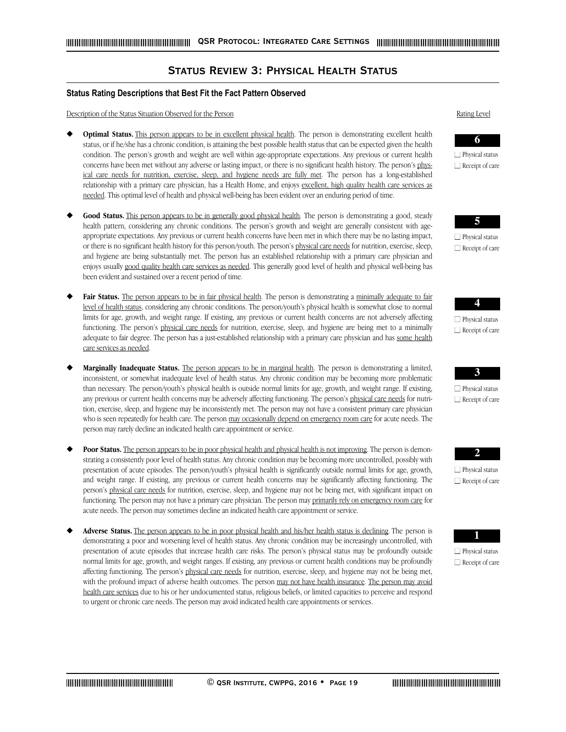# **Status Review 3: Physical Health Status**

#### **Status Rating Descriptions that Best Fit the Fact Pattern Observed**

Description of the Status Situation Observed for the Person Rating Level

- **Optimal Status.** This person appears to be in excellent physical health. The person is demonstrating excellent health status, or if he/she has a chronic condition, is attaining the best possible health status that can be expected given the health condition. The person's growth and weight are well within age-appropriate expectations. Any previous or current health concerns have been met without any adverse or lasting impact, or there is no significant health history. The person's physical care needs for nutrition, exercise, sleep, and hygiene needs are fully met. The person has a long-established relationship with a primary care physician, has a Health Home, and enjoys excellent, high quality health care services as needed. This optimal level of health and physical well-being has been evident over an enduring period of time.
- Good Status. This person appears to be in generally good physical health. The person is demonstrating a good, steady health pattern, considering any chronic conditions. The person's growth and weight are generally consistent with ageappropriate expectations. Any previous or current health concerns have been met in which there may be no lasting impact, or there is no significant health history for this person/youth. The person's physical care needs for nutrition, exercise, sleep, and hygiene are being substantially met. The person has an established relationship with a primary care physician and enjoys usually good quality health care services as needed. This generally good level of health and physical well-being has been evident and sustained over a recent period of time.
- Fair Status. The person appears to be in fair physical health. The person is demonstrating a minimally adequate to fair level of health status, considering any chronic conditions. The person/youth's physical health is somewhat close to normal limits for age, growth, and weight range. If existing, any previous or current health concerns are not adversely affecting functioning. The person's physical care needs for nutrition, exercise, sleep, and hygiene are being met to a minimally adequate to fair degree. The person has a just-established relationship with a primary care physician and has some health care services as needed.
- **Marginally Inadequate Status.** The person appears to be in marginal health. The person is demonstrating a limited, inconsistent, or somewhat inadequate level of health status. Any chronic condition may be becoming more problematic than necessary. The person/youth's physical health is outside normal limits for age, growth, and weight range. If existing, any previous or current health concerns may be adversely affecting functioning. The person's physical care needs for nutrition, exercise, sleep, and hygiene may be inconsistently met. The person may not have a consistent primary care physician who is seen repeatedly for health care. The person may occasionally depend on emergency room care for acute needs. The person may rarely decline an indicated health care appointment or service.
- Poor Status. The person appears to be in poor physical health and physical health is not improving. The person is demonstrating a consistently poor level of health status. Any chronic condition may be becoming more uncontrolled, possibly with presentation of acute episodes. The person/youth's physical health is significantly outside normal limits for age, growth, and weight range. If existing, any previous or current health concerns may be significantly affecting functioning. The person's physical care needs for nutrition, exercise, sleep, and hygiene may not be being met, with significant impact on functioning. The person may not have a primary care physician. The person may primarily rely on emergency room care for acute needs. The person may sometimes decline an indicated health care appointment or service.
- Adverse Status. The person appears to be in poor physical health and his/her health status is declining. The person is demonstrating a poor and worsening level of health status. Any chronic condition may be increasingly uncontrolled, with presentation of acute episodes that increase health care risks. The person's physical status may be profoundly outside normal limits for age, growth, and weight ranges. If existing, any previous or current health conditions may be profoundly affecting functioning. The person's physical care needs for nutrition, exercise, sleep, and hygiene may not be being met, with the profound impact of adverse health outcomes. The person may not have health insurance. The person may avoid health care services due to his or her undocumented status, religious beliefs, or limited capacities to perceive and respond to urgent or chronic care needs. The person may avoid indicated health care appointments or services.



□ Physical status □ Receipt of care



# □ Physical status □ Receipt of care



□ Receipt of care



□ Physical status □ Receipt of care

# **2**

□ Physical status ■ Receipt of care



□ Physical status □ Receipt of care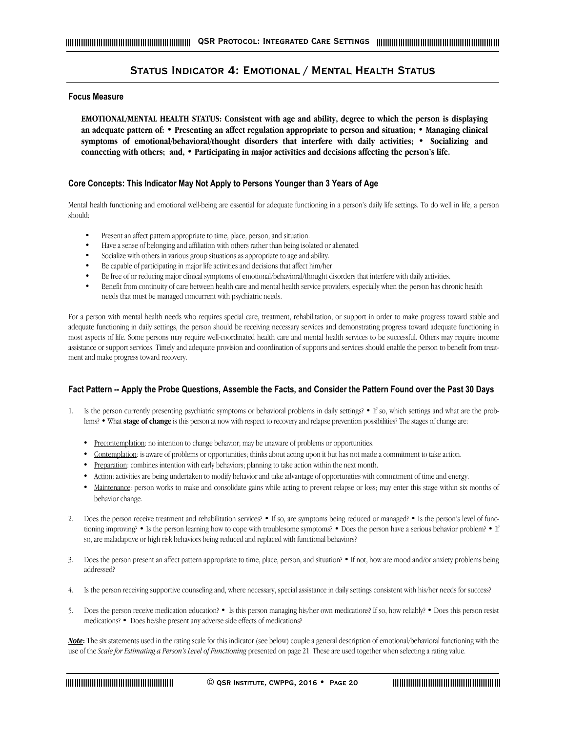# **Status Indicator 4: Emotional / Mental Health Status**

# **Focus Measure**

**EMOTIONAL/MENTAL HEALTH STATUS: Consistent with age and ability, degree to which the person is displaying an adequate pattern of: • Presenting an affect regulation appropriate to person and situation; • Managing clinical symptoms of emotional/behavioral/thought disorders that interfere with daily activities; • Socializing and connecting with others; and, • Participating in major activities and decisions affecting the person's life.** 

# **Core Concepts: This Indicator May Not Apply to Persons Younger than 3 Years of Age**

Mental health functioning and emotional well-being are essential for adequate functioning in a person's daily life settings. To do well in life, a person should:

- Present an affect pattern appropriate to time, place, person, and situation.
- Have a sense of belonging and affiliation with others rather than being isolated or alienated.
- Socialize with others in various group situations as appropriate to age and ability.
- Be capable of participating in major life activities and decisions that affect him/her.
- Be free of or reducing major clinical symptoms of emotional/behavioral/thought disorders that interfere with daily activities.
- Benefit from continuity of care between health care and mental health service providers, especially when the person has chronic health needs that must be managed concurrent with psychiatric needs.

For a person with mental health needs who requires special care, treatment, rehabilitation, or support in order to make progress toward stable and adequate functioning in daily settings, the person should be receiving necessary services and demonstrating progress toward adequate functioning in most aspects of life. Some persons may require well-coordinated health care and mental health services to be successful. Others may require income assistance or support services. Timely and adequate provision and coordination of supports and services should enable the person to benefit from treatment and make progress toward recovery.

# **Fact Pattern -- Apply the Probe Questions, Assemble the Facts, and Consider the Pattern Found over the Past 30 Days**

- 1. Is the person currently presenting psychiatric symptoms or behavioral problems in daily settings? If so, which settings and what are the problems? • What **stage of change** is this person at now with respect to recovery and relapse prevention possibilities? The stages of change are:
	- Precontemplation: no intention to change behavior; may be unaware of problems or opportunities.
	- Contemplation: is aware of problems or opportunities; thinks about acting upon it but has not made a commitment to take action.
	- Preparation: combines intention with early behaviors; planning to take action within the next month.
	- Action: activities are being undertaken to modify behavior and take advantage of opportunities with commitment of time and energy.
	- Maintenance: person works to make and consolidate gains while acting to prevent relapse or loss; may enter this stage within six months of behavior change.
- 2. Does the person receive treatment and rehabilitation services? If so, are symptoms being reduced or managed? Is the person's level of functioning improving? • Is the person learning how to cope with troublesome symptoms? • Does the person have a serious behavior problem? • If so, are maladaptive or high risk behaviors being reduced and replaced with functional behaviors?
- 3. Does the person present an affect pattern appropriate to time, place, person, and situation? If not, how are mood and/or anxiety problems being addressed?
- 4. Is the person receiving supportive counseling and, where necessary, special assistance in daily settings consistent with his/her needs for success?
- 5. Does the person receive medication education? Is this person managing his/her own medications? If so, how reliably? Does this person resist medications? • Does he/she present any adverse side effects of medications?

*Note***:** The six statements used in the rating scale for this indicator (see below) couple a general description of emotional/behavioral functioning with the use of the *Scale for Estimating a Person's Level of Functioning* presented on page 21. These are used together when selecting a rating value.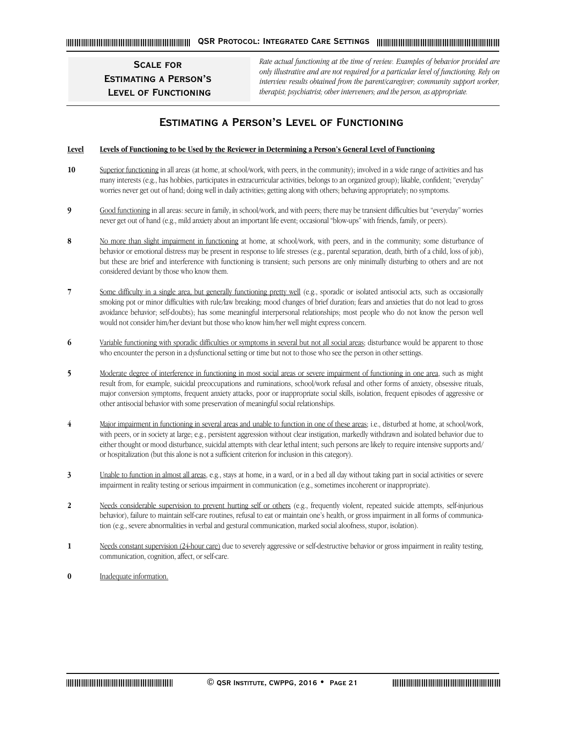**Scale for Estimating a Person's Level of Functioning**

*Rate actual functioning at the time of review. Examples of behavior provided are only illustrative and are not required for a particular level of functioning. Rely on interview results obtained from the parent/caregiver; community support worker, therapist; psychiatrist; other interveners; and the person, as appropriate.*

# **Estimating a Person's Level of Functioning**

#### **Level Levels of Functioning to be Used by the Reviewer in Determining a Person's General Level of Functioning**

- **10** Superior functioning in all areas (at home, at school/work, with peers, in the community); involved in a wide range of activities and has many interests (e.g., has hobbies, participates in extracurricular activities, belongs to an organized group); likable, confident; "everyday" worries never get out of hand; doing well in daily activities; getting along with others; behaving appropriately; no symptoms.
- **9** Good functioning in all areas: secure in family, in school/work, and with peers; there may be transient difficulties but "everyday" worries never get out of hand (e.g., mild anxiety about an important life event; occasional "blow-ups" with friends, family, or peers).
- **8** No more than slight impairment in functioning at home, at school/work, with peers, and in the community; some disturbance of behavior or emotional distress may be present in response to life stresses (e.g., parental separation, death, birth of a child, loss of job), but these are brief and interference with functioning is transient; such persons are only minimally disturbing to others and are not considered deviant by those who know them.
- **7** Some difficulty in a single area, but generally functioning pretty well (e.g., sporadic or isolated antisocial acts, such as occasionally smoking pot or minor difficulties with rule/law breaking; mood changes of brief duration; fears and anxieties that do not lead to gross avoidance behavior; self-doubts); has some meaningful interpersonal relationships; most people who do not know the person well would not consider him/her deviant but those who know him/her well might express concern.
- **6** Variable functioning with sporadic difficulties or symptoms in several but not all social areas; disturbance would be apparent to those who encounter the person in a dysfunctional setting or time but not to those who see the person in other settings.
- **5** Moderate degree of interference in functioning in most social areas or severe impairment of functioning in one area, such as might result from, for example, suicidal preoccupations and ruminations, school/work refusal and other forms of anxiety, obsessive rituals, major conversion symptoms, frequent anxiety attacks, poor or inappropriate social skills, isolation, frequent episodes of aggressive or other antisocial behavior with some preservation of meaningful social relationships.
- **4** Major impairment in functioning in several areas and unable to function in one of these areas; i.e., disturbed at home, at school/work, with peers, or in society at large; e.g., persistent aggression without clear instigation, markedly withdrawn and isolated behavior due to either thought or mood disturbance, suicidal attempts with clear lethal intent; such persons are likely to require intensive supports and/ or hospitalization (but this alone is not a sufficient criterion for inclusion in this category).
- **3** Unable to function in almost all areas, e.g., stays at home, in a ward, or in a bed all day without taking part in social activities or severe impairment in reality testing or serious impairment in communication (e.g., sometimes incoherent or inappropriate).
- **2** Needs considerable supervision to prevent hurting self or others (e.g., frequently violent, repeated suicide attempts, self-injurious behavior), failure to maintain self-care routines, refusal to eat or maintain one's health, or gross impairment in all forms of communication (e.g., severe abnormalities in verbal and gestural communication, marked social aloofness, stupor, isolation).
- **1** Needs constant supervision (24-hour care) due to severely aggressive or self-destructive behavior or gross impairment in reality testing, communication, cognition, affect, or self-care.
- **0** Inadequate information.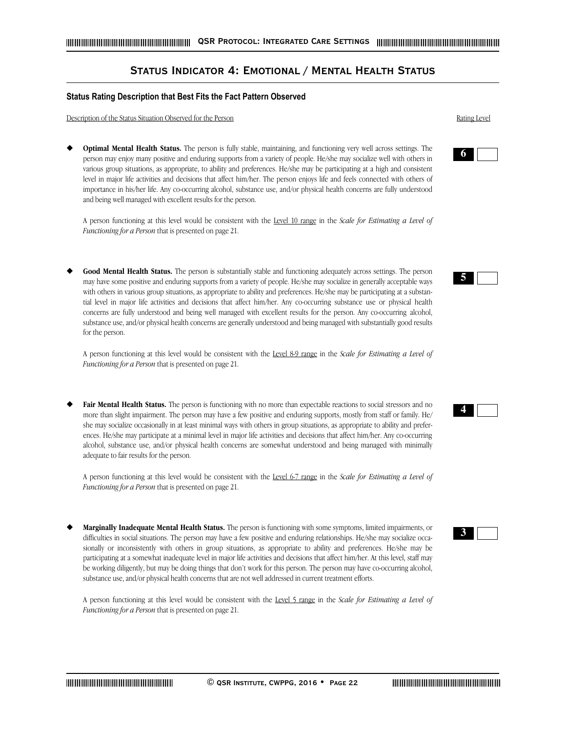# **Status Indicator 4: Emotional / Mental Health Status**

# **Status Rating Description that Best Fits the Fact Pattern Observed**

Description of the Status Situation Observed for the Person Rating Level

**Optimal Mental Health Status.** The person is fully stable, maintaining, and functioning very well across settings. The person may enjoy many positive and enduring supports from a variety of people. He/she may socialize well with others in various group situations, as appropriate, to ability and preferences. He/she may be participating at a high and consistent level in major life activities and decisions that affect him/her. The person enjoys life and feels connected with others of importance in his/her life. Any co-occurring alcohol, substance use, and/or physical health concerns are fully understood and being well managed with excellent results for the person.

A person functioning at this level would be consistent with the Level 10 range in the *Scale for Estimating a Level of Functioning for a Person* that is presented on page 21.

Good Mental Health Status. The person is substantially stable and functioning adequately across settings. The person may have some positive and enduring supports from a variety of people. He/she may socialize in generally acceptable ways with others in various group situations, as appropriate to ability and preferences. He/she may be participating at a substantial level in major life activities and decisions that affect him/her. Any co-occurring substance use or physical health concerns are fully understood and being well managed with excellent results for the person. Any co-occurring alcohol, substance use, and/or physical health concerns are generally understood and being managed with substantially good results for the person.

A person functioning at this level would be consistent with the Level 8-9 range in the *Scale for Estimating a Level of Functioning for a Person* that is presented on page 21.

Fair Mental Health Status. The person is functioning with no more than expectable reactions to social stressors and no more than slight impairment. The person may have a few positive and enduring supports, mostly from staff or family. He/ she may socialize occasionally in at least minimal ways with others in group situations, as appropriate to ability and preferences. He/she may participate at a minimal level in major life activities and decisions that affect him/her. Any co-occurring alcohol, substance use, and/or physical health concerns are somewhat understood and being managed with minimally adequate to fair results for the person.

A person functioning at this level would be consistent with the Level 6-7 range in the *Scale for Estimating a Level of Functioning for a Person* that is presented on page 21.

Marginally Inadequate Mental Health Status. The person is functioning with some symptoms, limited impairments, or difficulties in social situations. The person may have a few positive and enduring relationships. He/she may socialize occasionally or inconsistently with others in group situations, as appropriate to ability and preferences. He/she may be participating at a somewhat inadequate level in major life activities and decisions that affect him/her. At this level, staff may be working diligently, but may be doing things that don't work for this person. The person may have co-occurring alcohol, substance use, and/or physical health concerns that are not well addressed in current treatment efforts.

A person functioning at this level would be consistent with the Level 5 range in the *Scale for Estimating a Level of Functioning for a Person* that is presented on page 21.







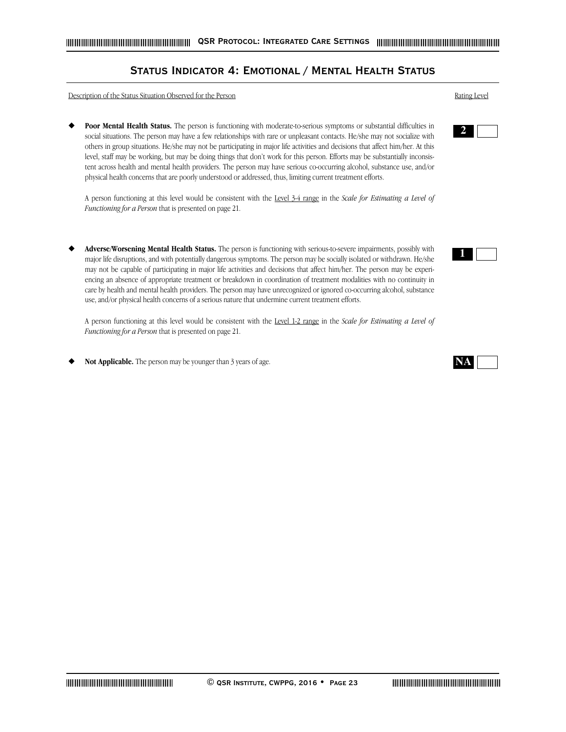# **Status Indicator 4: Emotional / Mental Health Status**

Description of the Status Situation Observed for the Person Rating Level

◆ **Poor Mental Health Status.** The person is functioning with moderate-to-serious symptoms or substantial difficulties in social situations. The person may have a few relationships with rare or unpleasant contacts. He/she may not socialize with others in group situations. He/she may not be participating in major life activities and decisions that affect him/her. At this level, staff may be working, but may be doing things that don't work for this person. Efforts may be substantially inconsistent across health and mental health providers. The person may have serious co-occurring alcohol, substance use, and/or physical health concerns that are poorly understood or addressed, thus, limiting current treatment efforts.

A person functioning at this level would be consistent with the Level 3-4 range in the *Scale for Estimating a Level of Functioning for a Person* that is presented on page 21.

Adverse/Worsening Mental Health Status. The person is functioning with serious-to-severe impairments, possibly with major life disruptions, and with potentially dangerous symptoms. The person may be socially isolated or withdrawn. He/she may not be capable of participating in major life activities and decisions that affect him/her. The person may be experiencing an absence of appropriate treatment or breakdown in coordination of treatment modalities with no continuity in care by health and mental health providers. The person may have unrecognized or ignored co-occurring alcohol, substance use, and/or physical health concerns of a serious nature that undermine current treatment efforts.

A person functioning at this level would be consistent with the Level 1-2 range in the *Scale for Estimating a Level of Functioning for a Person* that is presented on page 21.

Not Applicable. The person may be younger than 3 years of age.



**1**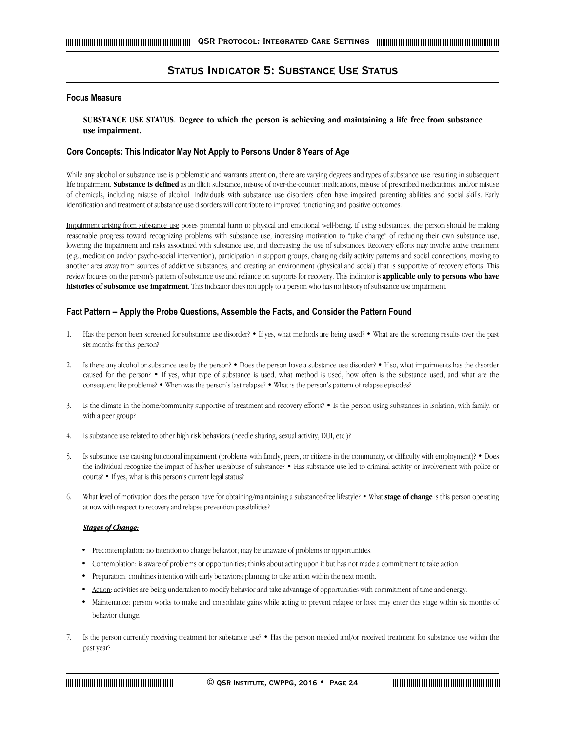# **Status Indicator 5: Substance Use Status**

#### **Focus Measure**

**SUBSTANCE USE STATUS. Degree to which the person is achieving and maintaining a life free from substance use impairment.** 

#### **Core Concepts: This Indicator May Not Apply to Persons Under 8 Years of Age**

While any alcohol or substance use is problematic and warrants attention, there are varying degrees and types of substance use resulting in subsequent life impairment. **Substance is defined** as an illicit substance, misuse of over-the-counter medications, misuse of prescribed medications, and/or misuse of chemicals, including misuse of alcohol. Individuals with substance use disorders often have impaired parenting abilities and social skills. Early identification and treatment of substance use disorders will contribute to improved functioning and positive outcomes.

Impairment arising from substance use poses potential harm to physical and emotional well-being. If using substances, the person should be making reasonable progress toward recognizing problems with substance use, increasing motivation to "take charge" of reducing their own substance use, lowering the impairment and risks associated with substance use, and decreasing the use of substances. Recovery efforts may involve active treatment (e.g., medication and/or psycho-social intervention), participation in support groups, changing daily activity patterns and social connections, moving to another area away from sources of addictive substances, and creating an environment (physical and social) that is supportive of recovery efforts. This review focuses on the person's pattern of substance use and reliance on supports for recovery. This indicator is **applicable only to persons who have histories of substance use impairment**. This indicator does not apply to a person who has no history of substance use impairment.

#### **Fact Pattern -- Apply the Probe Questions, Assemble the Facts, and Consider the Pattern Found**

- 1. Has the person been screened for substance use disorder? If yes, what methods are being used? What are the screening results over the past six months for this person?
- 2. Is there any alcohol or substance use by the person? Does the person have a substance use disorder? If so, what impairments has the disorder caused for the person? • If yes, what type of substance is used, what method is used, how often is the substance used, and what are the consequent life problems? • When was the person's last relapse? • What is the person's pattern of relapse episodes?
- 3. Is the climate in the home/community supportive of treatment and recovery efforts? Is the person using substances in isolation, with family, or with a peer group?
- 4. Is substance use related to other high risk behaviors (needle sharing, sexual activity, DUI, etc.)?
- 5. Is substance use causing functional impairment (problems with family, peers, or citizens in the community, or difficulty with employment)? Does the individual recognize the impact of his/her use/abuse of substance? • Has substance use led to criminal activity or involvement with police or courts? • If yes, what is this person's current legal status?
- 6. What level of motivation does the person have for obtaining/maintaining a substance-free lifestyle? What **stage of change** is this person operating at now with respect to recovery and relapse prevention possibilities?

#### *Stages of Change:*

- Precontemplation: no intention to change behavior; may be unaware of problems or opportunities.
- Contemplation: is aware of problems or opportunities; thinks about acting upon it but has not made a commitment to take action.
- Preparation: combines intention with early behaviors; planning to take action within the next month.
- Action: activities are being undertaken to modify behavior and take advantage of opportunities with commitment of time and energy.
- Maintenance: person works to make and consolidate gains while acting to prevent relapse or loss; may enter this stage within six months of behavior change.
- 7. Is the person currently receiving treatment for substance use? Has the person needed and/or received treatment for substance use within the past year?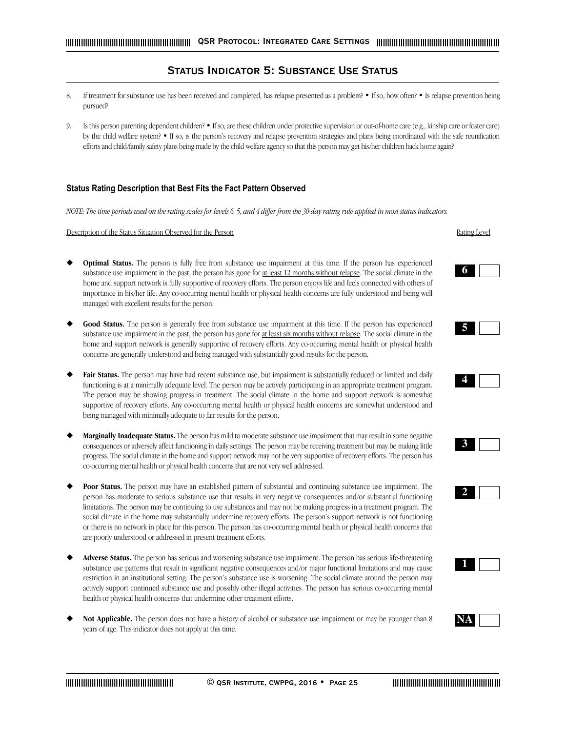# **Status Indicator 5: Substance Use Status**

- 8. If treatment for substance use has been received and completed, has relapse presented as a problem? If so, how often? Is relapse prevention being pursued?
- 9. Is this person parenting dependent children? If so, are these children under protective supervision or out-of-home care (e.g., kinship care or foster care) by the child welfare system? • If so, is the person's recovery and relapse prevention strategies and plans being coordinated with the safe reunification efforts and child/family safety plans being made by the child welfare agency so that this person may get his/her children back home again?

# **Status Rating Description that Best Fits the Fact Pattern Observed**

*NOTE: The time periods used on the rating scales for levels 6, 5, and 4 differ from the 30-day rating rule applied in most status indicators.*

Description of the Status Situation Observed for the Person Rating Level

- **Optimal Status.** The person is fully free from substance use impairment at this time. If the person has experienced substance use impairment in the past, the person has gone for at least 12 months without relapse. The social climate in the home and support network is fully supportive of recovery efforts. The person enjoys life and feels connected with others of importance in his/her life. Any co-occurring mental health or physical health concerns are fully understood and being well managed with excellent results for the person.
- Good Status. The person is generally free from substance use impairment at this time. If the person has experienced substance use impairment in the past, the person has gone for at least six months without relapse. The social climate in the home and support network is generally supportive of recovery efforts. Any co-occurring mental health or physical health concerns are generally understood and being managed with substantially good results for the person.
- Fair Status. The person may have had recent substance use, but impairment is substantially reduced or limited and daily functioning is at a minimally adequate level. The person may be actively participating in an appropriate treatment program. The person may be showing progress in treatment. The social climate in the home and support network is somewhat supportive of recovery efforts. Any co-occurring mental health or physical health concerns are somewhat understood and being managed with minimally adequate to fair results for the person.
- **Marginally Inadequate Status.** The person has mild to moderate substance use impairment that may result in some negative consequences or adversely affect functioning in daily settings. The person may be receiving treatment but may be making little progress. The social climate in the home and support network may not be very supportive of recovery efforts. The person has co-occurring mental health or physical health concerns that are not very well addressed.
- Poor Status. The person may have an established pattern of substantial and continuing substance use impairment. The person has moderate to serious substance use that results in very negative consequences and/or substantial functioning limitations. The person may be continuing to use substances and may not be making progress in a treatment program. The social climate in the home may substantially undermine recovery efforts. The person's support network is not functioning or there is no network in place for this person. The person has co-occurring mental health or physical health concerns that are poorly understood or addressed in present treatment efforts.
- Adverse Status. The person has serious and worsening substance use impairment. The person has serious life-threatening substance use patterns that result in significant negative consequences and/or major functional limitations and may cause restriction in an institutional setting. The person's substance use is worsening. The social climate around the person may actively support continued substance use and possibly other illegal activities. The person has serious co-occurring mental health or physical health concerns that undermine other treatment efforts.
- Not Applicable. The person does not have a history of alcohol or substance use impairment or may be younger than 8 years of age. This indicator does not apply at this time.

**6**











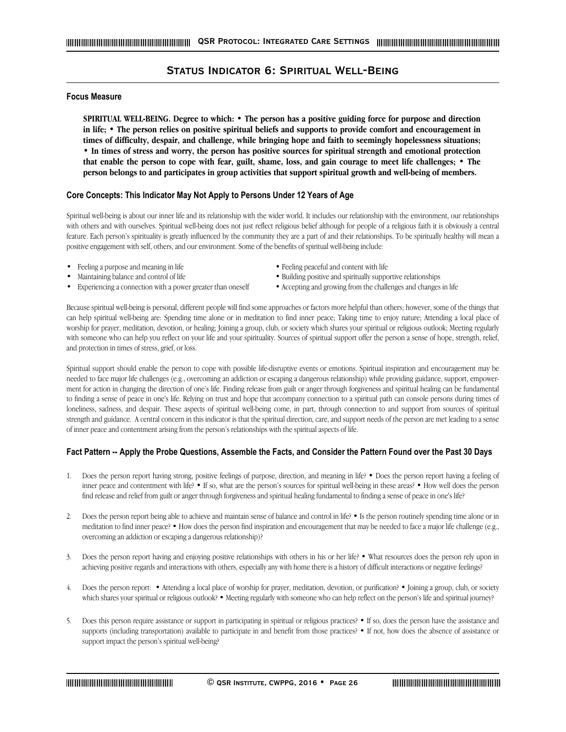# **Status Indicator 6: Spiritual Well-Being**

# **Focus Measure**

**SPIRITUAL WELL-BEING. Degree to which:** • **The person has a positive guiding force for purpose and direction in life; • The person relies on positive spiritual beliefs and supports to provide comfort and encouragement in times of difficulty, despair, and challenge, while bringing hope and faith to seemingly hopelessness situations; • In times of stress and worry, the person has positive sources for spiritual strength and emotional protection that enable the person to cope with fear, guilt, shame, loss, and gain courage to meet life challenges; • The person belongs to and participates in group activities that support spiritual growth and well-being of members.** 

#### **Core Concepts: This Indicator May Not Apply to Persons Under 12 Years of Age**

Spiritual well-being is about our inner life and its relationship with the wider world. It includes our relationship with the environment, our relationships with others and with ourselves. Spiritual well-being does not just reflect religious belief although for people of a religious faith it is obviously a central feature. Each person's spirituality is greatly influenced by the community they are a part of and their relationships. To be spiritually healthy will mean a positive engagement with self, others, and our environment. Some of the benefits of spiritual well-being include:

- Feeling a purpose and meaning in life **•** Feeling peaceful and content with life
- 
- Experiencing a connection with a power greater than oneself Accepting and growing from the challenges and changes in life
- 
- Maintaining balance and control of life  **Building positive and spiritually supportive relationships** 
	-

Because spiritual well-being is personal, different people will find some approaches or factors more helpful than others; however, some of the things that can help spiritual well-being are: Spending time alone or in meditation to find inner peace; Taking time to enjoy nature; Attending a local place of worship for prayer, meditation, devotion, or healing; Joining a group, club, or society which shares your spiritual or religious outlook; Meeting regularly with someone who can help you reflect on your life and your spirituality. Sources of spiritual support offer the person a sense of hope, strength, relief, and protection in times of stress, grief, or loss.

Spiritual support should enable the person to cope with possible life-disruptive events or emotions. Spiritual inspiration and encouragement may be needed to face major life challenges (e.g., overcoming an addiction or escaping a dangerous relationship) while providing guidance, support, empowerment for action in changing the direction of one's life. Finding release from guilt or anger through forgiveness and spiritual healing can be fundamental to finding a sense of peace in one's life. Relying on trust and hope that accompany connection to a spiritual path can console persons during times of loneliness, sadness, and despair. These aspects of spiritual well-being come, in part, through connection to and support from sources of spiritual strength and guidance. A central concern in this indicator is that the spiritual direction, care, and support needs of the person are met leading to a sense of inner peace and contentment arising from the person's relationships with the spiritual aspects of life.

# **Fact Pattern -- Apply the Probe Questions, Assemble the Facts, and Consider the Pattern Found over the Past 30 Days**

- 1. Does the person report having strong, positive feelings of purpose, direction, and meaning in life? Does the person report having a feeling of inner peace and contentment with life? • If so, what are the person's sources for spiritual well-being in these areas? • How well does the person find release and relief from guilt or anger through forgiveness and spiritual healing fundamental to finding a sense of peace in one's life?
- 2. Does the person report being able to achieve and maintain sense of balance and control in life? Is the person routinely spending time alone or in meditation to find inner peace? • How does the person find inspiration and encouragement that may be needed to face a major life challenge (e.g., overcoming an addiction or escaping a dangerous relationship)?
- 3. Does the person report having and enjoying positive relationships with others in his or her life? What resources does the person rely upon in achieving positive regards and interactions with others, especially any with home there is a history of difficult interactions or negative feelings?
- 4. Does the person report: Attending a local place of worship for prayer, meditation, devotion, or purification? Joining a group, club, or society which shares your spiritual or religious outlook? • Meeting regularly with someone who can help reflect on the person's life and spiritual journey?
- 5. Does this person require assistance or support in participating in spiritual or religious practices? If so, does the person have the assistance and supports (including transportation) available to participate in and benefit from those practices? • If not, how does the absence of assistance or support impact the person's spiritual well-being?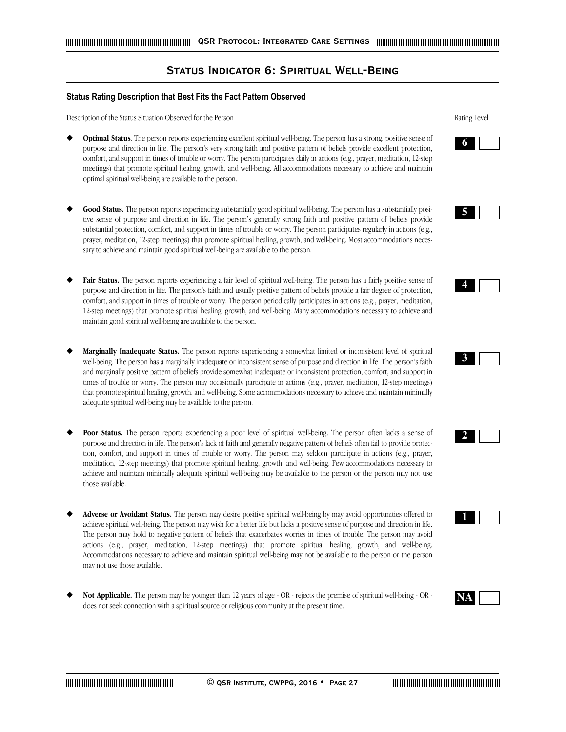# **Status Indicator 6: Spiritual Well-Being**

# **Status Rating Description that Best Fits the Fact Pattern Observed**

Description of the Status Situation Observed for the Person **Rating Level** Rating Level

- Optimal Status. The person reports experiencing excellent spiritual well-being. The person has a strong, positive sense of purpose and direction in life. The person's very strong faith and positive pattern of beliefs provide excellent protection, comfort, and support in times of trouble or worry. The person participates daily in actions (e.g., prayer, meditation, 12-step meetings) that promote spiritual healing, growth, and well-being. All accommodations necessary to achieve and maintain optimal spiritual well-being are available to the person.
- Good Status. The person reports experiencing substantially good spiritual well-being. The person has a substantially positive sense of purpose and direction in life. The person's generally strong faith and positive pattern of beliefs provide substantial protection, comfort, and support in times of trouble or worry. The person participates regularly in actions (e.g., prayer, meditation, 12-step meetings) that promote spiritual healing, growth, and well-being. Most accommodations necessary to achieve and maintain good spiritual well-being are available to the person.
- Fair Status. The person reports experiencing a fair level of spiritual well-being. The person has a fairly positive sense of purpose and direction in life. The person's faith and usually positive pattern of beliefs provide a fair degree of protection, comfort, and support in times of trouble or worry. The person periodically participates in actions (e.g., prayer, meditation, 12-step meetings) that promote spiritual healing, growth, and well-being. Many accommodations necessary to achieve and maintain good spiritual well-being are available to the person.
- Marginally Inadequate Status. The person reports experiencing a somewhat limited or inconsistent level of spiritual well-being. The person has a marginally inadequate or inconsistent sense of purpose and direction in life. The person's faith and marginally positive pattern of beliefs provide somewhat inadequate or inconsistent protection, comfort, and support in times of trouble or worry. The person may occasionally participate in actions (e.g., prayer, meditation, 12-step meetings) that promote spiritual healing, growth, and well-being. Some accommodations necessary to achieve and maintain minimally adequate spiritual well-being may be available to the person.
- Poor Status. The person reports experiencing a poor level of spiritual well-being. The person often lacks a sense of purpose and direction in life. The person's lack of faith and generally negative pattern of beliefs often fail to provide protection, comfort, and support in times of trouble or worry. The person may seldom participate in actions (e.g., prayer, meditation, 12-step meetings) that promote spiritual healing, growth, and well-being. Few accommodations necessary to achieve and maintain minimally adequate spiritual well-being may be available to the person or the person may not use those available.
- Adverse or Avoidant Status. The person may desire positive spiritual well-being by may avoid opportunities offered to achieve spiritual well-being. The person may wish for a better life but lacks a positive sense of purpose and direction in life. The person may hold to negative pattern of beliefs that exacerbates worries in times of trouble. The person may avoid actions (e.g., prayer, meditation, 12-step meetings) that promote spiritual healing, growth, and well-being. Accommodations necessary to achieve and maintain spiritual well-being may not be available to the person or the person may not use those available.
- Not Applicable. The person may be younger than 12 years of age OR rejects the premise of spiritual well-being OR does not seek connection with a spiritual source or religious community at the present time.



|--|



|--|--|--|--|





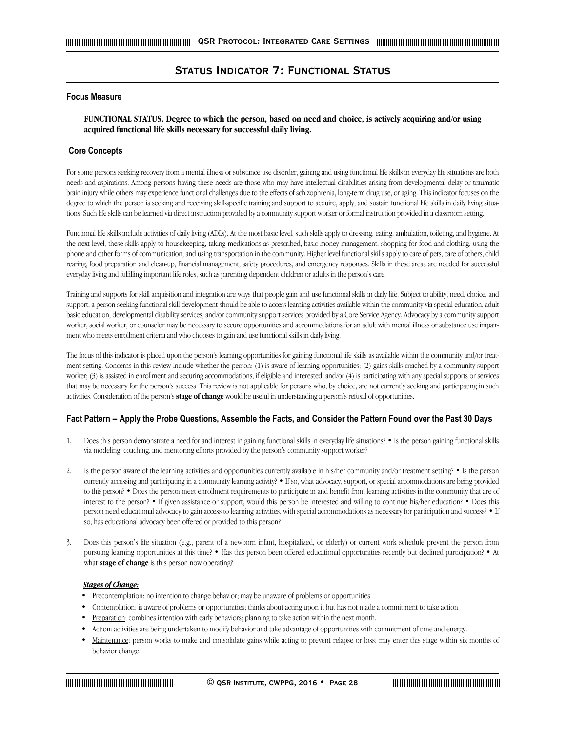# **Status Indicator 7: Functional Status**

# **Focus Measure**

**FUNCTIONAL STATUS. Degree to which the person, based on need and choice, is actively acquiring and/or using acquired functional life skills necessary for successful daily living.** 

#### **Core Concepts**

For some persons seeking recovery from a mental illness or substance use disorder, gaining and using functional life skills in everyday life situations are both needs and aspirations. Among persons having these needs are those who may have intellectual disabilities arising from developmental delay or traumatic brain injury while others may experience functional challenges due to the effects of schizophrenia, long-term drug use, or aging. This indicator focuses on the degree to which the person is seeking and receiving skill-specific training and support to acquire, apply, and sustain functional life skills in daily living situations. Such life skills can be learned via direct instruction provided by a community support worker or formal instruction provided in a classroom setting.

Functional life skills include activities of daily living (ADLs). At the most basic level, such skills apply to dressing, eating, ambulation, toileting, and hygiene. At the next level, these skills apply to housekeeping, taking medications as prescribed, basic money management, shopping for food and clothing, using the phone and other forms of communication, and using transportation in the community. Higher level functional skills apply to care of pets, care of others, child rearing, food preparation and clean-up, financial management, safety procedures, and emergency responses. Skills in these areas are needed for successful everyday living and fulfilling important life roles, such as parenting dependent children or adults in the person's care.

Training and supports for skill acquisition and integration are ways that people gain and use functional skills in daily life. Subject to ability, need, choice, and support, a person seeking functional skill development should be able to access learning activities available within the community via special education, adult basic education, developmental disability services, and/or community support services provided by a Core Service Agency. Advocacy by a community support worker, social worker, or counselor may be necessary to secure opportunities and accommodations for an adult with mental illness or substance use impairment who meets enrollment criteria and who chooses to gain and use functional skills in daily living.

The focus of this indicator is placed upon the person's learning opportunities for gaining functional life skills as available within the community and/or treatment setting. Concerns in this review include whether the person: (1) is aware of learning opportunities; (2) gains skills coached by a community support worker; (3) is assisted in enrollment and securing accommodations, if eligible and interested; and/or (4) is participating with any special supports or services that may be necessary for the person's success. This review is not applicable for persons who, by choice, are not currently seeking and participating in such activities. Consideration of the person's **stage of change** would be useful in understanding a person's refusal of opportunities.

#### **Fact Pattern -- Apply the Probe Questions, Assemble the Facts, and Consider the Pattern Found over the Past 30 Days**

- 1. Does this person demonstrate a need for and interest in gaining functional skills in everyday life situations? Is the person gaining functional skills via modeling, coaching, and mentoring efforts provided by the person's community support worker?
- 2. Is the person aware of the learning activities and opportunities currently available in his/her community and/or treatment setting? Is the person currently accessing and participating in a community learning activity? • If so, what advocacy, support, or special accommodations are being provided to this person? • Does the person meet enrollment requirements to participate in and benefit from learning activities in the community that are of interest to the person? • If given assistance or support, would this person be interested and willing to continue his/her education? • Does this person need educational advocacy to gain access to learning activities, with special accommodations as necessary for participation and success? • If so, has educational advocacy been offered or provided to this person?
- 3. Does this person's life situation (e.g., parent of a newborn infant, hospitalized, or elderly) or current work schedule prevent the person from pursuing learning opportunities at this time? • Has this person been offered educational opportunities recently but declined participation? • At what **stage of change** is this person now operating?

#### *Stages of Change:*

- Precontemplation: no intention to change behavior; may be unaware of problems or opportunities.
- Contemplation: is aware of problems or opportunities; thinks about acting upon it but has not made a commitment to take action.
- Preparation: combines intention with early behaviors; planning to take action within the next month.
- Action: activities are being undertaken to modify behavior and take advantage of opportunities with commitment of time and energy.
- Maintenance: person works to make and consolidate gains while acting to prevent relapse or loss; may enter this stage within six months of behavior change.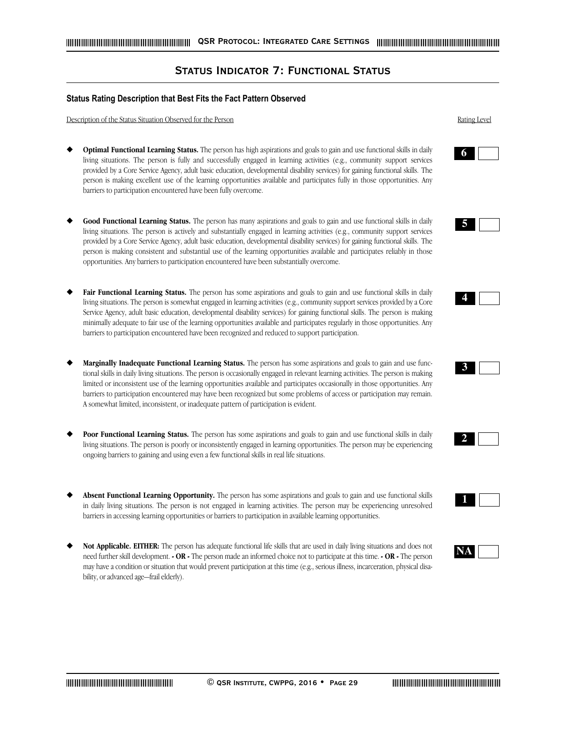# **Status Indicator 7: Functional Status**

#### **Status Rating Description that Best Fits the Fact Pattern Observed**

Description of the Status Situation Observed for the Person Rating Level

- Optimal Functional Learning Status. The person has high aspirations and goals to gain and use functional skills in daily living situations. The person is fully and successfully engaged in learning activities (e.g., community support services provided by a Core Service Agency, adult basic education, developmental disability services) for gaining functional skills. The person is making excellent use of the learning opportunities available and participates fully in those opportunities. Any barriers to participation encountered have been fully overcome.
- Good Functional Learning Status. The person has many aspirations and goals to gain and use functional skills in daily living situations. The person is actively and substantially engaged in learning activities (e.g., community support services provided by a Core Service Agency, adult basic education, developmental disability services) for gaining functional skills. The person is making consistent and substantial use of the learning opportunities available and participates reliably in those opportunities. Any barriers to participation encountered have been substantially overcome.
- Fair Functional Learning Status. The person has some aspirations and goals to gain and use functional skills in daily living situations. The person is somewhat engaged in learning activities (e.g., community support services provided by a Core Service Agency, adult basic education, developmental disability services) for gaining functional skills. The person is making minimally adequate to fair use of the learning opportunities available and participates regularly in those opportunities. Any barriers to participation encountered have been recognized and reduced to support participation.
- **Marginally Inadequate Functional Learning Status.** The person has some aspirations and goals to gain and use functional skills in daily living situations. The person is occasionally engaged in relevant learning activities. The person is making limited or inconsistent use of the learning opportunities available and participates occasionally in those opportunities. Any barriers to participation encountered may have been recognized but some problems of access or participation may remain. A somewhat limited, inconsistent, or inadequate pattern of participation is evident.
- Poor Functional Learning Status. The person has some aspirations and goals to gain and use functional skills in daily living situations. The person is poorly or inconsistently engaged in learning opportunities. The person may be experiencing ongoing barriers to gaining and using even a few functional skills in real life situations.
- Absent Functional Learning Opportunity. The person has some aspirations and goals to gain and use functional skills in daily living situations. The person is not engaged in learning activities. The person may be experiencing unresolved barriers in accessing learning opportunities or barriers to participation in available learning opportunities.
- Not Applicable. EITHER: The person has adequate functional life skills that are used in daily living situations and does not need further skill development. **- OR -** The person made an informed choice not to participate at this time. **- OR -** The person may have a condition or situation that would prevent participation at this time (e.g., serious illness, incarceration, physical disability, or advanced age—frail elderly).













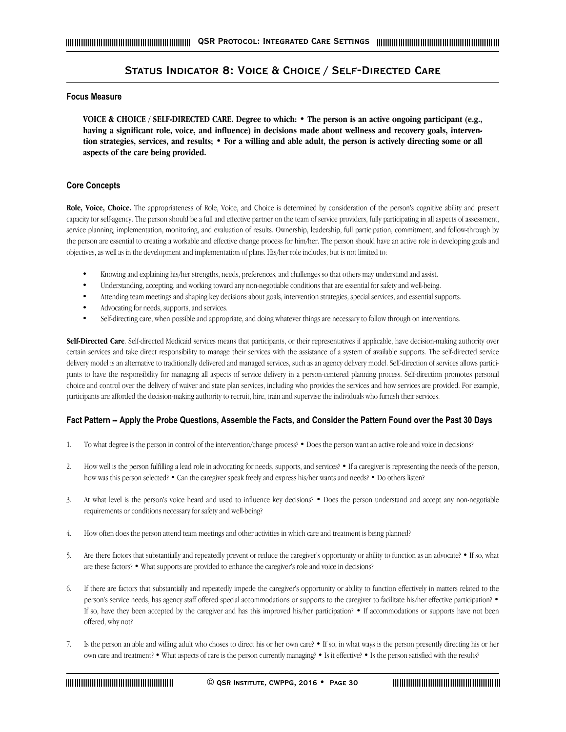# **Status Indicator 8: Voice & Choice / Self-Directed Care**

# **Focus Measure**

**VOICE & CHOICE / SELF-DIRECTED CARE. Degree to which: • The person is an active ongoing participant (e.g., having a significant role, voice, and influence) in decisions made about wellness and recovery goals, intervention strategies, services, and results; • For a willing and able adult, the person is actively directing some or all aspects of the care being provided.**

# **Core Concepts**

**Role, Voice, Choice.** The appropriateness of Role, Voice, and Choice is determined by consideration of the person's cognitive ability and present capacity for self-agency. The person should be a full and effective partner on the team of service providers, fully participating in all aspects of assessment, service planning, implementation, monitoring, and evaluation of results. Ownership, leadership, full participation, commitment, and follow-through by the person are essential to creating a workable and effective change process for him/her. The person should have an active role in developing goals and objectives, as well as in the development and implementation of plans. His/her role includes, but is not limited to:

- Knowing and explaining his/her strengths, needs, preferences, and challenges so that others may understand and assist.
- Understanding, accepting, and working toward any non-negotiable conditions that are essential for safety and well-being.
- Attending team meetings and shaping key decisions about goals, intervention strategies, special services, and essential supports.
- Advocating for needs, supports, and services.
- Self-directing care, when possible and appropriate, and doing whatever things are necessary to follow through on interventions.

**Self-Directed Care**. Self-directed Medicaid services means that participants, or their representatives if applicable, have decision-making authority over certain services and take direct responsibility to manage their services with the assistance of a system of available supports. The self-directed service delivery model is an alternative to traditionally delivered and managed services, such as an agency delivery model. Self-direction of services allows participants to have the responsibility for managing all aspects of service delivery in a person-centered planning process. Self-direction promotes personal choice and control over the delivery of waiver and state plan services, including who provides the services and how services are provided. For example, participants are afforded the decision-making authority to recruit, hire, train and supervise the individuals who furnish their services.

# **Fact Pattern -- Apply the Probe Questions, Assemble the Facts, and Consider the Pattern Found over the Past 30 Days**

- 1. To what degree is the person in control of the intervention/change process? Does the person want an active role and voice in decisions?
- 2. How well is the person fulfilling a lead role in advocating for needs, supports, and services? If a caregiver is representing the needs of the person, how was this person selected? • Can the caregiver speak freely and express his/her wants and needs? • Do others listen?
- 3. At what level is the person's voice heard and used to influence key decisions? Does the person understand and accept any non-negotiable requirements or conditions necessary for safety and well-being?
- 4. How often does the person attend team meetings and other activities in which care and treatment is being planned?
- 5. Are there factors that substantially and repeatedly prevent or reduce the caregiver's opportunity or ability to function as an advocate? If so, what are these factors? • What supports are provided to enhance the caregiver's role and voice in decisions?
- 6. If there are factors that substantially and repeatedly impede the caregiver's opportunity or ability to function effectively in matters related to the person's service needs, has agency staff offered special accommodations or supports to the caregiver to facilitate his/her effective participation? • If so, have they been accepted by the caregiver and has this improved his/her participation? • If accommodations or supports have not been offered, why not?
- 7. Is the person an able and willing adult who choses to direct his or her own care? If so, in what ways is the person presently directing his or her own care and treatment? • What aspects of care is the person currently managing? • Is it effective? • Is the person satisfied with the results?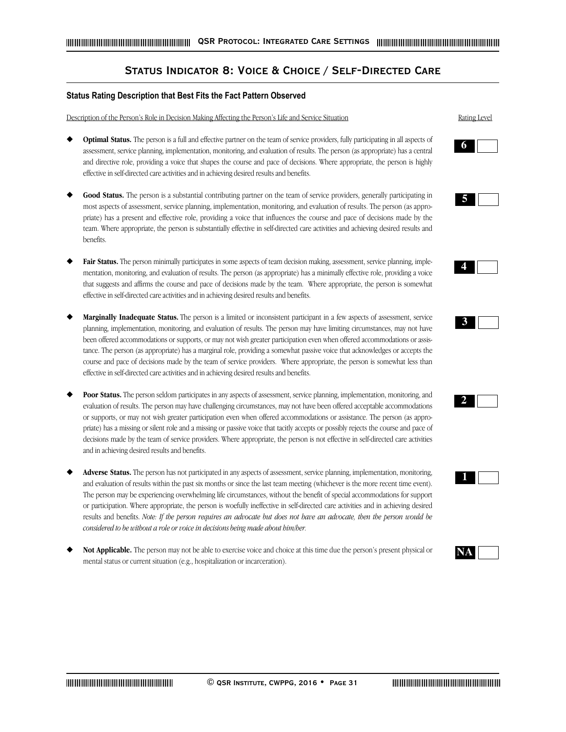# **Status Indicator 8: Voice & Choice / Self-Directed Care**

# **Status Rating Description that Best Fits the Fact Pattern Observed**

Description of the Person's Role in Decision Making Affecting the Person's Life and Service Situation Rating Level

- **Optimal Status.** The person is a full and effective partner on the team of service providers, fully participating in all aspects of assessment, service planning, implementation, monitoring, and evaluation of results. The person (as appropriate) has a central and directive role, providing a voice that shapes the course and pace of decisions. Where appropriate, the person is highly effective in self-directed care activities and in achieving desired results and benefits.
- ◆ **Good Status.** The person is a substantial contributing partner on the team of service providers, generally participating in most aspects of assessment, service planning, implementation, monitoring, and evaluation of results. The person (as appropriate) has a present and effective role, providing a voice that influences the course and pace of decisions made by the team. Where appropriate, the person is substantially effective in self-directed care activities and achieving desired results and benefits.
- Fair Status. The person minimally participates in some aspects of team decision making, assessment, service planning, implementation, monitoring, and evaluation of results. The person (as appropriate) has a minimally effective role, providing a voice that suggests and affirms the course and pace of decisions made by the team. Where appropriate, the person is somewhat effective in self-directed care activities and in achieving desired results and benefits.
- **Marginally Inadequate Status.** The person is a limited or inconsistent participant in a few aspects of assessment, service planning, implementation, monitoring, and evaluation of results. The person may have limiting circumstances, may not have been offered accommodations or supports, or may not wish greater participation even when offered accommodations or assistance. The person (as appropriate) has a marginal role, providing a somewhat passive voice that acknowledges or accepts the course and pace of decisions made by the team of service providers. Where appropriate, the person is somewhat less than effective in self-directed care activities and in achieving desired results and benefits.
- Poor Status. The person seldom participates in any aspects of assessment, service planning, implementation, monitoring, and evaluation of results. The person may have challenging circumstances, may not have been offered acceptable accommodations or supports, or may not wish greater participation even when offered accommodations or assistance. The person (as appropriate) has a missing or silent role and a missing or passive voice that tacitly accepts or possibly rejects the course and pace of decisions made by the team of service providers. Where appropriate, the person is not effective in self-directed care activities and in achieving desired results and benefits.
- Adverse Status. The person has not participated in any aspects of assessment, service planning, implementation, monitoring, and evaluation of results within the past six months or since the last team meeting (whichever is the more recent time event). The person may be experiencing overwhelming life circumstances, without the benefit of special accommodations for support or participation. Where appropriate, the person is woefully ineffective in self-directed care activities and in achieving desired results and benefits. *Note: If the person requires an advocate but does not have an advocate, then the person would be considered to be without a role or voice in decisions being made about him/her.*
- Not Applicable. The person may not be able to exercise voice and choice at this time due the person's present physical or mental status or current situation (e.g., hospitalization or incarceration).





|--|--|



|--|





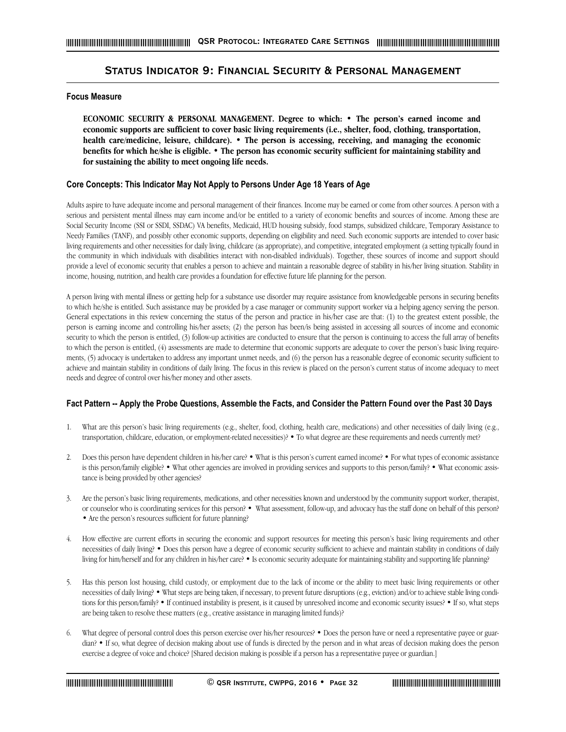# **Status Indicator 9: Financial Security & Personal Management**

# **Focus Measure**

**ECONOMIC SECURITY & PERSONAL MANAGEMENT. Degree to which:** • **The person's earned income and economic supports are sufficient to cover basic living requirements (i.e., shelter, food, clothing, transportation, health care/medicine, leisure, childcare). • The person is accessing, receiving, and managing the economic benefits for which he/she is eligible. • The person has economic security sufficient for maintaining stability and for sustaining the ability to meet ongoing life needs.**

# **Core Concepts: This Indicator May Not Apply to Persons Under Age 18 Years of Age**

Adults aspire to have adequate income and personal management of their finances. Income may be earned or come from other sources. A person with a serious and persistent mental illness may earn income and/or be entitled to a variety of economic benefits and sources of income. Among these are Social Security Income (SSI or SSDI, SSDAC) VA benefits, Medicaid, HUD housing subsidy, food stamps, subsidized childcare, Temporary Assistance to Needy Families (TANF), and possibly other economic supports, depending on eligibility and need. Such economic supports are intended to cover basic living requirements and other necessities for daily living, childcare (as appropriate), and competitive, integrated employment (a setting typically found in the community in which individuals with disabilities interact with non-disabled individuals). Together, these sources of income and support should provide a level of economic security that enables a person to achieve and maintain a reasonable degree of stability in his/her living situation. Stability in income, housing, nutrition, and health care provides a foundation for effective future life planning for the person.

A person living with mental illness or getting help for a substance use disorder may require assistance from knowledgeable persons in securing benefits to which he/she is entitled. Such assistance may be provided by a case manager or community support worker via a helping agency serving the person. General expectations in this review concerning the status of the person and practice in his/her case are that: (1) to the greatest extent possible, the person is earning income and controlling his/her assets; (2) the person has been/is being assisted in accessing all sources of income and economic security to which the person is entitled, (3) follow-up activities are conducted to ensure that the person is continuing to access the full array of benefits to which the person is entitled, (4) assessments are made to determine that economic supports are adequate to cover the person's basic living requirements, (5) advocacy is undertaken to address any important unmet needs, and (6) the person has a reasonable degree of economic security sufficient to achieve and maintain stability in conditions of daily living. The focus in this review is placed on the person's current status of income adequacy to meet needs and degree of control over his/her money and other assets.

# **Fact Pattern -- Apply the Probe Questions, Assemble the Facts, and Consider the Pattern Found over the Past 30 Days**

- 1. What are this person's basic living requirements (e.g., shelter, food, clothing, health care, medications) and other necessities of daily living (e.g., transportation, childcare, education, or employment-related necessities)? • To what degree are these requirements and needs currently met?
- 2. Does this person have dependent children in his/her care? What is this person's current earned income? For what types of economic assistance is this person/family eligible? • What other agencies are involved in providing services and supports to this person/family? • What economic assistance is being provided by other agencies?
- 3. Are the person's basic living requirements, medications, and other necessities known and understood by the community support worker, therapist, or counselor who is coordinating services for this person? • What assessment, follow-up, and advocacy has the staff done on behalf of this person? • Are the person's resources sufficient for future planning?
- 4. How effective are current efforts in securing the economic and support resources for meeting this person's basic living requirements and other necessities of daily living? • Does this person have a degree of economic security sufficient to achieve and maintain stability in conditions of daily living for him/herself and for any children in his/her care? • Is economic security adequate for maintaining stability and supporting life planning?
- 5. Has this person lost housing, child custody, or employment due to the lack of income or the ability to meet basic living requirements or other necessities of daily living? • What steps are being taken, if necessary, to prevent future disruptions (e.g., eviction) and/or to achieve stable living conditions for this person/family? • If continued instability is present, is it caused by unresolved income and economic security issues? • If so, what steps are being taken to resolve these matters (e.g., creative assistance in managing limited funds)?
- 6. What degree of personal control does this person exercise over his/her resources? Does the person have or need a representative payee or guardian? • If so, what degree of decision making about use of funds is directed by the person and in what areas of decision making does the person exercise a degree of voice and choice? [Shared decision making is possible if a person has a representative payee or guardian.]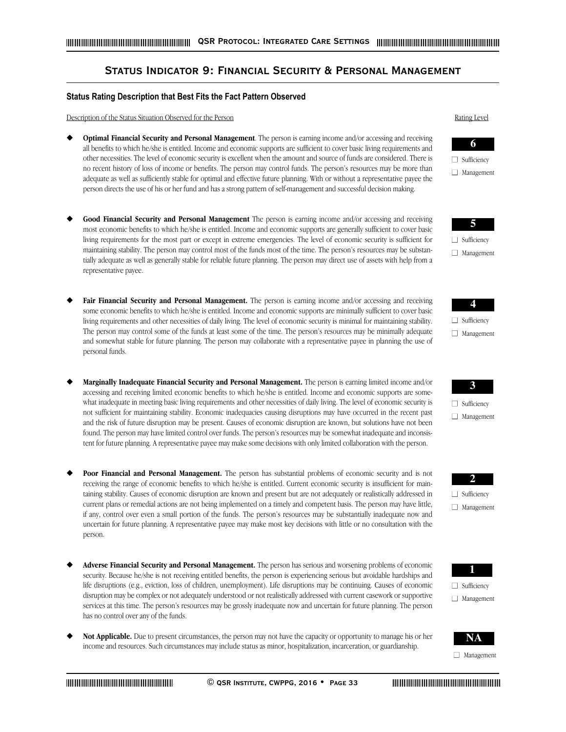# **Status Indicator 9: Financial Security & Personal Management**

# **Status Rating Description that Best Fits the Fact Pattern Observed**

Description of the Status Situation Observed for the Person Rating Level

- **Optimal Financial Security and Personal Management**. The person is earning income and/or accessing and receiving all benefits to which he/she is entitled. Income and economic supports are sufficient to cover basic living requirements and other necessities. The level of economic security is excellent when the amount and source of funds are considered. There is no recent history of loss of income or benefits. The person may control funds. The person's resources may be more than adequate as well as sufficiently stable for optimal and effective future planning. With or without a representative payee the person directs the use of his or her fund and has a strong pattern of self-management and successful decision making.
- Good Financial Security and Personal Management The person is earning income and/or accessing and receiving most economic benefits to which he/she is entitled. Income and economic supports are generally sufficient to cover basic living requirements for the most part or except in extreme emergencies. The level of economic security is sufficient for maintaining stability. The person may control most of the funds most of the time. The person's resources may be substantially adequate as well as generally stable for reliable future planning. The person may direct use of assets with help from a representative payee.
- Fair Financial Security and Personal Management. The person is earning income and/or accessing and receiving some economic benefits to which he/she is entitled. Income and economic supports are minimally sufficient to cover basic living requirements and other necessities of daily living. The level of economic security is minimal for maintaining stability. The person may control some of the funds at least some of the time. The person's resources may be minimally adequate and somewhat stable for future planning. The person may collaborate with a representative payee in planning the use of personal funds.
- Marginally Inadequate Financial Security and Personal Management. The person is earning limited income and/or accessing and receiving limited economic benefits to which he/she is entitled. Income and economic supports are somewhat inadequate in meeting basic living requirements and other necessities of daily living. The level of economic security is not sufficient for maintaining stability. Economic inadequacies causing disruptions may have occurred in the recent past and the risk of future disruption may be present. Causes of economic disruption are known, but solutions have not been found. The person may have limited control over funds. The person's resources may be somewhat inadequate and inconsistent for future planning. A representative payee may make some decisions with only limited collaboration with the person.
- Poor Financial and Personal Management. The person has substantial problems of economic security and is not receiving the range of economic benefits to which he/she is entitled. Current economic security is insufficient for maintaining stability. Causes of economic disruption are known and present but are not adequately or realistically addressed in current plans or remedial actions are not being implemented on a timely and competent basis. The person may have little, if any, control over even a small portion of the funds. The person's resources may be substantially inadequate now and uncertain for future planning. A representative payee may make most key decisions with little or no consultation with the person.
- Adverse Financial Security and Personal Management. The person has serious and worsening problems of economic security. Because he/she is not receiving entitled benefits, the person is experiencing serious but avoidable hardships and life disruptions (e.g., eviction, loss of children, unemployment). Life disruptions may be continuing. Causes of economic disruption may be complex or not adequately understood or not realistically addressed with current casework or supportive services at this time. The person's resources may be grossly inadequate now and uncertain for future planning. The person has no control over any of the funds.
- Not Applicable. Due to present circumstances, the person may not have the capacity or opportunity to manage his or her income and resources. Such circumstances may include status as minor, hospitalization, incarceration, or guardianship.









#### □ Management

□ Sufficiency

□ Management





■ Management



■ Management



□ Management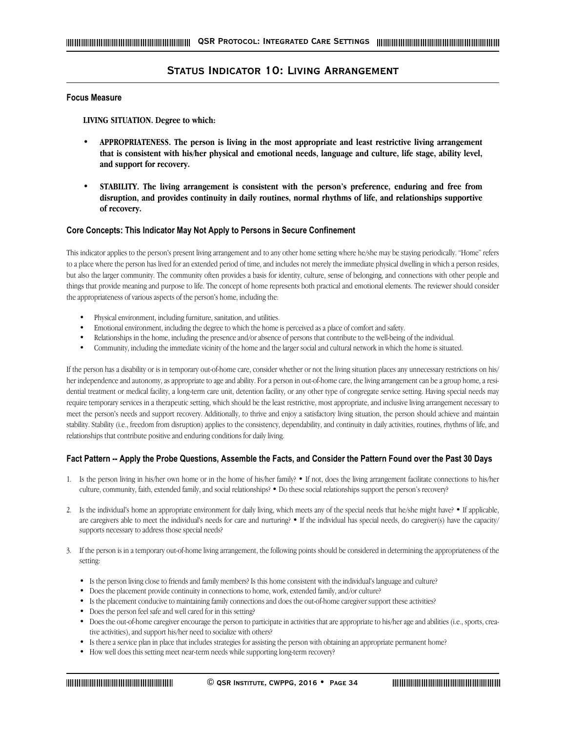# **Status Indicator 10: Living Arrangement**

#### **Focus Measure**

**LIVING SITUATION. Degree to which:**

- **APPROPRIATENESS. The person is living in the most appropriate and least restrictive living arrangement that is consistent with his/her physical and emotional needs, language and culture, life stage, ability level, and support for recovery.**
- **STABILITY. The living arrangement is consistent with the person's preference, enduring and free from disruption, and provides continuity in daily routines, normal rhythms of life, and relationships supportive of recovery.**

# **Core Concepts: This Indicator May Not Apply to Persons in Secure Confinement**

This indicator applies to the person's present living arrangement and to any other home setting where he/she may be staying periodically. "Home" refers to a place where the person has lived for an extended period of time, and includes not merely the immediate physical dwelling in which a person resides, but also the larger community. The community often provides a basis for identity, culture, sense of belonging, and connections with other people and things that provide meaning and purpose to life. The concept of home represents both practical and emotional elements. The reviewer should consider the appropriateness of various aspects of the person's home, including the:

- Physical environment, including furniture, sanitation, and utilities.
- Emotional environment, including the degree to which the home is perceived as a place of comfort and safety.
- Relationships in the home, including the presence and/or absence of persons that contribute to the well-being of the individual.
- Community, including the immediate vicinity of the home and the larger social and cultural network in which the home is situated.

If the person has a disability or is in temporary out-of-home care, consider whether or not the living situation places any unnecessary restrictions on his/ her independence and autonomy, as appropriate to age and ability. For a person in out-of-home care, the living arrangement can be a group home, a residential treatment or medical facility, a long-term care unit, detention facility, or any other type of congregate service setting. Having special needs may require temporary services in a therapeutic setting, which should be the least restrictive, most appropriate, and inclusive living arrangement necessary to meet the person's needs and support recovery. Additionally, to thrive and enjoy a satisfactory living situation, the person should achieve and maintain stability. Stability (i.e., freedom from disruption) applies to the consistency, dependability, and continuity in daily activities, routines, rhythms of life, and relationships that contribute positive and enduring conditions for daily living.

# **Fact Pattern -- Apply the Probe Questions, Assemble the Facts, and Consider the Pattern Found over the Past 30 Days**

- 1. Is the person living in his/her own home or in the home of his/her family? If not, does the living arrangement facilitate connections to his/her culture, community, faith, extended family, and social relationships? • Do these social relationships support the person's recovery?
- 2. Is the individual's home an appropriate environment for daily living, which meets any of the special needs that he/she might have? If applicable, are caregivers able to meet the individual's needs for care and nurturing? • If the individual has special needs, do caregiver(s) have the capacity/ supports necessary to address those special needs?
- 3. If the person is in a temporary out-of-home living arrangement, the following points should be considered in determining the appropriateness of the setting:
	- Is the person living close to friends and family members? Is this home consistent with the individual's language and culture?
	- Does the placement provide continuity in connections to home, work, extended family, and/or culture?
	- Is the placement conducive to maintaining family connections and does the out-of-home caregiver support these activities?
	- Does the person feel safe and well cared for in this setting?
	- Does the out-of-home caregiver encourage the person to participate in activities that are appropriate to his/her age and abilities (i.e., sports, creative activities), and support his/her need to socialize with others?
	- Is there a service plan in place that includes strategies for assisting the person with obtaining an appropriate permanent home?
	- How well does this setting meet near-term needs while supporting long-term recovery?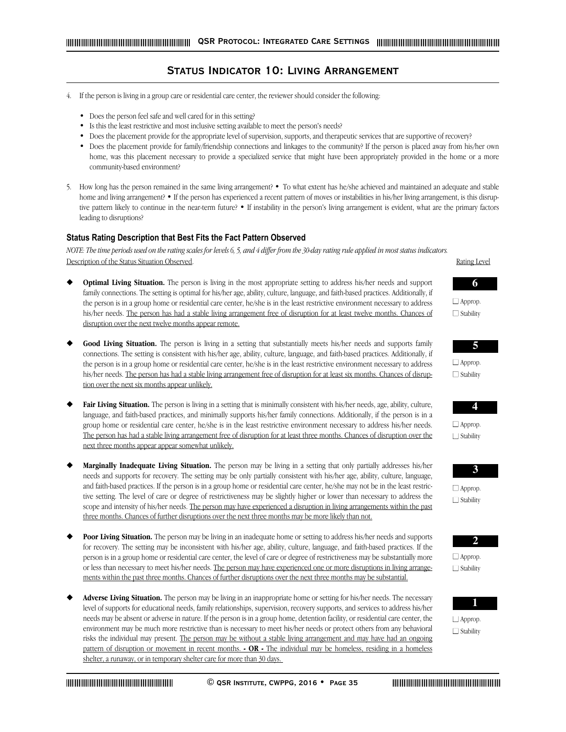# **Status Indicator 10: Living Arrangement**

- 4. If the person is living in a group care or residential care center, the reviewer should consider the following:
	- Does the person feel safe and well cared for in this setting?
	- Is this the least restrictive and most inclusive setting available to meet the person's needs?
	- Does the placement provide for the appropriate level of supervision, supports, and therapeutic services that are supportive of recovery?
	- Does the placement provide for family/friendship connections and linkages to the community? If the person is placed away from his/her own home, was this placement necessary to provide a specialized service that might have been appropriately provided in the home or a more community-based environment?
- 5. How long has the person remained in the same living arrangement? To what extent has he/she achieved and maintained an adequate and stable home and living arrangement? • If the person has experienced a recent pattern of moves or instabilities in his/her living arrangement, is this disruptive pattern likely to continue in the near-term future? • If instability in the person's living arrangement is evident, what are the primary factors leading to disruptions?

# **Status Rating Description that Best Fits the Fact Pattern Observed**

*NOTE: The time periods used on the rating scales for levels 6, 5, and 4 differ from the 30-day rating rule applied in most status indicators.* Description of the Status Situation Observed. Rating Level

- Optimal Living Situation. The person is living in the most appropriate setting to address his/her needs and support family connections. The setting is optimal for his/her age, ability, culture, language, and faith-based practices. Additionally, if the person is in a group home or residential care center, he/she is in the least restrictive environment necessary to address his/her needs. The person has had a stable living arrangement free of disruption for at least twelve months. Chances of disruption over the next twelve months appear remote.
- **Good Living Situation.** The person is living in a setting that substantially meets his/her needs and supports family connections. The setting is consistent with his/her age, ability, culture, language, and faith-based practices. Additionally, if the person is in a group home or residential care center, he/she is in the least restrictive environment necessary to address his/her needs. The person has had a stable living arrangement free of disruption for at least six months. Chances of disruption over the next six months appear unlikely.
- Fair Living Situation. The person is living in a setting that is minimally consistent with his/her needs, age, ability, culture, language, and faith-based practices, and minimally supports his/her family connections. Additionally, if the person is in a group home or residential care center, he/she is in the least restrictive environment necessary to address his/her needs. The person has had a stable living arrangement free of disruption for at least three months. Chances of disruption over the next three months appear appear somewhat unlikely.
- ◆ **Marginally Inadequate Living Situation.** The person may be living in a setting that only partially addresses his/her needs and supports for recovery. The setting may be only partially consistent with his/her age, ability, culture, language, and faith-based practices. If the person is in a group home or residential care center, he/she may not be in the least restrictive setting. The level of care or degree of restrictiveness may be slightly higher or lower than necessary to address the scope and intensity of his/her needs. The person may have experienced a disruption in living arrangements within the past three months. Chances of further disruptions over the next three months may be more likely than not.
- **Poor Living Situation.** The person may be living in an inadequate home or setting to address his/her needs and supports for recovery. The setting may be inconsistent with his/her age, ability, culture, language, and faith-based practices. If the person is in a group home or residential care center, the level of care or degree of restrictiveness may be substantially more or less than necessary to meet his/her needs. The person may have experienced one or more disruptions in living arrangements within the past three months. Chances of further disruptions over the next three months may be substantial.
- Adverse Living Situation. The person may be living in an inappropriate home or setting for his/her needs. The necessary level of supports for educational needs, family relationships, supervision, recovery supports, and services to address his/her needs may be absent or adverse in nature. If the person is in a group home, detention facility, or residential care center, the environment may be much more restrictive than is necessary to meet his/her needs or protect others from any behavioral risks the individual may present. The person may be without a stable living arrangement and may have had an ongoing pattern of disruption or movement in recent months. **- OR -** The individual may be homeless, residing in a homeless shelter, a runaway, or in temporary shelter care for more than 30 days.

**5** ■ Approp. □ Stability ■ Approp. □ Stability

**6**

■ Approp. □ Stability

**4**

**3**

■ Approp. □ Stability

**2** ■ Approp. □ Stability

**1**

■ Approp. □ Stability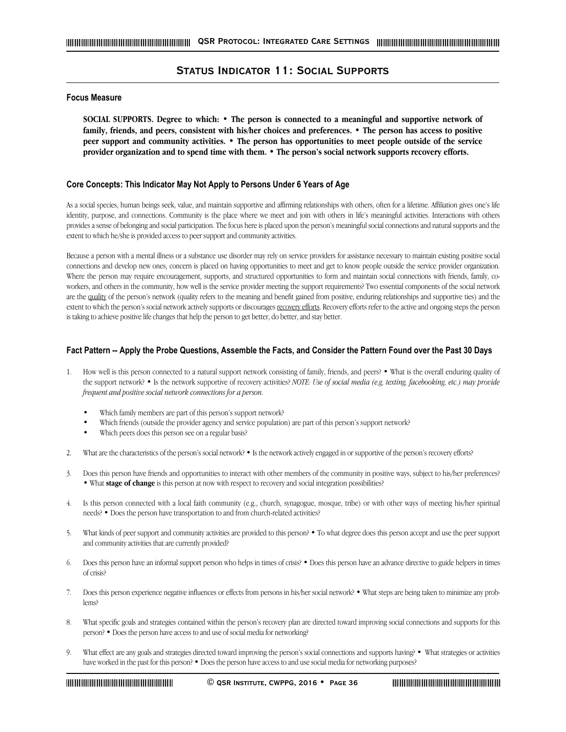# **Status Indicator 11: Social Supports**

#### **Focus Measure**

**SOCIAL SUPPORTS. Degree to which: • The person is connected to a meaningful and supportive network of family, friends, and peers, consistent with his/her choices and preferences. • The person has access to positive peer support and community activities. • The person has opportunities to meet people outside of the service provider organization and to spend time with them. • The person's social network supports recovery efforts.** 

#### **Core Concepts: This Indicator May Not Apply to Persons Under 6 Years of Age**

As a social species, human beings seek, value, and maintain supportive and affirming relationships with others, often for a lifetime. Affiliation gives one's life identity, purpose, and connections. Community is the place where we meet and join with others in life's meaningful activities. Interactions with others provides a sense of belonging and social participation. The focus here is placed upon the person's meaningful social connections and natural supports and the extent to which he/she is provided access to peer support and community activities.

Because a person with a mental illness or a substance use disorder may rely on service providers for assistance necessary to maintain existing positive social connections and develop new ones, concern is placed on having opportunities to meet and get to know people outside the service provider organization. Where the person may require encouragement, supports, and structured opportunities to form and maintain social connections with friends, family, coworkers, and others in the community, how well is the service provider meeting the support requirements? Two essential components of the social network are the quality of the person's network (quality refers to the meaning and benefit gained from positive, enduring relationships and supportive ties) and the extent to which the person's social network actively supports or discourages recovery efforts. Recovery efforts refer to the active and ongoing steps the person is taking to achieve positive life changes that help the person to get better, do better, and stay better.

#### **Fact Pattern -- Apply the Probe Questions, Assemble the Facts, and Consider the Pattern Found over the Past 30 Days**

- 1. How well is this person connected to a natural support network consisting of family, friends, and peers? What is the overall enduring quality of the support network? • Is the network supportive of recovery activities? *NOTE: Use of social media (e.g, texting, facebooking, etc.) may provide frequent and positive social network connections for a person.*
	- Which family members are part of this person's support network?
	- Which friends (outside the provider agency and service population) are part of this person's support network?
	- Which peers does this person see on a regular basis?
- 2. What are the characteristics of the person's social network? Is the network actively engaged in or supportive of the person's recovery efforts?
- Does this person have friends and opportunities to interact with other members of the community in positive ways, subject to his/her preferences? • What **stage of change** is this person at now with respect to recovery and social integration possibilities?
- 4. Is this person connected with a local faith community (e.g., church, synagogue, mosque, tribe) or with other ways of meeting his/her spiritual needs? • Does the person have transportation to and from church-related activities?
- 5. What kinds of peer support and community activities are provided to this person? To what degree does this person accept and use the peer support and community activities that are currently provided?
- 6. Does this person have an informal support person who helps in times of crisis? Does this person have an advance directive to guide helpers in times of crisis?
- 7. Does this person experience negative influences or effects from persons in his/her social network? What steps are being taken to minimize any problems?
- 8. What specific goals and strategies contained within the person's recovery plan are directed toward improving social connections and supports for this person? • Does the person have access to and use of social media for networking?
- 9. What effect are any goals and strategies directed toward improving the person's social connections and supports having? What strategies or activities have worked in the past for this person? • Does the person have access to and use social media for networking purposes?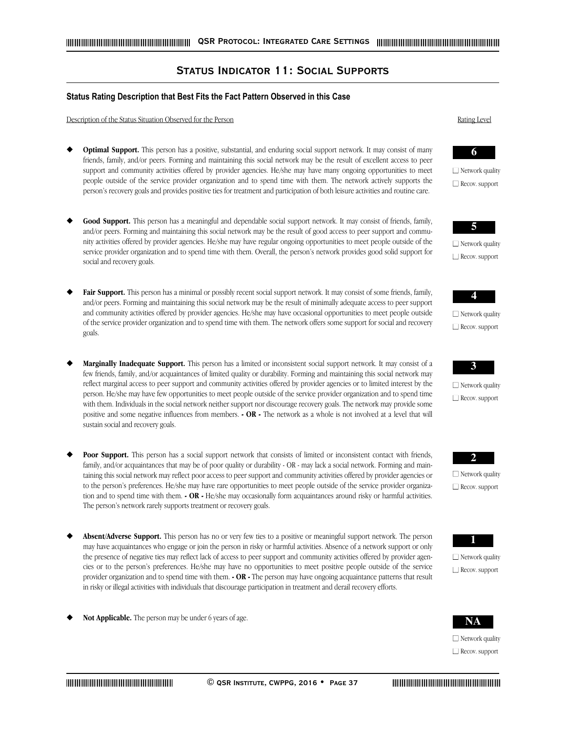## **Status Indicator 11: Social Supports**

## **Status Rating Description that Best Fits the Fact Pattern Observed in this Case**

Description of the Status Situation Observed for the Person Rating Level

- Optimal Support. This person has a positive, substantial, and enduring social support network. It may consist of many friends, family, and/or peers. Forming and maintaining this social network may be the result of excellent access to peer support and community activities offered by provider agencies. He/she may have many ongoing opportunities to meet people outside of the service provider organization and to spend time with them. The network actively supports the person's recovery goals and provides positive ties for treatment and participation of both leisure activities and routine care.
- Good Support. This person has a meaningful and dependable social support network. It may consist of friends, family, and/or peers. Forming and maintaining this social network may be the result of good access to peer support and community activities offered by provider agencies. He/she may have regular ongoing opportunities to meet people outside of the service provider organization and to spend time with them. Overall, the person's network provides good solid support for social and recovery goals.
- Fair Support. This person has a minimal or possibly recent social support network. It may consist of some friends, family, and/or peers. Forming and maintaining this social network may be the result of minimally adequate access to peer support and community activities offered by provider agencies. He/she may have occasional opportunities to meet people outside of the service provider organization and to spend time with them. The network offers some support for social and recovery goals.
- **Marginally Inadequate Support.** This person has a limited or inconsistent social support network. It may consist of a few friends, family, and/or acquaintances of limited quality or durability. Forming and maintaining this social network may reflect marginal access to peer support and community activities offered by provider agencies or to limited interest by the person. He/she may have few opportunities to meet people outside of the service provider organization and to spend time with them. Individuals in the social network neither support nor discourage recovery goals. The network may provide some positive and some negative influences from members. **- OR -** The network as a whole is not involved at a level that will sustain social and recovery goals.
- Poor Support. This person has a social support network that consists of limited or inconsistent contact with friends, family, and/or acquaintances that may be of poor quality or durability - OR - may lack a social network. Forming and maintaining this social network may reflect poor access to peer support and community activities offered by provider agencies or to the person's preferences. He/she may have rare opportunities to meet people outside of the service provider organization and to spend time with them. **- OR -** He/she may occasionally form acquaintances around risky or harmful activities. The person's network rarely supports treatment or recovery goals.
- Absent/Adverse Support. This person has no or very few ties to a positive or meaningful support network. The person may have acquaintances who engage or join the person in risky or harmful activities. Absence of a network support or only the presence of negative ties may reflect lack of access to peer support and community activities offered by provider agencies or to the person's preferences. He/she may have no opportunities to meet positive people outside of the service provider organization and to spend time with them. **- OR -** The person may have ongoing acquaintance patterns that result in risky or illegal activities with individuals that discourage participation in treatment and derail recovery efforts.
- Not Applicable. The person may be under 6 years of age.



□ Recov. support







 $\Box$  Network quality  $\Box$  Recov. support



□ Network quality ■ Recov. support



□ Network quality ■ Recov. support



□ Network quality ■ Recov. support



□ Recov. support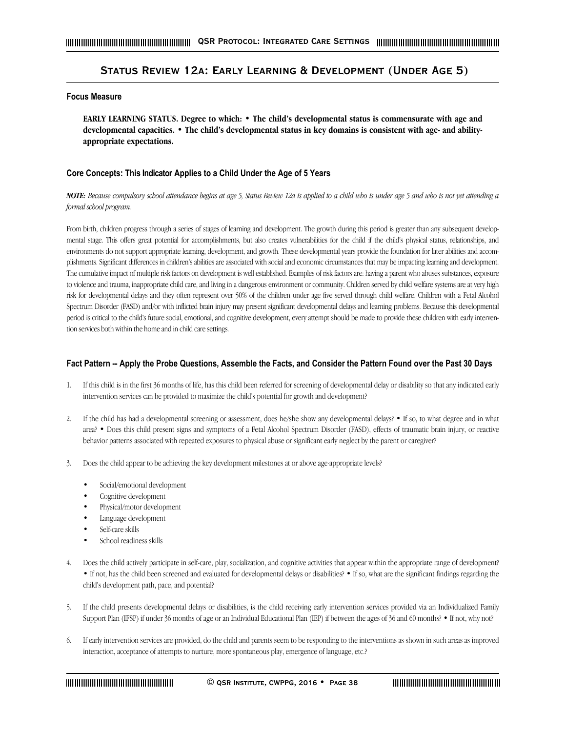## **Status Review 12a: Early Learning & Development (Under Age 5)**

## **Focus Measure**

**EARLY LEARNING STATUS. Degree to which: • The child's developmental status is commensurate with age and developmental capacities. • The child's developmental status in key domains is consistent with age- and abilityappropriate expectations.** 

## **Core Concepts: This Indicator Applies to a Child Under the Age of 5 Years**

*NOTE: Because compulsory school attendance begins at age 5, Status Review 12a is applied to a child who is under age 5 and who is not yet attending a formal school program.*

From birth, children progress through a series of stages of learning and development. The growth during this period is greater than any subsequent developmental stage. This offers great potential for accomplishments, but also creates vulnerabilities for the child if the child's physical status, relationships, and environments do not support appropriate learning, development, and growth. These developmental years provide the foundation for later abilities and accomplishments. Significant differences in children's abilities are associated with social and economic circumstances that may be impacting learning and development. The cumulative impact of multiple risk factors on development is well established. Examples of risk factors are: having a parent who abuses substances, exposure to violence and trauma, inappropriate child care, and living in a dangerous environment or community. Children served by child welfare systems are at very high risk for developmental delays and they often represent over 50% of the children under age five served through child welfare. Children with a Fetal Alcohol Spectrum Disorder (FASD) and/or with inflicted brain injury may present significant developmental delays and learning problems. Because this developmental period is critical to the child's future social, emotional, and cognitive development, every attempt should be made to provide these children with early intervention services both within the home and in child care settings.

- 1. If this child is in the first 36 months of life, has this child been referred for screening of developmental delay or disability so that any indicated early intervention services can be provided to maximize the child's potential for growth and development?
- 2. If the child has had a developmental screening or assessment, does he/she show any developmental delays? If so, to what degree and in what area? • Does this child present signs and symptoms of a Fetal Alcohol Spectrum Disorder (FASD), effects of traumatic brain injury, or reactive behavior patterns associated with repeated exposures to physical abuse or significant early neglect by the parent or caregiver?
- 3. Does the child appear to be achieving the key development milestones at or above age-appropriate levels?
	- Social/emotional development
	- Cognitive development
	- Physical/motor development
	- Language development
	- Self-care skills
	- School readiness skills
- 4. Does the child actively participate in self-care, play, socialization, and cognitive activities that appear within the appropriate range of development? • If not, has the child been screened and evaluated for developmental delays or disabilities? • If so, what are the significant findings regarding the child's development path, pace, and potential?
- 5. If the child presents developmental delays or disabilities, is the child receiving early intervention services provided via an Individualized Family Support Plan (IFSP) if under 36 months of age or an Individual Educational Plan (IEP) if between the ages of 36 and 60 months? • If not, why not?
- 6. If early intervention services are provided, do the child and parents seem to be responding to the interventions as shown in such areas as improved interaction, acceptance of attempts to nurture, more spontaneous play, emergence of language, etc.?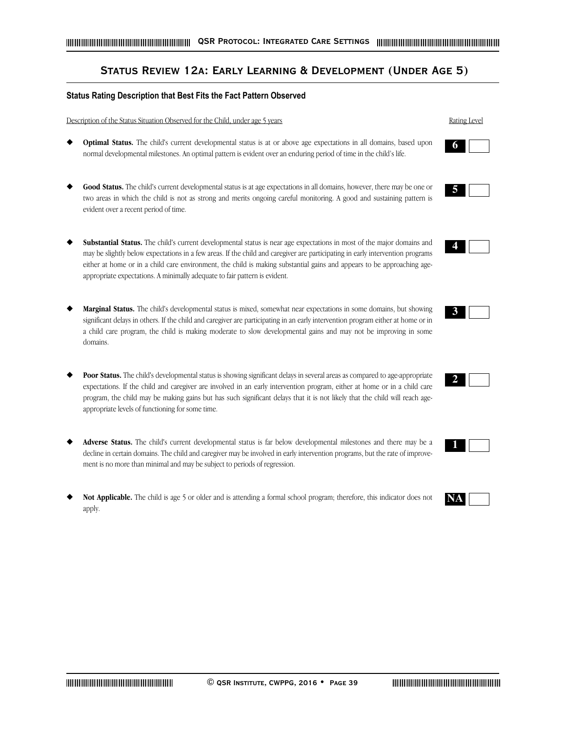## **Status Review 12a: Early Learning & Development (Under Age 5)**

## **Status Rating Description that Best Fits the Fact Pattern Observed**

Description of the Status Situation Observed for the Child, under age 5 years Rating Level

- **Optimal Status.** The child's current developmental status is at or above age expectations in all domains, based upon normal developmental milestones. An optimal pattern is evident over an enduring period of time in the child's life.
- Good Status. The child's current developmental status is at age expectations in all domains, however, there may be one or two areas in which the child is not as strong and merits ongoing careful monitoring. A good and sustaining pattern is evident over a recent period of time.
- Substantial Status. The child's current developmental status is near age expectations in most of the major domains and may be slightly below expectations in a few areas. If the child and caregiver are participating in early intervention programs either at home or in a child care environment, the child is making substantial gains and appears to be approaching ageappropriate expectations. A minimally adequate to fair pattern is evident.
- Marginal Status. The child's developmental status is mixed, somewhat near expectations in some domains, but showing significant delays in others. If the child and caregiver are participating in an early intervention program either at home or in a child care program, the child is making moderate to slow developmental gains and may not be improving in some domains.
- Poor Status. The child's developmental status is showing significant delays in several areas as compared to age-appropriate expectations. If the child and caregiver are involved in an early intervention program, either at home or in a child care program, the child may be making gains but has such significant delays that it is not likely that the child will reach ageappropriate levels of functioning for some time.
- Adverse Status. The child's current developmental status is far below developmental milestones and there may be a decline in certain domains. The child and caregiver may be involved in early intervention programs, but the rate of improvement is no more than minimal and may be subject to periods of regression.
- Not Applicable. The child is age 5 or older and is attending a formal school program; therefore, this indicator does not apply.







|--|--|



|--|--|--|--|--|

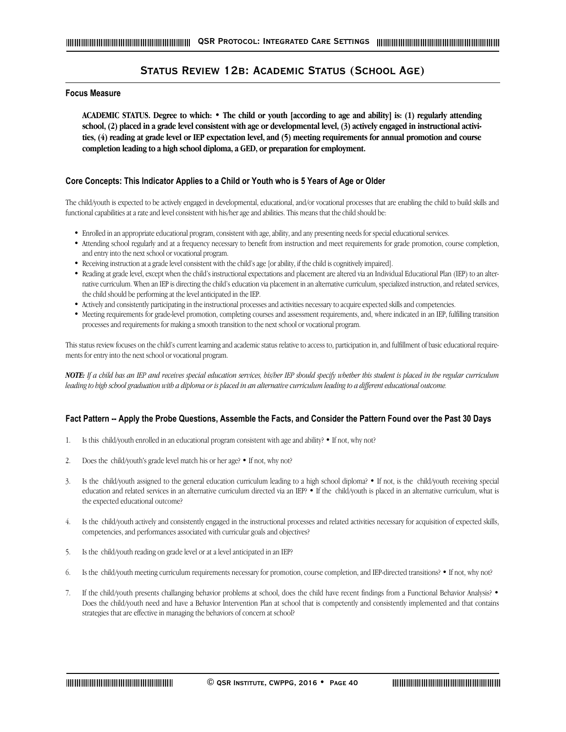## **Status Review 12b: Academic Status (School Age)**

#### **Focus Measure**

**ACADEMIC STATUS. Degree to which: • The child or youth [according to age and ability] is: (1) regularly attending school, (2) placed in a grade level consistent with age or developmental level, (3) actively engaged in instructional activities, (4) reading at grade level or IEP expectation level, and (5) meeting requirements for annual promotion and course completion leading to a high school diploma, a GED, or preparation for employment.** 

## **Core Concepts: This Indicator Applies to a Child or Youth who is 5 Years of Age or Older**

The child/youth is expected to be actively engaged in developmental, educational, and/or vocational processes that are enabling the child to build skills and functional capabilities at a rate and level consistent with his/her age and abilities. This means that the child should be:

- Enrolled in an appropriate educational program, consistent with age, ability, and any presenting needs for special educational services.
- Attending school regularly and at a frequency necessary to benefit from instruction and meet requirements for grade promotion, course completion, and entry into the next school or vocational program.
- Receiving instruction at a grade level consistent with the child's age [or ability, if the child is cognitively impaired].
- Reading at grade level, except when the child's instructional expectations and placement are altered via an Individual Educational Plan (IEP) to an alternative curriculum. When an IEP is directing the child's education via placement in an alternative curriculum, specialized instruction, and related services, the child should be performing at the level anticipated in the IEP.
- Actively and consistently participating in the instructional processes and activities necessary to acquire expected skills and competencies.
- Meeting requirements for grade-level promotion, completing courses and assessment requirements, and, where indicated in an IEP, fulfilling transition processes and requirements for making a smooth transition to the next school or vocational program.

This status review focuses on the child's current learning and academic status relative to access to, participation in, and fulfillment of basic educational requirements for entry into the next school or vocational program.

*NOTE: If a child has an IEP and receives special education services, his/her IEP should specify whether this student is placed in the regular curriculum* leading to high school graduation with a diploma or is placed in an alternative curriculum leading to a different educational outcome.

- 1. Is this child/youth enrolled in an educational program consistent with age and ability? If not, why not?
- 2. Does the child/youth's grade level match his or her age? If not, why not?
- 3. Is the child/youth assigned to the general education curriculum leading to a high school diploma? If not, is the child/youth receiving special education and related services in an alternative curriculum directed via an IEP? • If the child/youth is placed in an alternative curriculum, what is the expected educational outcome?
- 4. Is the child/youth actively and consistently engaged in the instructional processes and related activities necessary for acquisition of expected skills, competencies, and performances associated with curricular goals and objectives?
- 5. Is the child/youth reading on grade level or at a level anticipated in an IEP?
- 6. Is the child/youth meeting curriculum requirements necessary for promotion, course completion, and IEP-directed transitions? If not, why not?
- 7. If the child/youth presents challanging behavior problems at school, does the child have recent findings from a Functional Behavior Analysis? Does the child/youth need and have a Behavior Intervention Plan at school that is competently and consistently implemented and that contains strategies that are effective in managing the behaviors of concern at school?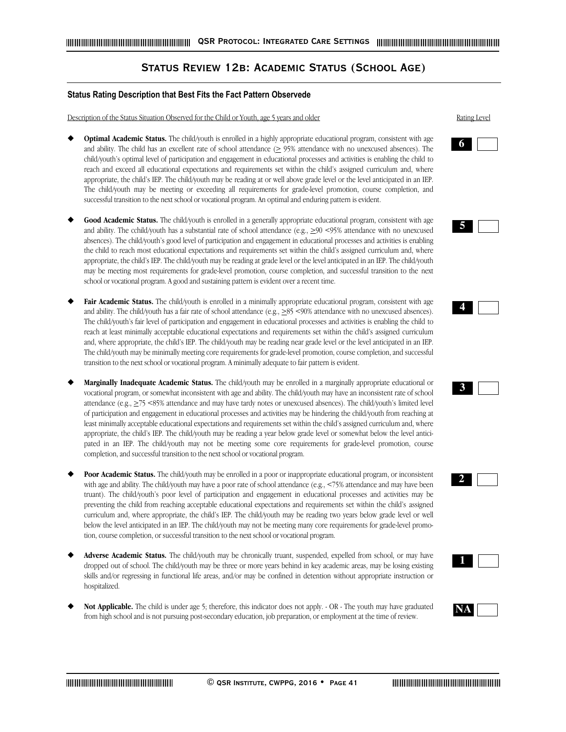## **Status Review 12b: Academic Status (School Age)**

#### **Status Rating Description that Best Fits the Fact Pattern Observede**

Description of the Status Situation Observed for the Child or Youth, age 5 years and older Rating Level

- **Optimal Academic Status.** The child/youth is enrolled in a highly appropriate educational program, consistent with age and ability. The child has an excellent rate of school attendance  $(\geq 95\%$  attendance with no unexcused absences). The child/youth's optimal level of participation and engagement in educational processes and activities is enabling the child to reach and exceed all educational expectations and requirements set within the child's assigned curriculum and, where appropriate, the child's IEP. The child/youth may be reading at or well above grade level or the level anticipated in an IEP. The child/youth may be meeting or exceeding all requirements for grade-level promotion, course completion, and successful transition to the next school or vocational program. An optimal and enduring pattern is evident.
- **Good Academic Status.** The child/youth is enrolled in a generally appropriate educational program, consistent with age and ability. The cchild/youth has a substantial rate of school attendance (e.g.,  $\geq$ 90 <95% attendance with no unexcused absences). The child/youth's good level of participation and engagement in educational processes and activities is enabling the child to reach most educational expectations and requirements set within the child's assigned curriculum and, where appropriate, the child's IEP. The child/youth may be reading at grade level or the level anticipated in an IEP. The child/youth may be meeting most requirements for grade-level promotion, course completion, and successful transition to the next school or vocational program. A good and sustaining pattern is evident over a recent time.
- Fair Academic Status. The child/youth is enrolled in a minimally appropriate educational program, consistent with age and ability. The child/youth has a fair rate of school attendance (e.g.,  $\geq 85$  <90% attendance with no unexcused absences). The child/youth's fair level of participation and engagement in educational processes and activities is enabling the child to reach at least minimally acceptable educational expectations and requirements set within the child's assigned curriculum and, where appropriate, the child's IEP. The child/youth may be reading near grade level or the level anticipated in an IEP. The child/youth may be minimally meeting core requirements for grade-level promotion, course completion, and successful transition to the next school or vocational program. A minimally adequate to fair pattern is evident.
- **Marginally Inadequate Academic Status.** The child/youth may be enrolled in a marginally appropriate educational or vocational program, or somewhat inconsistent with age and ability. The child/youth may have an inconsistent rate of school attendance  $(e.g., \ge 75 \le 85\%$  attendance and may have tardy notes or unexcused absences). The child/youth's limited level of participation and engagement in educational processes and activities may be hindering the child/youth from reaching at least minimally acceptable educational expectations and requirements set within the child's assigned curriculum and, where appropriate, the child's IEP. The child/youth may be reading a year below grade level or somewhat below the level anticipated in an IEP. The child/youth may not be meeting some core requirements for grade-level promotion, course completion, and successful transition to the next school or vocational program.
- Poor Academic Status. The child/youth may be enrolled in a poor or inappropriate educational program, or inconsistent with age and ability. The child/youth may have a poor rate of school attendance (e.g., <75% attendance and may have been truant). The child/youth's poor level of participation and engagement in educational processes and activities may be preventing the child from reaching acceptable educational expectations and requirements set within the child's assigned curriculum and, where appropriate, the child's IEP. The child/youth may be reading two years below grade level or well below the level anticipated in an IEP. The child/youth may not be meeting many core requirements for grade-level promotion, course completion, or successful transition to the next school or vocational program.
- Adverse Academic Status. The child/youth may be chronically truant, suspended, expelled from school, or may have dropped out of school. The child/youth may be three or more years behind in key academic areas, may be losing existing skills and/or regressing in functional life areas, and/or may be confined in detention without appropriate instruction or hospitalized.
- Not Applicable. The child is under age 5; therefore, this indicator does not apply. OR The youth may have graduated from high school and is not pursuing post-secondary education, job preparation, or employment at the time of review.













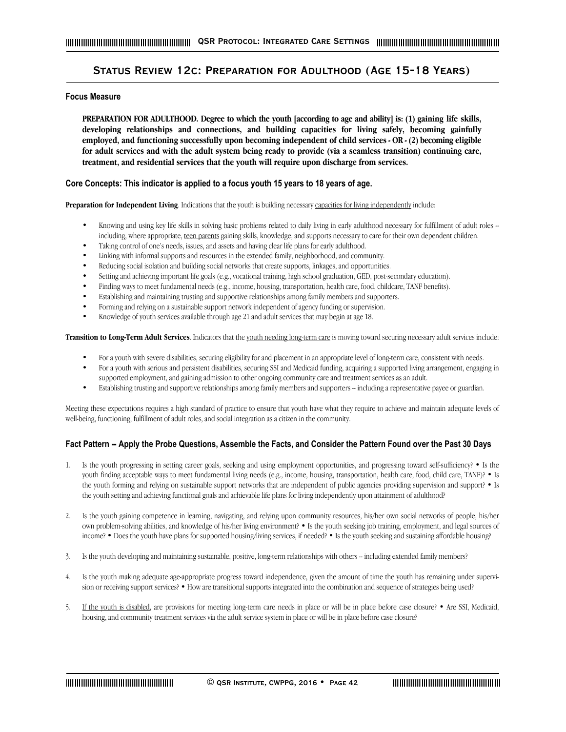## **Status Review 12c: Preparation for Adulthood (Age 15-18 Years)**

## **Focus Measure**

**PREPARATION FOR ADULTHOOD. Degree to which the youth [according to age and ability] is: (1) gaining life skills, developing relationships and connections, and building capacities for living safely, becoming gainfully employed, and functioning successfully upon becoming independent of child services - OR - (2) becoming eligible for adult services and with the adult system being ready to provide (via a seamless transition) continuing care, treatment, and residential services that the youth will require upon discharge from services.**

## **Core Concepts: This indicator is applied to a focus youth 15 years to 18 years of age.**

**Preparation for Independent Living**. Indications that the youth is building necessary capacities for living independently include:

- Knowing and using key life skills in solving basic problems related to daily living in early adulthood necessary for fulfillment of adult roles -including, where appropriate, teen parents gaining skills, knowledge, and supports necessary to care for their own dependent children.
- Taking control of one's needs, issues, and assets and having clear life plans for early adulthood.
- Linking with informal supports and resources in the extended family, neighborhood, and community.
- Reducing social isolation and building social networks that create supports, linkages, and opportunities.
- Setting and achieving important life goals (e.g., vocational training, high school graduation, GED, post-secondary education).
- Finding ways to meet fundamental needs (e.g., income, housing, transportation, health care, food, childcare, TANF benefits).
- Establishing and maintaining trusting and supportive relationships among family members and supporters.
- Forming and relying on a sustainable support network independent of agency funding or supervision.
- Knowledge of youth services available through age 21 and adult services that may begin at age 18.

**Transition to Long-Term Adult Services**. Indicators that the youth needing long-term care is moving toward securing necessary adult services include:

- For a youth with severe disabilities, securing eligibility for and placement in an appropriate level of long-term care, consistent with needs.
- For a youth with serious and persistent disabilities, securing SSI and Medicaid funding, acquiring a supported living arrangement, engaging in supported employment, and gaining admission to other ongoing community care and treatment services as an adult.
- Establishing trusting and supportive relationships among family members and supporters -- including a representative payee or guardian.

Meeting these expectations requires a high standard of practice to ensure that youth have what they require to achieve and maintain adequate levels of well-being, functioning, fulfillment of adult roles, and social integration as a citizen in the community.

- 1. Is the youth progressing in setting career goals, seeking and using employment opportunities, and progressing toward self-sufficiency? Is the youth finding acceptable ways to meet fundamental living needs (e.g., income, housing, transportation, health care, food, child care, TANF)? • Is the youth forming and relying on sustainable support networks that are independent of public agencies providing supervision and support? • Is the youth setting and achieving functional goals and achievable life plans for living independently upon attainment of adulthood?
- 2. Is the youth gaining competence in learning, navigating, and relying upon community resources, his/her own social networks of people, his/her own problem-solving abilities, and knowledge of his/her living environment? • Is the youth seeking job training, employment, and legal sources of income? • Does the youth have plans for supported housing/living services, if needed? • Is the youth seeking and sustaining affordable housing?
- 3. Is the youth developing and maintaining sustainable, positive, long-term relationships with others -- including extended family members?
- 4. Is the youth making adequate age-appropriate progress toward independence, given the amount of time the youth has remaining under supervision or receiving support services? • How are transitional supports integrated into the combination and sequence of strategies being used?
- 5. If the youth is disabled, are provisions for meeting long-term care needs in place or will be in place before case closure? Are SSI, Medicaid, housing, and community treatment services via the adult service system in place or will be in place before case closure?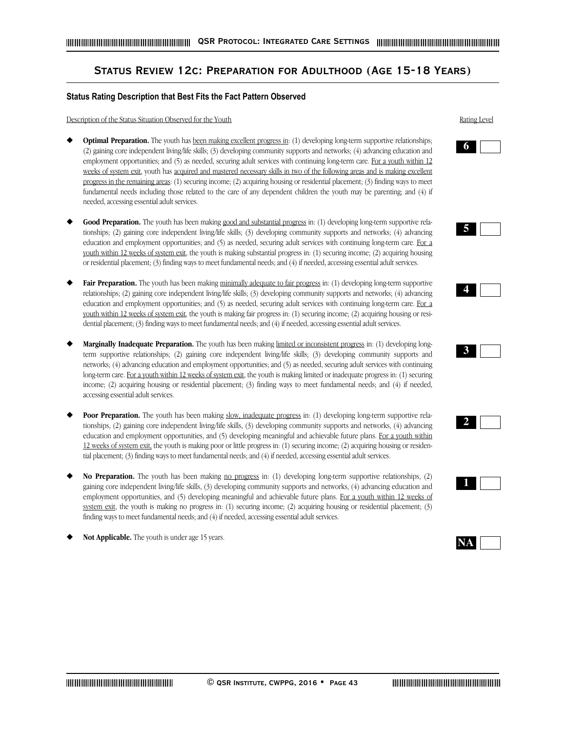## **Status Review 12c: Preparation for Adulthood (Age 15-18 Years)**

## **Status Rating Description that Best Fits the Fact Pattern Observed**

Description of the Status Situation Observed for the Youth

- **Optimal Preparation.** The youth has been making excellent progress in: (1) developing long-term supportive relationships; (2) gaining core independent living/life skills; (3) developing community supports and networks; (4) advancing education and employment opportunities; and (5) as needed, securing adult services with continuing long-term care. For a youth within 12 weeks of system exit, youth has acquired and mastered necessary skills in two of the following areas and is making excellent progress in the remaining areas: (1) securing income; (2) acquiring housing or residential placement; (3) finding ways to meet fundamental needs including those related to the care of any dependent children the youth may be parenting; and (4) if needed, accessing essential adult services.
- Good Preparation. The youth has been making good and substantial progress in: (1) developing long-term supportive relationships; (2) gaining core independent living/life skills; (3) developing community supports and networks; (4) advancing education and employment opportunities; and (5) as needed, securing adult services with continuing long-term care. For a youth within 12 weeks of system exit, the youth is making substantial progress in: (1) securing income; (2) acquiring housing or residential placement; (3) finding ways to meet fundamental needs; and (4) if needed, accessing essential adult services.
- Fair Preparation. The youth has been making minimally adequate to fair progress in: (1) developing long-term supportive relationships; (2) gaining core independent living/life skills; (3) developing community supports and networks; (4) advancing education and employment opportunities; and (5) as needed, securing adult services with continuing long-term care. For a youth within 12 weeks of system exit, the youth is making fair progress in: (1) securing income; (2) acquiring housing or residential placement; (3) finding ways to meet fundamental needs; and (4) if needed, accessing essential adult services.
- **Marginally Inadequate Preparation.** The youth has been making limited or inconsistent progress in: (1) developing longterm supportive relationships; (2) gaining core independent living/life skills; (3) developing community supports and networks; (4) advancing education and employment opportunities; and (5) as needed, securing adult services with continuing long-term care. For a youth within 12 weeks of system exit, the youth is making limited or inadequate progress in: (1) securing income; (2) acquiring housing or residential placement; (3) finding ways to meet fundamental needs; and (4) if needed, accessing essential adult services.
- **Poor Preparation.** The youth has been making slow, inadequate progress in: (1) developing long-term supportive relationships, (2) gaining core independent living/life skills, (3) developing community supports and networks, (4) advancing education and employment opportunities, and (5) developing meaningful and achievable future plans. For a youth within 12 weeks of system exit, the youth is making poor or little progress in: (1) securing income; (2) acquiring housing or residential placement; (3) finding ways to meet fundamental needs; and (4) if needed, accessing essential adult services.
- No Preparation. The youth has been making <u>no progress</u> in: (1) developing long-term supportive relationships, (2) gaining core independent living/life skills, (3) developing community supports and networks, (4) advancing education and employment opportunities, and (5) developing meaningful and achievable future plans. For a youth within 12 weeks of system exit, the youth is making no progress in: (1) securing income; (2) acquiring housing or residential placement; (3) finding ways to meet fundamental needs; and (4) if needed, accessing essential adult services.

Not Applicable. The youth is under age 15 years.













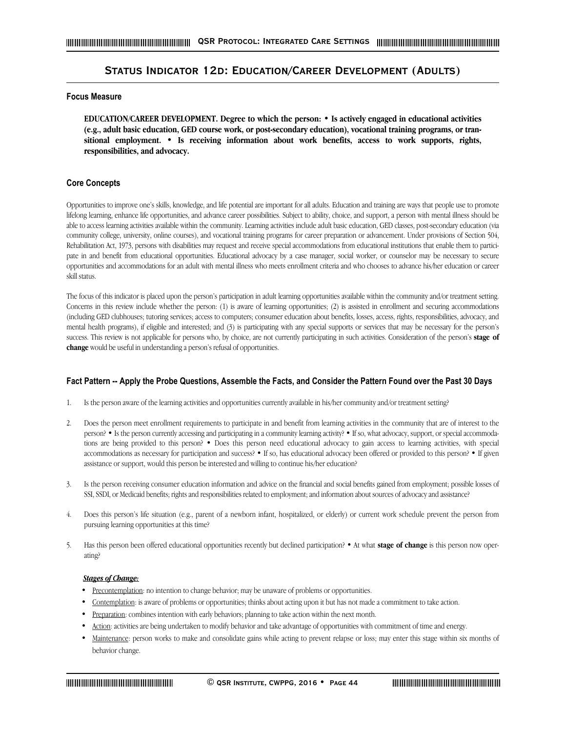## **Status Indicator 12d: Education/Career Development (Adults)**

## **Focus Measure**

**EDUCATION/CAREER DEVELOPMENT. Degree to which the person: • Is actively engaged in educational activities (e.g., adult basic education, GED course work, or post-secondary education), vocational training programs, or transitional employment. • Is receiving information about work benefits, access to work supports, rights, responsibilities, and advocacy.**

## **Core Concepts**

Opportunities to improve one's skills, knowledge, and life potential are important for all adults. Education and training are ways that people use to promote lifelong learning, enhance life opportunities, and advance career possibilities. Subject to ability, choice, and support, a person with mental illness should be able to access learning activities available within the community. Learning activities include adult basic education, GED classes, post-secondary education (via community college, university, online courses), and vocational training programs for career preparation or advancement. Under provisions of Section 504, Rehabilitation Act, 1973, persons with disabilities may request and receive special accommodations from educational institutions that enable them to participate in and benefit from educational opportunities. Educational advocacy by a case manager, social worker, or counselor may be necessary to secure opportunities and accommodations for an adult with mental illness who meets enrollment criteria and who chooses to advance his/her education or career skill status.

The focus of this indicator is placed upon the person's participation in adult learning opportunities available within the community and/or treatment setting. Concerns in this review include whether the person: (1) is aware of learning opportunities; (2) is assisted in enrollment and securing accommodations (including GED clubhouses; tutoring services; access to computers; consumer education about benefits, losses, access, rights, responsibilities, advocacy, and mental health programs), if eligible and interested; and (3) is participating with any special supports or services that may be necessary for the person's success. This review is not applicable for persons who, by choice, are not currently participating in such activities. Consideration of the person's **stage of change** would be useful in understanding a person's refusal of opportunities.

## **Fact Pattern -- Apply the Probe Questions, Assemble the Facts, and Consider the Pattern Found over the Past 30 Days**

- 1. Is the person aware of the learning activities and opportunities currently available in his/her community and/or treatment setting?
- 2. Does the person meet enrollment requirements to participate in and benefit from learning activities in the community that are of interest to the person? • Is the person currently accessing and participating in a community learning activity? • If so, what advocacy, support, or special accommodations are being provided to this person? • Does this person need educational advocacy to gain access to learning activities, with special accommodations as necessary for participation and success? • If so, has educational advocacy been offered or provided to this person? • If given assistance or support, would this person be interested and willing to continue his/her education?
- 3. Is the person receiving consumer education information and advice on the financial and social benefits gained from employment; possible losses of SSI, SSDI, or Medicaid benefits; rights and responsibilities related to employment; and information about sources of advocacy and assistance?
- Does this person's life situation (e.g., parent of a newborn infant, hospitalized, or elderly) or current work schedule prevent the person from pursuing learning opportunities at this time?
- 5. Has this person been offered educational opportunities recently but declined participation? At what **stage of change** is this person now operating?

## *Stages of Change:*

- Precontemplation: no intention to change behavior; may be unaware of problems or opportunities.
- Contemplation: is aware of problems or opportunities; thinks about acting upon it but has not made a commitment to take action.
- Preparation: combines intention with early behaviors; planning to take action within the next month.
- Action: activities are being undertaken to modify behavior and take advantage of opportunities with commitment of time and energy.
- Maintenance: person works to make and consolidate gains while acting to prevent relapse or loss; may enter this stage within six months of behavior change.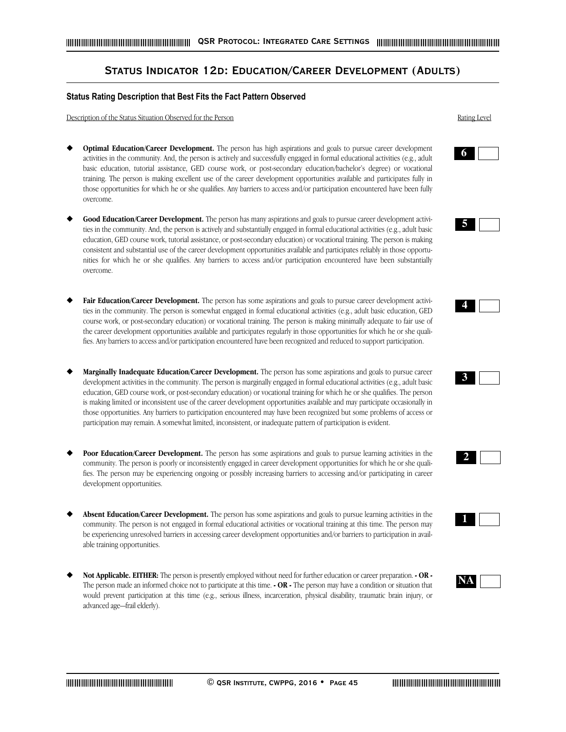## **Status Indicator 12d: Education/Career Development (Adults)**

## **Status Rating Description that Best Fits the Fact Pattern Observed**

Description of the Status Situation Observed for the Person Rating Level

- Optimal Education/Career Development. The person has high aspirations and goals to pursue career development activities in the community. And, the person is actively and successfully engaged in formal educational activities (e.g., adult basic education, tutorial assistance, GED course work, or post-secondary education/bachelor's degree) or vocational training. The person is making excellent use of the career development opportunities available and participates fully in those opportunities for which he or she qualifies. Any barriers to access and/or participation encountered have been fully overcome.
- Good Education/Career Development. The person has many aspirations and goals to pursue career development activities in the community. And, the person is actively and substantially engaged in formal educational activities (e.g., adult basic education, GED course work, tutorial assistance, or post-secondary education) or vocational training. The person is making consistent and substantial use of the career development opportunities available and participates reliably in those opportunities for which he or she qualifies. Any barriers to access and/or participation encountered have been substantially overcome.
- Fair Education/Career Development. The person has some aspirations and goals to pursue career development activities in the community. The person is somewhat engaged in formal educational activities (e.g., adult basic education, GED course work, or post-secondary education) or vocational training. The person is making minimally adequate to fair use of the career development opportunities available and participates regularly in those opportunities for which he or she qualifies. Any barriers to access and/or participation encountered have been recognized and reduced to support participation.
- Marginally Inadequate Education/Career Development. The person has some aspirations and goals to pursue career development activities in the community. The person is marginally engaged in formal educational activities (e.g., adult basic education, GED course work, or post-secondary education) or vocational training for which he or she qualifies. The person is making limited or inconsistent use of the career development opportunities available and may participate occasionally in those opportunities. Any barriers to participation encountered may have been recognized but some problems of access or participation may remain. A somewhat limited, inconsistent, or inadequate pattern of participation is evident.
- Poor Education/Career Development. The person has some aspirations and goals to pursue learning activities in the community. The person is poorly or inconsistently engaged in career development opportunities for which he or she qualifies. The person may be experiencing ongoing or possibly increasing barriers to accessing and/or participating in career development opportunities.
- Absent Education/Career Development. The person has some aspirations and goals to pursue learning activities in the community. The person is not engaged in formal educational activities or vocational training at this time. The person may be experiencing unresolved barriers in accessing career development opportunities and/or barriers to participation in available training opportunities.
- **Not Applicable. EITHER:** The person is presently employed without need for further education or career preparation.  $\cdot$  OR  $\cdot$ The person made an informed choice not to participate at this time. **- OR -** The person may have a condition or situation that would prevent participation at this time (e.g., serious illness, incarceration, physical disability, traumatic brain injury, or advanced age—frail elderly).













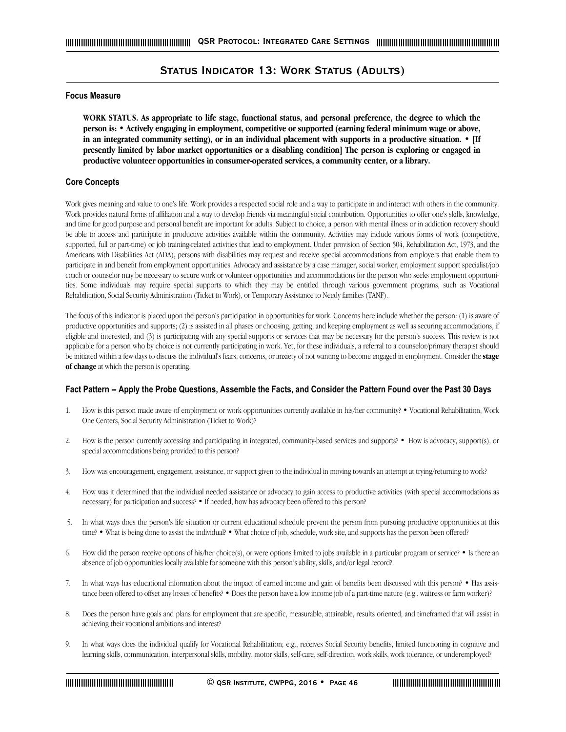## **Status Indicator 13: Work Status (Adults)**

#### **Focus Measure**

**WORK STATUS. As appropriate to life stage, functional status, and personal preference, the degree to which the person is: • Actively engaging in employment, competitive or supported (earning federal minimum wage or above, in an integrated community setting), or in an individual placement with supports in a productive situation. • [If presently limited by labor market opportunities or a disabling condition] The person is exploring or engaged in productive volunteer opportunities in consumer-operated services, a community center, or a library.**

## **Core Concepts**

Work gives meaning and value to one's life. Work provides a respected social role and a way to participate in and interact with others in the community. Work provides natural forms of affiliation and a way to develop friends via meaningful social contribution. Opportunities to offer one's skills, knowledge, and time for good purpose and personal benefit are important for adults. Subject to choice, a person with mental illness or in addiction recovery should be able to access and participate in productive activities available within the community. Activities may include various forms of work (competitive, supported, full or part-time) or job training-related activities that lead to employment. Under provision of Section 504, Rehabilitation Act, 1973, and the Americans with Disabilities Act (ADA), persons with disabilities may request and receive special accommodations from employers that enable them to participate in and benefit from employment opportunities. Advocacy and assistance by a case manager, social worker, employment support specialist/job coach or counselor may be necessary to secure work or volunteer opportunities and accommodations for the person who seeks employment opportunities. Some individuals may require special supports to which they may be entitled through various government programs, such as Vocational Rehabilitation, Social Security Administration (Ticket to Work), or Temporary Assistance to Needy families (TANF).

The focus of this indicator is placed upon the person's participation in opportunities for work. Concerns here include whether the person: (1) is aware of productive opportunities and supports; (2) is assisted in all phases or choosing, getting, and keeping employment as well as securing accommodations, if eligible and interested; and (3) is participating with any special supports or services that may be necessary for the person's success. This review is not applicable for a person who by choice is not currently participating in work. Yet, for these individuals, a referral to a counselor/primary therapist should be initiated within a few days to discuss the individual's fears, concerns, or anxiety of not wanting to become engaged in employment. Consider the **stage of change** at which the person is operating.

- 1. How is this person made aware of employment or work opportunities currently available in his/her community? Vocational Rehabilitation, Work One Centers, Social Security Administration (Ticket to Work)?
- 2. How is the person currently accessing and participating in integrated, community-based services and supports? How is advocacy, support(s), or special accommodations being provided to this person?
- 3. How was encouragement, engagement, assistance, or support given to the individual in moving towards an attempt at trying/returning to work?
- 4. How was it determined that the individual needed assistance or advocacy to gain access to productive activities (with special accommodations as necessary) for participation and success? • If needed, how has advocacy been offered to this person?
- 5. In what ways does the person's life situation or current educational schedule prevent the person from pursuing productive opportunities at this time? • What is being done to assist the individual? • What choice of job, schedule, work site, and supports has the person been offered?
- 6. How did the person receive options of his/her choice(s), or were options limited to jobs available in a particular program or service? Is there an absence of job opportunities locally available for someone with this person's ability, skills, and/or legal record?
- 7. In what ways has educational information about the impact of earned income and gain of benefits been discussed with this person? Has assistance been offered to offset any losses of benefits? • Does the person have a low income job of a part-time nature (e.g., waitress or farm worker)?
- 8. Does the person have goals and plans for employment that are specific, measurable, attainable, results oriented, and timeframed that will assist in achieving their vocational ambitions and interest?
- 9. In what ways does the individual qualify for Vocational Rehabilitation; e.g., receives Social Security benefits, limited functioning in cognitive and learning skills, communication, interpersonal skills, mobility, motor skills, self-care, self-direction, work skills, work tolerance, or underemployed?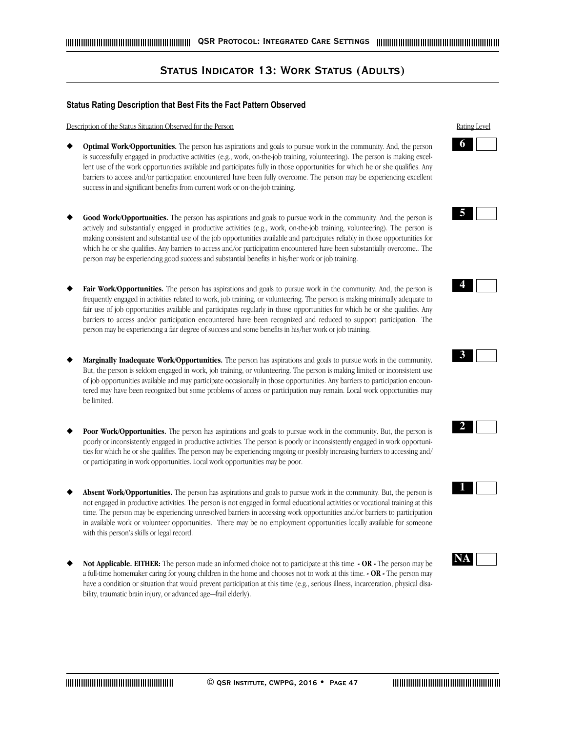## **Status Indicator 13: Work Status (Adults)**

#### **Status Rating Description that Best Fits the Fact Pattern Observed**

Description of the Status Situation Observed for the Person Rating Level

- **Optimal Work/Opportunities.** The person has aspirations and goals to pursue work in the community. And, the person is successfully engaged in productive activities (e.g., work, on-the-job training, volunteering). The person is making excellent use of the work opportunities available and participates fully in those opportunities for which he or she qualifies. Any barriers to access and/or participation encountered have been fully overcome. The person may be experiencing excellent success in and significant benefits from current work or on-the-job training.
- Good Work/Opportunities. The person has aspirations and goals to pursue work in the community. And, the person is actively and substantially engaged in productive activities (e.g., work, on-the-job training, volunteering). The person is making consistent and substantial use of the job opportunities available and participates reliably in those opportunities for which he or she qualifies. Any barriers to access and/or participation encountered have been substantially overcome.. The person may be experiencing good success and substantial benefits in his/her work or job training.
- Fair Work/Opportunities. The person has aspirations and goals to pursue work in the community. And, the person is frequently engaged in activities related to work, job training, or volunteering. The person is making minimally adequate to fair use of job opportunities available and participates regularly in those opportunities for which he or she qualifies. Any barriers to access and/or participation encountered have been recognized and reduced to support participation. The person may be experiencing a fair degree of success and some benefits in his/her work or job training.
- Marginally Inadequate Work/Opportunities. The person has aspirations and goals to pursue work in the community. But, the person is seldom engaged in work, job training, or volunteering. The person is making limited or inconsistent use of job opportunities available and may participate occasionally in those opportunities. Any barriers to participation encountered may have been recognized but some problems of access or participation may remain. Local work opportunities may be limited.
- Poor Work/Opportunities. The person has aspirations and goals to pursue work in the community. But, the person is poorly or inconsistently engaged in productive activities. The person is poorly or inconsistently engaged in work opportunities for which he or she qualifies. The person may be experiencing ongoing or possibly increasing barriers to accessing and/ or participating in work opportunities. Local work opportunities may be poor.
- Absent Work/Opportunities. The person has aspirations and goals to pursue work in the community. But, the person is not engaged in productive activities. The person is not engaged in formal educational activities or vocational training at this time. The person may be experiencing unresolved barriers in accessing work opportunities and/or barriers to participation in available work or volunteer opportunities. There may be no employment opportunities locally available for someone with this person's skills or legal record.
- **Not Applicable. EITHER:** The person made an informed choice not to participate at this time.  **OR -** The person may be a full-time homemaker caring for young children in the home and chooses not to work at this time. **- OR -** The person may have a condition or situation that would prevent participation at this time (e.g., serious illness, incarceration, physical disability, traumatic brain injury, or advanced age—frail elderly).











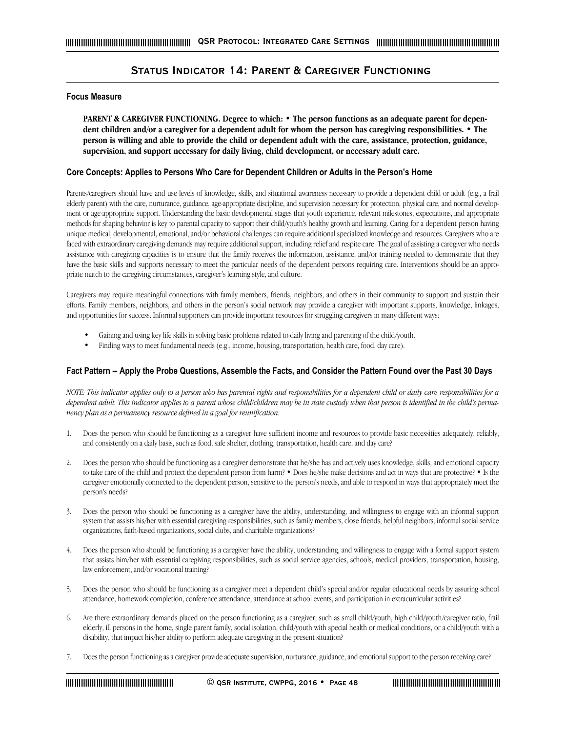## **Status Indicator 14: Parent & Caregiver Functioning**

## **Focus Measure**

**PARENT & CAREGIVER FUNCTIONING. Degree to which: • The person functions as an adequate parent for dependent children and/or a caregiver for a dependent adult for whom the person has caregiving responsibilities. • The person is willing and able to provide the child or dependent adult with the care, assistance, protection, guidance, supervision, and support necessary for daily living, child development, or necessary adult care.** 

## **Core Concepts: Applies to Persons Who Care for Dependent Children or Adults in the Person's Home**

Parents/caregivers should have and use levels of knowledge, skills, and situational awareness necessary to provide a dependent child or adult (e.g., a frail elderly parent) with the care, nurturance, guidance, age-appropriate discipline, and supervision necessary for protection, physical care, and normal development or age-appropriate support. Understanding the basic developmental stages that youth experience, relevant milestones, expectations, and appropriate methods for shaping behavior is key to parental capacity to support their child/youth's healthy growth and learning. Caring for a dependent person having unique medical, developmental, emotional, and/or behavioral challenges can require additional specialized knowledge and resources. Caregivers who are faced with extraordinary caregiving demands may require additional support, including relief and respite care. The goal of assisting a caregiver who needs assistance with caregiving capacities is to ensure that the family receives the information, assistance, and/or training needed to demonstrate that they have the basic skills and supports necessary to meet the particular needs of the dependent persons requiring care. Interventions should be an appropriate match to the caregiving circumstances, caregiver's learning style, and culture.

Caregivers may require meaningful connections with family members, friends, neighbors, and others in their community to support and sustain their efforts. Family members, neighbors, and others in the person's social network may provide a caregiver with important supports, knowledge, linkages, and opportunities for success. Informal supporters can provide important resources for struggling caregivers in many different ways:

- **•** Gaining and using key life skills in solving basic problems related to daily living and parenting of the child/youth.
- **•** Finding ways to meet fundamental needs (e.g., income, housing, transportation, health care, food, day care).

## **Fact Pattern -- Apply the Probe Questions, Assemble the Facts, and Consider the Pattern Found over the Past 30 Days**

*NOTE: This indicator applies only to a person who has parental rights and responsibilities for a dependent child or daily care responsibilities for a dependent adult. This indicator applies to a parent whose child/children may be in state custody when that person is identified in the child's permanency plan as a permanency resource defined in a goal for reunification.*

- 1. Does the person who should be functioning as a caregiver have sufficient income and resources to provide basic necessities adequately, reliably, and consistently on a daily basis, such as food, safe shelter, clothing, transportation, health care, and day care?
- 2. Does the person who should be functioning as a caregiver demonstrate that he/she has and actively uses knowledge, skills, and emotional capacity to take care of the child and protect the dependent person from harm? • Does he/she make decisions and act in ways that are protective? • Is the caregiver emotionally connected to the dependent person, sensitive to the person's needs, and able to respond in ways that appropriately meet the person's needs?
- 3. Does the person who should be functioning as a caregiver have the ability, understanding, and willingness to engage with an informal support system that assists his/her with essential caregiving responsibilities, such as family members, close friends, helpful neighbors, informal social service organizations, faith-based organizations, social clubs, and charitable organizations?
- 4. Does the person who should be functioning as a caregiver have the ability, understanding, and willingness to engage with a formal support system that assists him/her with essential caregiving responsibilities, such as social service agencies, schools, medical providers, transportation, housing, law enforcement, and/or vocational training?
- 5. Does the person who should be functioning as a caregiver meet a dependent child's special and/or regular educational needs by assuring school attendance, homework completion, conference attendance, attendance at school events, and participation in extracurricular activities?
- 6. Are there extraordinary demands placed on the person functioning as a caregiver, such as small child/youth, high child/youth/caregiver ratio, frail elderly, ill persons in the home, single parent family, social isolation, child/youth with special health or medical conditions, or a child/youth with a disability, that impact his/her ability to perform adequate caregiving in the present situation?
- 7. Does the person functioning as a caregiver provide adequate supervision, nurturance, guidance, and emotional support to the person receiving care?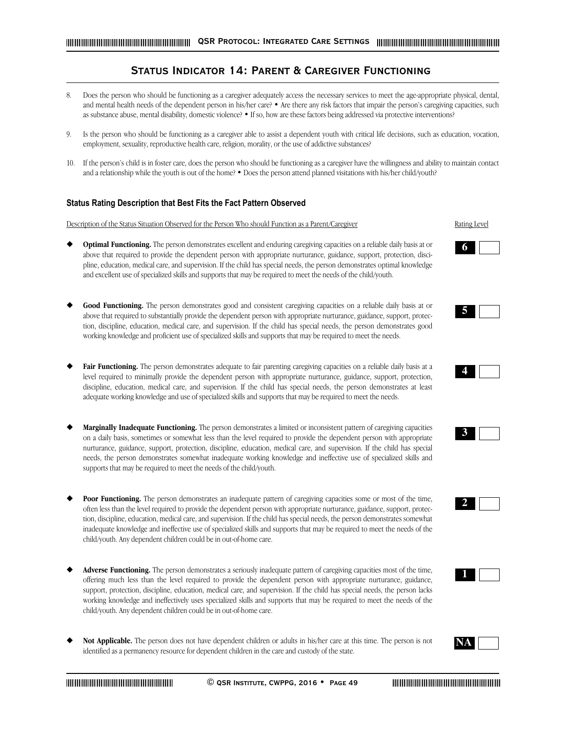## **Status Indicator 14: Parent & Caregiver Functioning**

- 8. Does the person who should be functioning as a caregiver adequately access the necessary services to meet the age-appropriate physical, dental, and mental health needs of the dependent person in his/her care? • Are there any risk factors that impair the person's caregiving capacities, such as substance abuse, mental disability, domestic violence? • If so, how are these factors being addressed via protective interventions?
- Is the person who should be functioning as a caregiver able to assist a dependent youth with critical life decisions, such as education, vocation, employment, sexuality, reproductive health care, religion, morality, or the use of addictive substances?
- 10. If the person's child is in foster care, does the person who should be functioning as a caregiver have the willingness and ability to maintain contact and a relationship while the youth is out of the home? • Does the person attend planned visitations with his/her child/youth?

## **Status Rating Description that Best Fits the Fact Pattern Observed**

Description of the Status Situation Observed for the Person Who should Function as a Parent/Caregiver Rating Level

- Optimal Functioning. The person demonstrates excellent and enduring caregiving capacities on a reliable daily basis at or above that required to provide the dependent person with appropriate nurturance, guidance, support, protection, discipline, education, medical care, and supervision. If the child has special needs, the person demonstrates optimal knowledge and excellent use of specialized skills and supports that may be required to meet the needs of the child/youth.
- Good Functioning. The person demonstrates good and consistent caregiving capacities on a reliable daily basis at or above that required to substantially provide the dependent person with appropriate nurturance, guidance, support, protection, discipline, education, medical care, and supervision. If the child has special needs, the person demonstrates good working knowledge and proficient use of specialized skills and supports that may be required to meet the needs.
- Fair Functioning. The person demonstrates adequate to fair parenting caregiving capacities on a reliable daily basis at a level required to minimally provide the dependent person with appropriate nurturance, guidance, support, protection, discipline, education, medical care, and supervision. If the child has special needs, the person demonstrates at least adequate working knowledge and use of specialized skills and supports that may be required to meet the needs.
- Marginally Inadequate Functioning. The person demonstrates a limited or inconsistent pattern of caregiving capacities on a daily basis, sometimes or somewhat less than the level required to provide the dependent person with appropriate nurturance, guidance, support, protection, discipline, education, medical care, and supervision. If the child has special needs, the person demonstrates somewhat inadequate working knowledge and ineffective use of specialized skills and supports that may be required to meet the needs of the child/youth.
- Poor Functioning. The person demonstrates an inadequate pattern of caregiving capacities some or most of the time, often less than the level required to provide the dependent person with appropriate nurturance, guidance, support, protection, discipline, education, medical care, and supervision. If the child has special needs, the person demonstrates somewhat inadequate knowledge and ineffective use of specialized skills and supports that may be required to meet the needs of the child/youth. Any dependent children could be in out-of-home care.
- Adverse Functioning. The person demonstrates a seriously inadequate pattern of caregiving capacities most of the time, offering much less than the level required to provide the dependent person with appropriate nurturance, guidance, support, protection, discipline, education, medical care, and supervision. If the child has special needs, the person lacks working knowledge and ineffectively uses specialized skills and supports that may be required to meet the needs of the child/youth. Any dependent children could be in out-of-home care.
- Not Applicable. The person does not have dependent children or adults in his/her care at this time. The person is not identified as a permanency resource for dependent children in the care and custody of the state.













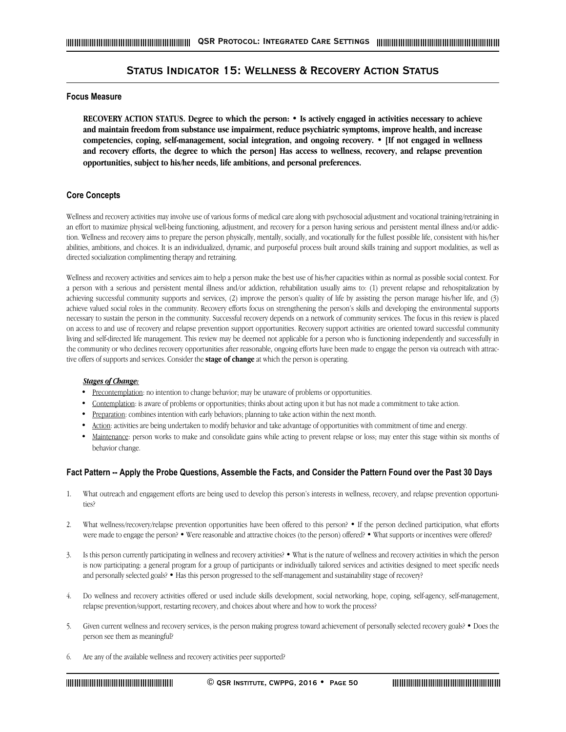## **Status Indicator 15: Wellness & Recovery Action Status**

#### **Focus Measure**

**RECOVERY ACTION STATUS. Degree to which the person: • Is actively engaged in activities necessary to achieve and maintain freedom from substance use impairment, reduce psychiatric symptoms, improve health, and increase competencies, coping, self-management, social integration, and ongoing recovery. • [If not engaged in wellness and recovery efforts, the degree to which the person] Has access to wellness, recovery, and relapse prevention opportunities, subject to his/her needs, life ambitions, and personal preferences.**

#### **Core Concepts**

Wellness and recovery activities may involve use of various forms of medical care along with psychosocial adjustment and vocational training/retraining in an effort to maximize physical well-being functioning, adjustment, and recovery for a person having serious and persistent mental illness and/or addiction. Wellness and recovery aims to prepare the person physically, mentally, socially, and vocationally for the fullest possible life, consistent with his/her abilities, ambitions, and choices. It is an individualized, dynamic, and purposeful process built around skills training and support modalities, as well as directed socialization complimenting therapy and retraining.

Wellness and recovery activities and services aim to help a person make the best use of his/her capacities within as normal as possible social context. For a person with a serious and persistent mental illness and/or addiction, rehabilitation usually aims to: (1) prevent relapse and rehospitalization by achieving successful community supports and services, (2) improve the person's quality of life by assisting the person manage his/her life, and (3) achieve valued social roles in the community. Recovery efforts focus on strengthening the person's skills and developing the environmental supports necessary to sustain the person in the community. Successful recovery depends on a network of community services. The focus in this review is placed on access to and use of recovery and relapse prevention support opportunities. Recovery support activities are oriented toward successful community living and self-directed life management. This review may be deemed not applicable for a person who is functioning independently and successfully in the community or who declines recovery opportunities after reasonable, ongoing efforts have been made to engage the person via outreach with attractive offers of supports and services. Consider the **stage of change** at which the person is operating.

## *Stages of Change:*

- Precontemplation: no intention to change behavior; may be unaware of problems or opportunities.
- Contemplation: is aware of problems or opportunities; thinks about acting upon it but has not made a commitment to take action.
- Preparation: combines intention with early behaviors; planning to take action within the next month.
- Action: activities are being undertaken to modify behavior and take advantage of opportunities with commitment of time and energy.
- Maintenance: person works to make and consolidate gains while acting to prevent relapse or loss; may enter this stage within six months of behavior change.

- 1. What outreach and engagement efforts are being used to develop this person's interests in wellness, recovery, and relapse prevention opportunities?
- 2. What wellness/recovery/relapse prevention opportunities have been offered to this person? If the person declined participation, what efforts were made to engage the person? • Were reasonable and attractive choices (to the person) offered? • What supports or incentives were offered?
- 3. Is this person currently participating in wellness and recovery activities? What is the nature of wellness and recovery activities in which the person is now participating: a general program for a group of participants or individually tailored services and activities designed to meet specific needs and personally selected goals? • Has this person progressed to the self-management and sustainability stage of recovery?
- 4. Do wellness and recovery activities offered or used include skills development, social networking, hope, coping, self-agency, self-management, relapse prevention/support, restarting recovery, and choices about where and how to work the process?
- 5. Given current wellness and recovery services, is the person making progress toward achievement of personally selected recovery goals? Does the person see them as meaningful?
- 6. Are any of the available wellness and recovery activities peer supported?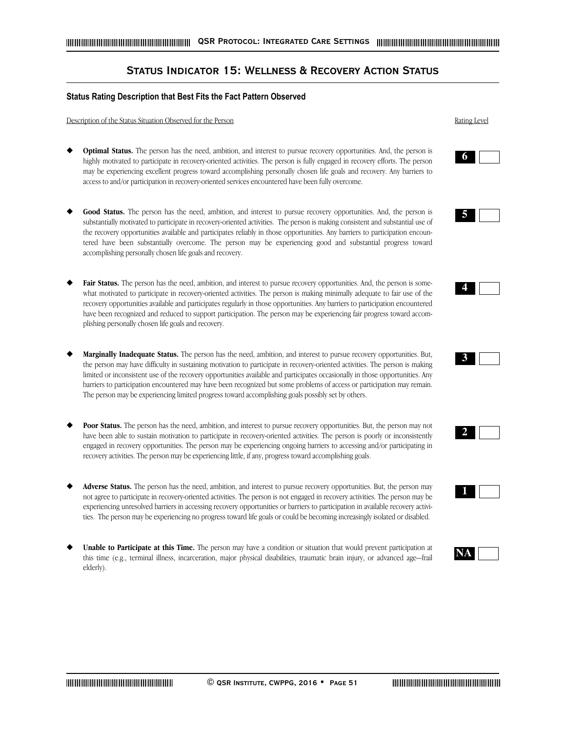## **Status Indicator 15: Wellness & Recovery Action Status**

## **Status Rating Description that Best Fits the Fact Pattern Observed**

Description of the Status Situation Observed for the Person Rating Level

- **Optimal Status.** The person has the need, ambition, and interest to pursue recovery opportunities. And, the person is highly motivated to participate in recovery-oriented activities. The person is fully engaged in recovery efforts. The person may be experiencing excellent progress toward accomplishing personally chosen life goals and recovery. Any barriers to access to and/or participation in recovery-oriented services encountered have been fully overcome.
- Good Status. The person has the need, ambition, and interest to pursue recovery opportunities. And, the person is substantially motivated to participate in recovery-oriented activities. The person is making consistent and substantial use of the recovery opportunities available and participates reliably in those opportunities. Any barriers to participation encountered have been substantially overcome. The person may be experiencing good and substantial progress toward accomplishing personally chosen life goals and recovery.
- Fair Status. The person has the need, ambition, and interest to pursue recovery opportunities. And, the person is somewhat motivated to participate in recovery-oriented activities. The person is making minimally adequate to fair use of the recovery opportunities available and participates regularly in those opportunities. Any barriers to participation encountered have been recognized and reduced to support participation. The person may be experiencing fair progress toward accomplishing personally chosen life goals and recovery.
- Marginally Inadequate Status. The person has the need, ambition, and interest to pursue recovery opportunities. But, the person may have difficulty in sustaining motivation to participate in recovery-oriented activities. The person is making limited or inconsistent use of the recovery opportunities available and participates occasionally in those opportunities. Any barriers to participation encountered may have been recognized but some problems of access or participation may remain. The person may be experiencing limited progress toward accomplishing goals possibly set by others.
- Poor Status. The person has the need, ambition, and interest to pursue recovery opportunities. But, the person may not have been able to sustain motivation to participate in recovery-oriented activities. The person is poorly or inconsistently engaged in recovery opportunities. The person may be experiencing ongoing barriers to accessing and/or participating in recovery activities. The person may be experiencing little, if any, progress toward accomplishing goals.
- Adverse Status. The person has the need, ambition, and interest to pursue recovery opportunities. But, the person may not agree to participate in recovery-oriented activities. The person is not engaged in recovery activities. The person may be experiencing unresolved barriers in accessing recovery opportunities or barriers to participation in available recovery activities. The person may be experiencing no progress toward life goals or could be becoming increasingly isolated or disabled.
- Unable to Participate at this Time. The person may have a condition or situation that would prevent participation at this time (e.g., terminal illness, incarceration, major physical disabilities, traumatic brain injury, or advanced age—frail elderly).













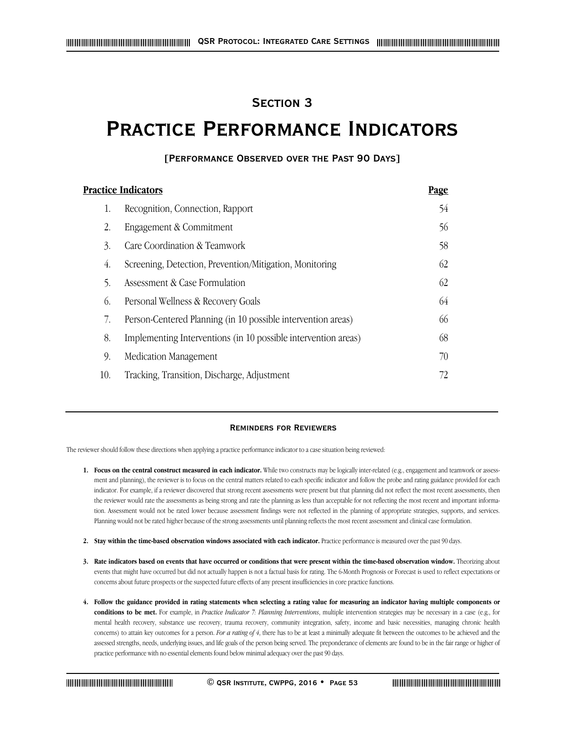## **Section 3**

# **Practice Performance Indicators**

## **[Performance Observed over the Past 90 Days]**

|     | <b>Practice Indicators</b>                                     | <u>Page</u> |
|-----|----------------------------------------------------------------|-------------|
| 1.  | Recognition, Connection, Rapport                               | 54          |
| 2.  | Engagement & Commitment                                        | 56          |
| 3.  | Care Coordination & Teamwork                                   | 58          |
| 4.  | Screening, Detection, Prevention/Mitigation, Monitoring        | 62          |
| 5.  | Assessment & Case Formulation                                  | 62          |
| 6.  | Personal Wellness & Recovery Goals                             | 64          |
| 7.  | Person-Centered Planning (in 10 possible intervention areas)   | 66          |
| 8.  | Implementing Interventions (in 10 possible intervention areas) | 68          |
| 9.  | Medication Management                                          | 70          |
| 10. | Tracking, Transition, Discharge, Adjustment                    | 72          |

## **Reminders for Reviewers**

The reviewer should follow these directions when applying a practice performance indicator to a case situation being reviewed:

- **1. Focus on the central construct measured in each indicator.** While two constructs may be logically inter-related (e.g., engagement and teamwork or assessment and planning), the reviewer is to focus on the central matters related to each specific indicator and follow the probe and rating guidance provided for each indicator. For example, if a reviewer discovered that strong recent assessments were present but that planning did not reflect the most recent assessments, then the reviewer would rate the assessments as being strong and rate the planning as less than acceptable for not reflecting the most recent and important information. Assessment would not be rated lower because assessment findings were not reflected in the planning of appropriate strategies, supports, and services. Planning would not be rated higher because of the strong assessments until planning reflects the most recent assessment and clinical case formulation.
- **2. Stay within the time-based observation windows associated with each indicator.** Practice performance is measured over the past 90 days.
- **3. Rate indicators based on events that have occurred or conditions that were present within the time-based observation window.** Theorizing about events that might have occurred but did not actually happen is not a factual basis for rating. The 6-Month Prognosis or Forecast is used to reflect expectations or concerns about future prospects or the suspected future effects of any present insufficiencies in core practice functions.
- **4. Follow the guidance provided in rating statements when selecting a rating value for measuring an indicator having multiple components or conditions to be met.** For example, in *Practice Indicator 7: Planning Interventions*, multiple intervention strategies may be necessary in a case (e.g., for mental health recovery, substance use recovery, trauma recovery, community integration, safety, income and basic necessities, managing chronic health concerns) to attain key outcomes for a person. *For a rating of 4*, there has to be at least a minimally adequate fit between the outcomes to be achieved and the assessed strengths, needs, underlying issues, and life goals of the person being served. The preponderance of elements are found to be in the fair range or higher of practice performance with no essential elements found below minimal adequacy over the past 90 days.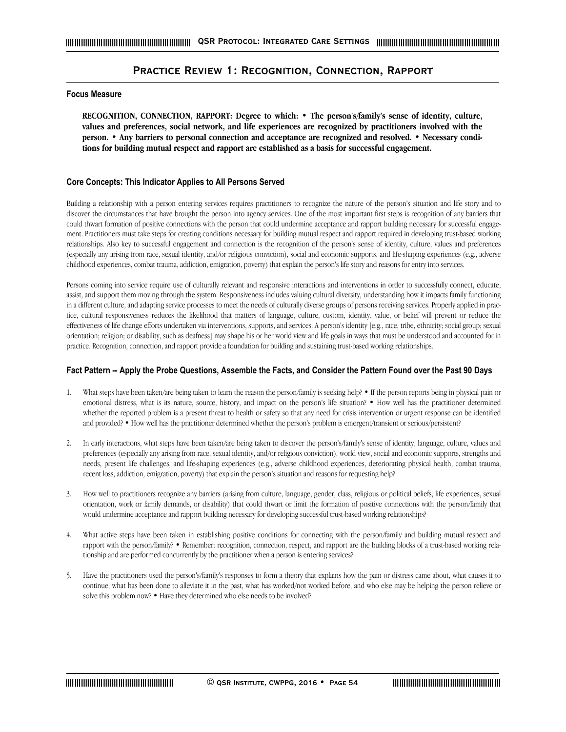## **Practice Review 1: Recognition, Connection, Rapport**

#### **Focus Measure**

**RECOGNITION, CONNECTION, RAPPORT: Degree to which: • The person's/family's sense of identity, culture, values and preferences, social network, and life experiences are recognized by practitioners involved with the person. • Any barriers to personal connection and acceptance are recognized and resolved. • Necessary conditions for building mutual respect and rapport are established as a basis for successful engagement.**

#### **Core Concepts: This Indicator Applies to All Persons Served**

Building a relationship with a person entering services requires practitioners to recognize the nature of the person's situation and life story and to discover the circumstances that have brought the person into agency services. One of the most important first steps is recognition of any barriers that could thwart formation of positive connections with the person that could undermine acceptance and rapport building necessary for successful engagement. Practitioners must take steps for creating conditions necessary for building mutual respect and rapport required in developing trust-based working relationships. Also key to successful engagement and connection is the recognition of the person's sense of identity, culture, values and preferences (especially any arising from race, sexual identity, and/or religious conviction), social and economic supports, and life-shaping experiences (e.g., adverse childhood experiences, combat trauma, addiction, emigration, poverty) that explain the person's life story and reasons for entry into services.

Persons coming into service require use of culturally relevant and responsive interactions and interventions in order to successfully connect, educate, assist, and support them moving through the system. Responsiveness includes valuing cultural diversity, understanding how it impacts family functioning in a different culture, and adapting service processes to meet the needs of culturally diverse groups of persons receiving services. Properly applied in practice, cultural responsiveness reduces the likelihood that matters of language, culture, custom, identity, value, or belief will prevent or reduce the effectiveness of life change efforts undertaken via interventions, supports, and services. A person's identity [e.g., race, tribe, ethnicity; social group; sexual orientation; religion; or disability, such as deafness] may shape his or her world view and life goals in ways that must be understood and accounted for in practice. Recognition, connection, and rapport provide a foundation for building and sustaining trust-based working relationships.

- 1. What steps have been taken/are being taken to learn the reason the person/family is seeking help? If the person reports being in physical pain or emotional distress, what is its nature, source, history, and impact on the person's life situation? • How well has the practitioner determined whether the reported problem is a present threat to health or safety so that any need for crisis intervention or urgent response can be identified and provided? • How well has the practitioner determined whether the person's problem is emergent/transient or serious/persistent?
- 2. In early interactions, what steps have been taken/are being taken to discover the person's/family's sense of identity, language, culture, values and preferences (especially any arising from race, sexual identity, and/or religious conviction), world view, social and economic supports, strengths and needs, present life challenges, and life-shaping experiences (e.g., adverse childhood experiences, deteriorating physical health, combat trauma, recent loss, addiction, emigration, poverty) that explain the person's situation and reasons for requesting help?
- 3. How well to practitioners recognize any barriers (arising from culture, language, gender, class, religious or political beliefs, life experiences, sexual orientation, work or family demands, or disability) that could thwart or limit the formation of positive connections with the person/family that would undermine acceptance and rapport building necessary for developing successful trust-based working relationships?
- 4. What active steps have been taken in establishing positive conditions for connecting with the person/family and building mutual respect and rapport with the person/family? • Remember: recognition, connection, respect, and rapport are the building blocks of a trust-based working relationship and are performed concurrently by the practitioner when a person is entering services?
- 5. Have the practitioners used the person's/family's responses to form a theory that explains how the pain or distress came about, what causes it to continue, what has been done to alleviate it in the past, what has worked/not worked before, and who else may be helping the person relieve or solve this problem now? • Have they determined who else needs to be involved?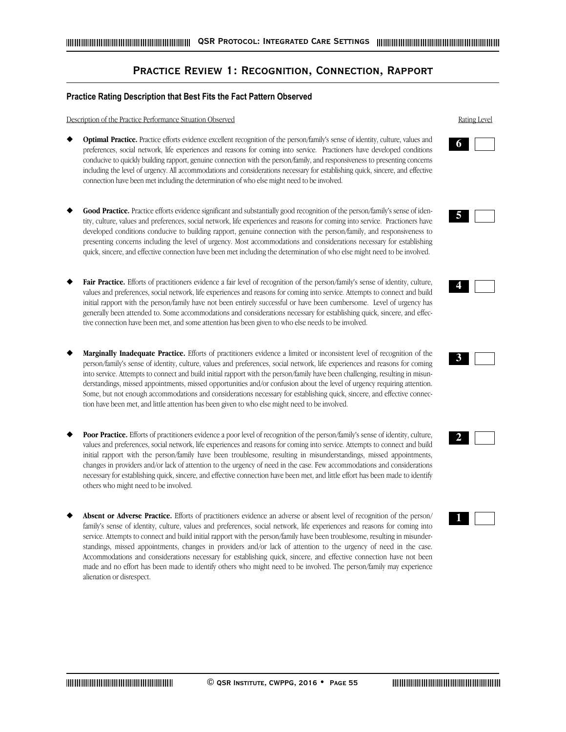## **Practice Review 1: Recognition, Connection, Rapport**

## **Practice Rating Description that Best Fits the Fact Pattern Observed**

Description of the Practice Performance Situation Observed Rating Level

- Optimal Practice. Practice efforts evidence excellent recognition of the person/family's sense of identity, culture, values and preferences, social network, life experiences and reasons for coming into service. Practioners have developed conditions conducive to quickly building rapport, genuine connection with the person/family, and responsiveness to presenting concerns including the level of urgency. All accommodations and considerations necessary for establishing quick, sincere, and effective connection have been met including the determination of who else might need to be involved.
- Good Practice. Practice efforts evidence significant and substantially good recognition of the person/family's sense of identity, culture, values and preferences, social network, life experiences and reasons for coming into service. Practioners have developed conditions conducive to building rapport, genuine connection with the person/family, and responsiveness to presenting concerns including the level of urgency. Most accommodations and considerations necessary for establishing quick, sincere, and effective connection have been met including the determination of who else might need to be involved.
- Fair Practice. Efforts of practitioners evidence a fair level of recognition of the person/family's sense of identity, culture, values and preferences, social network, life experiences and reasons for coming into service. Attempts to connect and build initial rapport with the person/family have not been entirely successful or have been cumbersome. Level of urgency has generally been attended to. Some accommodations and considerations necessary for establishing quick, sincere, and effective connection have been met, and some attention has been given to who else needs to be involved.
- **Marginally Inadequate Practice.** Efforts of practitioners evidence a limited or inconsistent level of recognition of the person/family's sense of identity, culture, values and preferences, social network, life experiences and reasons for coming into service. Attempts to connect and build initial rapport with the person/family have been challenging, resulting in misunderstandings, missed appointments, missed opportunities and/or confusion about the level of urgency requiring attention. Some, but not enough accommodations and considerations necessary for establishing quick, sincere, and effective connection have been met, and little attention has been given to who else might need to be involved.
- Poor Practice. Efforts of practitioners evidence a poor level of recognition of the person/family's sense of identity, culture, values and preferences, social network, life experiences and reasons for coming into service. Attempts to connect and build initial rapport with the person/family have been troublesome, resulting in misunderstandings, missed appointments, changes in providers and/or lack of attention to the urgency of need in the case. Few accommodations and considerations necessary for establishing quick, sincere, and effective connection have been met, and little effort has been made to identify others who might need to be involved.
- Absent or Adverse Practice. Efforts of practitioners evidence an adverse or absent level of recognition of the person/ family's sense of identity, culture, values and preferences, social network, life experiences and reasons for coming into service. Attempts to connect and build initial rapport with the person/family have been troublesome, resulting in misunderstandings, missed appointments, changes in providers and/or lack of attention to the urgency of need in the case. Accommodations and considerations necessary for establishing quick, sincere, and effective connection have not been made and no effort has been made to identify others who might need to be involved. The person/family may experience alienation or disrespect.





|--|--|--|--|--|



|--|--|--|



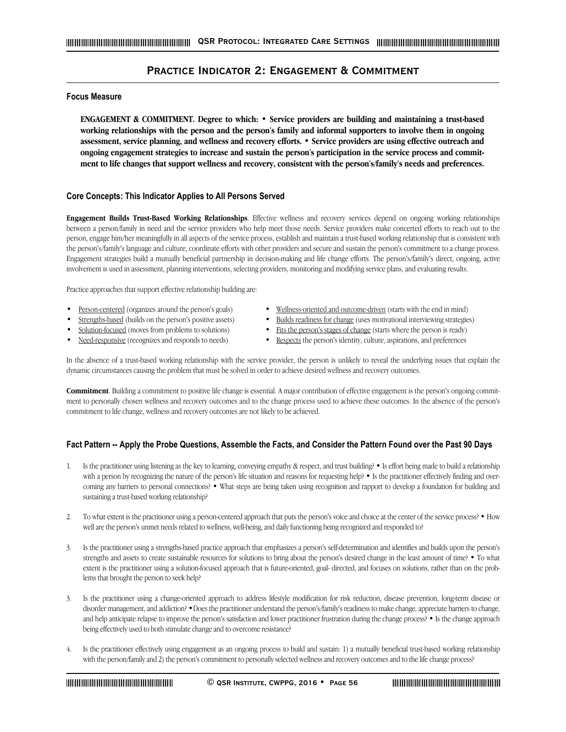## **Practice Indicator 2: Engagement & Commitment**

## **Focus Measure**

**ENGAGEMENT & COMMITMENT. Degree to which: • Service providers are building and maintaining a trust-based working relationships with the person and the person's family and informal supporters to involve them in ongoing assessment, service planning, and wellness and recovery efforts. • Service providers are using effective outreach and ongoing engagement strategies to increase and sustain the person's participation in the service process and commitment to life changes that support wellness and recovery, consistent with the person's/family's needs and preferences.**

## **Core Concepts: This Indicator Applies to All Persons Served**

**Engagement Builds Trust-Based Working Relationships**. Effective wellness and recovery services depend on ongoing working relationships between a person/family in need and the service providers who help meet those needs. Service providers make concerted efforts to reach out to the person, engage him/her meaningfully in all aspects of the service process, establish and maintain a trust-based working relationship that is consistent with the person's/family's language and culture, coordinate efforts with other providers and secure and sustain the person's commitment to a change process. Engagement strategies build a mutually beneficial partnership in decision-making and life change efforts. The person's/family's direct, ongoing, active involvement is used in assessment, planning interventions, selecting providers, monitoring and modifying service plans, and evaluating results.

Practice approaches that support effective relationship building are:

- 
- 
- 
- 
- Person-centered (organizes around the person's goals) <br> **•** Wellness-oriented and outcome-driven (starts with the end in mind)
- Strengths-based (builds on the person's positive assets) Builds readiness for change (uses motivational interviewing strategies)
- Solution-focused (moves from problems to solutions) Fits the person's stages of change (starts where the person is ready)
	- Need-responsive (recognizes and responds to needs) entity, enter the person's identity, culture, aspirations, and preferences

In the absence of a trust-based working relationship with the service provider, the person is unlikely to reveal the underlying issues that explain the dynamic circumstances causing the problem that must be solved in order to achieve desired wellness and recovery outcomes.

**Commitment**. Building a commitment to positive life change is essential. A major contribution of effective engagement is the person's ongoing commitment to personally chosen wellness and recovery outcomes and to the change process used to achieve these outcomes. In the absence of the person's commitment to life change, wellness and recovery outcomes are not likely to be achieved.

- 1. Is the practitioner using listening as the key to learning, conveying empathy & respect, and trust building? Is effort being made to build a relationship with a person by recognizing the nature of the person's life situation and reasons for requesting help? • Is the practitioner effectively finding and overcoming any barriers to personal connections? • What steps are being taken using recognition and rapport to develop a foundation for building and sustaining a trust-based working relationship?
- 2. To what extent is the practitioner using a person-centered approach that puts the person's voice and choice at the center of the service process? How well are the person's unmet needs related to wellness, well-being, and daily functioning being recognized and responded to?
- 3. Is the practitioner using a strengths-based practice approach that emphasizes a person's self-determination and identifies and builds upon the person's strengths and assets to create sustainable resources for solutions to bring about the person's desired change in the least amount of time? • To what extent is the practitioner using a solution-focused approach that is future-oriented, goal- directed, and focuses on solutions, rather than on the problems that brought the person to seek help?
- 3. Is the practitioner using a change-oriented approach to address lifestyle modification for risk reduction, disease prevention, long-term disease or disorder management, and addiction? •Does the practitioner understand the person's/family's readiness to make change, appreciate barriers to change, and help anticipate relapse to improve the person's satisfaction and lower practitioner frustration during the change process? • Is the change approach being effectively used to both stimulate change and to overcome resistance?
- 4. Is the practitioner effectively using engagement as an ongoing process to build and sustain: 1) a mutually beneficial trust-based working relationship with the person/family and 2) the person's commitment to personally selected wellness and recovery outcomes and to the life change process?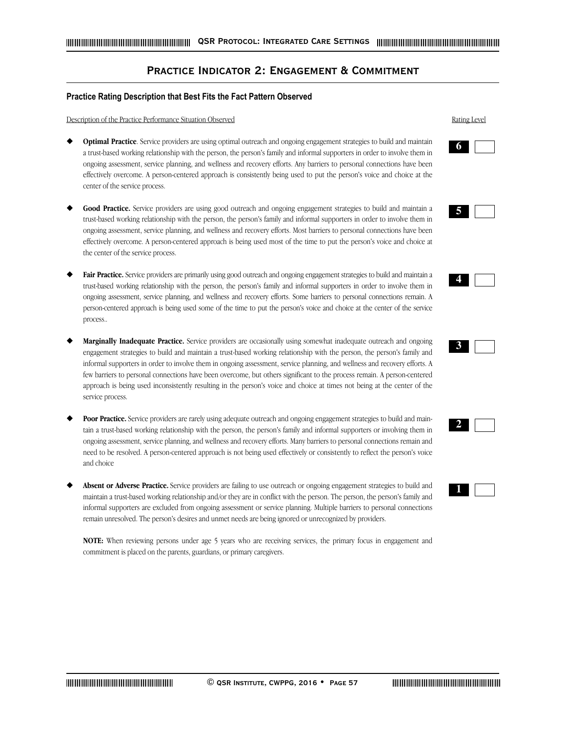## **Practice Indicator 2: Engagement & Commitment**

## **Practice Rating Description that Best Fits the Fact Pattern Observed**

Description of the Practice Performance Situation Observed Rating Level Rating Level

- **Optimal Practice**. Service providers are using optimal outreach and ongoing engagement strategies to build and maintain a trust-based working relationship with the person, the person's family and informal supporters in order to involve them in ongoing assessment, service planning, and wellness and recovery efforts. Any barriers to personal connections have been effectively overcome. A person-centered approach is consistently being used to put the person's voice and choice at the center of the service process.
- Good Practice. Service providers are using good outreach and ongoing engagement strategies to build and maintain a trust-based working relationship with the person, the person's family and informal supporters in order to involve them in ongoing assessment, service planning, and wellness and recovery efforts. Most barriers to personal connections have been effectively overcome. A person-centered approach is being used most of the time to put the person's voice and choice at the center of the service process.
- Fair Practice. Service providers are primarily using good outreach and ongoing engagement strategies to build and maintain a trust-based working relationship with the person, the person's family and informal supporters in order to involve them in ongoing assessment, service planning, and wellness and recovery efforts. Some barriers to personal connections remain. A person-centered approach is being used some of the time to put the person's voice and choice at the center of the service process..
- **Marginally Inadequate Practice.** Service providers are occasionally using somewhat inadequate outreach and ongoing engagement strategies to build and maintain a trust-based working relationship with the person, the person's family and informal supporters in order to involve them in ongoing assessment, service planning, and wellness and recovery efforts. A few barriers to personal connections have been overcome, but others significant to the process remain. A person-centered approach is being used inconsistently resulting in the person's voice and choice at times not being at the center of the service process.
- Poor Practice. Service providers are rarely using adequate outreach and ongoing engagement strategies to build and maintain a trust-based working relationship with the person, the person's family and informal supporters or involving them in ongoing assessment, service planning, and wellness and recovery efforts. Many barriers to personal connections remain and need to be resolved. A person-centered approach is not being used effectively or consistently to reflect the person's voice and choice
- Absent or Adverse Practice. Service providers are failing to use outreach or ongoing engagement strategies to build and maintain a trust-based working relationship and/or they are in conflict with the person. The person, the person's family and informal supporters are excluded from ongoing assessment or service planning. Multiple barriers to personal connections remain unresolved. The person's desires and unmet needs are being ignored or unrecognized by providers.

**NOTE:** When reviewing persons under age 5 years who are receiving services, the primary focus in engagement and commitment is placed on the parents, guardians, or primary caregivers.



|--|--|--|--|--|





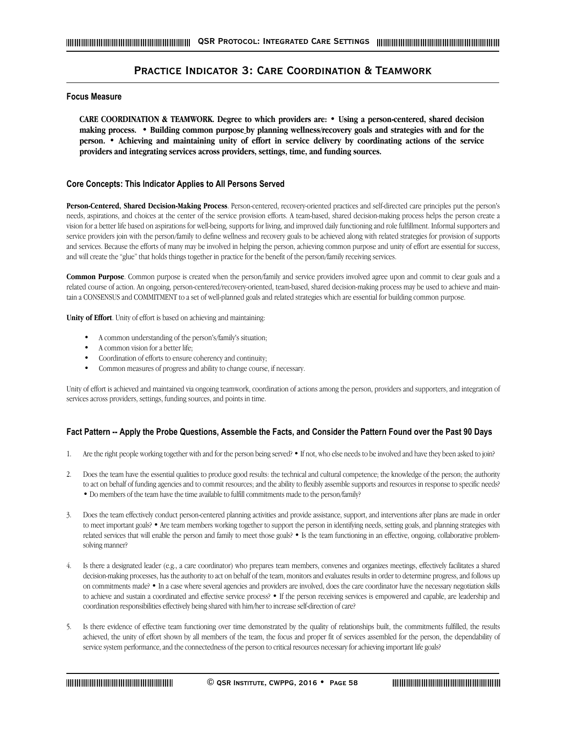## **Practice Indicator 3: Care Coordination & Teamwork**

## **Focus Measure**

**CARE COORDINATION & TEAMWORK. Degree to which providers are: • Using a person-centered, shared decision making process. • Building common purpose by planning wellness/recovery goals and strategies with and for the person. • Achieving and maintaining unity of effort in service delivery by coordinating actions of the service providers and integrating services across providers, settings, time, and funding sources.**

#### **Core Concepts: This Indicator Applies to All Persons Served**

**Person-Centered, Shared Decision-Making Process**. Person-centered, recovery-oriented practices and self-directed care principles put the person's needs, aspirations, and choices at the center of the service provision efforts. A team-based, shared decision-making process helps the person create a vision for a better life based on aspirations for well-being, supports for living, and improved daily functioning and role fulfillment. Informal supporters and service providers join with the person/family to define wellness and recovery goals to be achieved along with related strategies for provision of supports and services. Because the efforts of many may be involved in helping the person, achieving common purpose and unity of effort are essential for success, and will create the "glue" that holds things together in practice for the benefit of the person/family receiving services.

**Common Purpose**. Common purpose is created when the person/family and service providers involved agree upon and commit to clear goals and a related course of action. An ongoing, person-centered/recovery-oriented, team-based, shared decision-making process may be used to achieve and maintain a CONSENSUS and COMMITMENT to a set of well-planned goals and related strategies which are essential for building common purpose.

**Unity of Effort**. Unity of effort is based on achieving and maintaining:

- A common understanding of the person's/family's situation;
- A common vision for a better life;
- Coordination of efforts to ensure coherency and continuity;
- Common measures of progress and ability to change course, if necessary.

Unity of effort is achieved and maintained via ongoing teamwork, coordination of actions among the person, providers and supporters, and integration of services across providers, settings, funding sources, and points in time.

- 1. Are the right people working together with and for the person being served? If not, who else needs to be involved and have they been asked to join?
- 2. Does the team have the essential qualities to produce good results: the technical and cultural competence; the knowledge of the person; the authority to act on behalf of funding agencies and to commit resources; and the ability to flexibly assemble supports and resources in response to specific needs? • Do members of the team have the time available to fulfill commitments made to the person/family?
- 3. Does the team effectively conduct person-centered planning activities and provide assistance, support, and interventions after plans are made in order to meet important goals? • Are team members working together to support the person in identifying needs, setting goals, and planning strategies with related services that will enable the person and family to meet those goals? • Is the team functioning in an effective, ongoing, collaborative problemsolving manner?
- 4. Is there a designated leader (e.g., a care coordinator) who prepares team members, convenes and organizes meetings, effectively facilitates a shared decision-making processes, has the authority to act on behalf of the team, monitors and evaluates results in order to determine progress, and follows up on commitments made? • In a case where several agencies and providers are involved, does the care coordinator have the necessary negotiation skills to achieve and sustain a coordinated and effective service process? • If the person receiving services is empowered and capable, are leadership and coordination responsibilities effectively being shared with him/her to increase self-direction of care?
- Is there evidence of effective team functioning over time demonstrated by the quality of relationships built, the commitments fulfilled, the results achieved, the unity of effort shown by all members of the team, the focus and proper fit of services assembled for the person, the dependability of service system performance, and the connectedness of the person to critical resources necessary for achieving important life goals?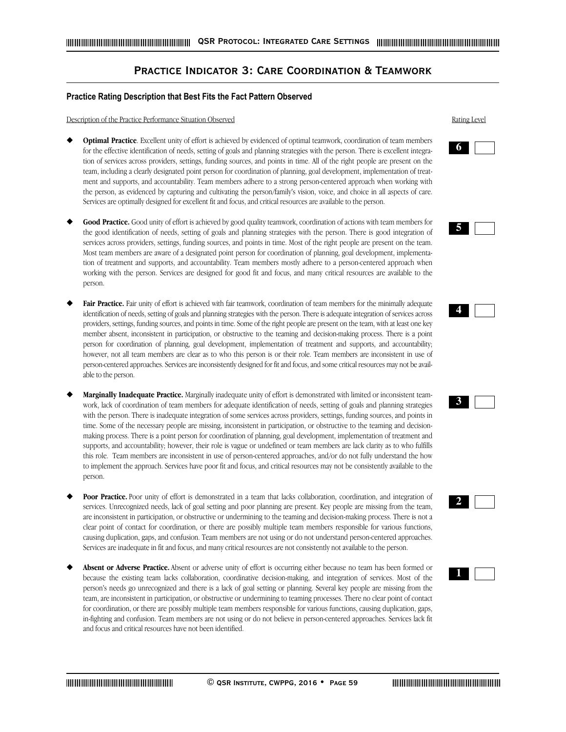## **Practice Indicator 3: Care Coordination & Teamwork**

## **Practice Rating Description that Best Fits the Fact Pattern Observed**

Description of the Practice Performance Situation Observed **Rating Level** Rating Level

- Optimal Practice. Excellent unity of effort is achieved by evidenced of optimal teamwork, coordination of team members for the effective identification of needs, setting of goals and planning strategies with the person. There is excellent integration of services across providers, settings, funding sources, and points in time. All of the right people are present on the team, including a clearly designated point person for coordination of planning, goal development, implementation of treatment and supports, and accountability. Team members adhere to a strong person-centered approach when working with the person, as evidenced by capturing and cultivating the person/family's vision, voice, and choice in all aspects of care. Services are optimally designed for excellent fit and focus, and critical resources are available to the person.
- Good Practice. Good unity of effort is achieved by good quality teamwork, coordination of actions with team members for the good identification of needs, setting of goals and planning strategies with the person. There is good integration of services across providers, settings, funding sources, and points in time. Most of the right people are present on the team. Most team members are aware of a designated point person for coordination of planning, goal development, implementation of treatment and supports, and accountability. Team members mostly adhere to a person-centered approach when working with the person. Services are designed for good fit and focus, and many critical resources are available to the person.
- Fair Practice. Fair unity of effort is achieved with fair teamwork, coordination of team members for the minimally adequate identification of needs, setting of goals and planning strategies with the person. There is adequate integration of services across providers, settings, funding sources, and points in time. Some of the right people are present on the team, with at least one key member absent, inconsistent in participation, or obstructive to the teaming and decision-making process. There is a point person for coordination of planning, goal development, implementation of treatment and supports, and accountability; however, not all team members are clear as to who this person is or their role. Team members are inconsistent in use of person-centered approaches. Services are inconsistently designed for fit and focus, and some critical resources may not be available to the person.
- Marginally Inadequate Practice. Marginally inadequate unity of effort is demonstrated with limited or inconsistent teamwork, lack of coordination of team members for adequate identification of needs, setting of goals and planning strategies with the person. There is inadequate integration of some services across providers, settings, funding sources, and points in time. Some of the necessary people are missing, inconsistent in participation, or obstructive to the teaming and decisionmaking process. There is a point person for coordination of planning, goal development, implementation of treatment and supports, and accountability; however, their role is vague or undefined or team members are lack clarity as to who fulfills this role. Team members are inconsistent in use of person-centered approaches, and/or do not fully understand the how to implement the approach. Services have poor fit and focus, and critical resources may not be consistently available to the person.
- Poor Practice. Poor unity of effort is demonstrated in a team that lacks collaboration, coordination, and integration of services. Unrecognized needs, lack of goal setting and poor planning are present. Key people are missing from the team, are inconsistent in participation, or obstructive or undermining to the teaming and decision-making process. There is not a clear point of contact for coordination, or there are possibly multiple team members responsible for various functions, causing duplication, gaps, and confusion. Team members are not using or do not understand person-centered approaches. Services are inadequate in fit and focus, and many critical resources are not consistently not available to the person.
- Absent or Adverse Practice. Absent or adverse unity of effort is occurring either because no team has been formed or because the existing team lacks collaboration, coordinative decision-making, and integration of services. Most of the person's needs go unrecognized and there is a lack of goal setting or planning. Several key people are missing from the team, are inconsistent in participation, or obstructive or undermining to teaming processes. There no clear point of contact for coordination, or there are possibly multiple team members responsible for various functions, causing duplication, gaps, in-fighting and confusion. Team members are not using or do not believe in person-centered approaches. Services lack fit and focus and critical resources have not been identified.













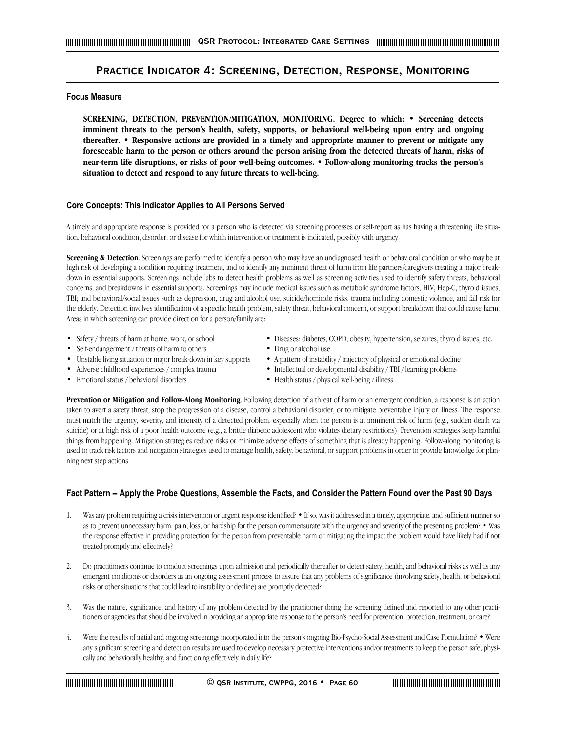## **Practice Indicator 4: Screening, Detection, Response, Monitoring**

## **Focus Measure**

**SCREENING, DETECTION, PREVENTION/MITIGATION, MONITORING. Degree to which: • Screening detects imminent threats to the person's health, safety, supports, or behavioral well-being upon entry and ongoing thereafter. • Responsive actions are provided in a timely and appropriate manner to prevent or mitigate any foreseeable harm to the person or others around the person arising from the detected threats of harm, risks of near-term life disruptions, or risks of poor well-being outcomes. • Follow-along monitoring tracks the person's situation to detect and respond to any future threats to well-being.**

## **Core Concepts: This Indicator Applies to All Persons Served**

A timely and appropriate response is provided for a person who is detected via screening processes or self-report as has having a threatening life situation, behavioral condition, disorder, or disease for which intervention or treatment is indicated, possibly with urgency.

**Screening & Detection**. Screenings are performed to identify a person who may have an undiagnosed health or behavioral condition or who may be at high risk of developing a condition requiring treatment, and to identify any imminent threat of harm from life partners/caregivers creating a major breakdown in essential supports. Screenings include labs to detect health problems as well as screening activities used to identify safety threats, behavioral concerns, and breakdowns in essential supports. Screenings may include medical issues such as metabolic syndrome factors, HIV, Hep-C, thyroid issues, TBI; and behavioral/social issues such as depression, drug and alcohol use, suicide/homicide risks, trauma including domestic violence, and fall risk for the elderly. Detection involves identification of a specific health problem, safety threat, behavioral concern, or support breakdown that could cause harm. Areas in which screening can provide direction for a person/family are:

- Safety / threats of harm at home, work, or school Diseases: diabetes, COPD, obesity, hypertension, seizures, thyroid issues, etc.
- Self-endangerment / threats of harm to others Drug or alcohol use
- Unstable living situation or major break-down in key supports A pattern of instability / trajectory of physical or emotional decline
- 
- -
- Adverse childhood experiences / complex trauma Intellectual or developmental disability / TBI / learning problems
- Emotional status / behavioral disorders Health status / physical well-being / illness

**Prevention or Mitigation and Follow-Along Monitoring**. Following detection of a threat of harm or an emergent condition, a response is an action taken to avert a safety threat, stop the progression of a disease, control a behavioral disorder, or to mitigate preventable injury or illness. The response must match the urgency, severity, and intensity of a detected problem, especially when the person is at imminent risk of harm (e.g., sudden death via suicide) or at high risk of a poor health outcome (e.g., a brittle diabetic adolescent who violates dietary restrictions). Prevention strategies keep harmful things from happening. Mitigation strategies reduce risks or minimize adverse effects of something that is already happening. Follow-along monitoring is used to track risk factors and mitigation strategies used to manage health, safety, behavioral, or support problems in order to provide knowledge for planning next step actions.

- 1. Was any problem requiring a crisis intervention or urgent response identified? If so, was it addressed in a timely, appropriate, and sufficient manner so as to prevent unnecessary harm, pain, loss, or hardship for the person commensurate with the urgency and severity of the presenting problem? • Was the response effective in providing protection for the person from preventable harm or mitigating the impact the problem would have likely had if not treated promptly and effectively?
- 2. Do practitioners continue to conduct screenings upon admission and periodically thereafter to detect safety, health, and behavioral risks as well as any emergent conditions or disorders as an ongoing assessment process to assure that any problems of significance (involving safety, health, or behavioral risks or other situations that could lead to instability or decline) are promptly detected?
- 3. Was the nature, significance, and history of any problem detected by the practitioner doing the screening defined and reported to any other practitioners or agencies that should be involved in providing an appropriate response to the person's need for prevention, protection, treatment, or care?
- 4. Were the results of initial and ongoing screenings incorporated into the person's ongoing Bio-Psycho-Social Assessment and Case Formulation? Were any significant screening and detection results are used to develop necessary protective interventions and/or treatments to keep the person safe, physically and behaviorally healthy, and functioning effectively in daily life?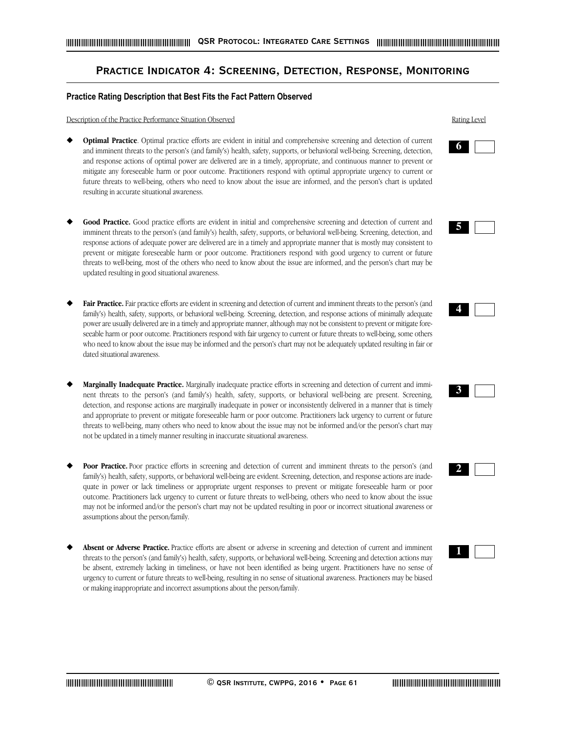## **Practice Indicator 4: Screening, Detection, Response, Monitoring**

## **Practice Rating Description that Best Fits the Fact Pattern Observed**

Description of the Practice Performance Situation Observed

- **Optimal Practice**. Optimal practice efforts are evident in initial and comprehensive screening and detection of current and imminent threats to the person's (and family's) health, safety, supports, or behavioral well-being. Screening, detection, and response actions of optimal power are delivered are in a timely, appropriate, and continuous manner to prevent or mitigate any foreseeable harm or poor outcome. Practitioners respond with optimal appropriate urgency to current or future threats to well-being, others who need to know about the issue are informed, and the person's chart is updated resulting in accurate situational awareness.
- Good Practice. Good practice efforts are evident in initial and comprehensive screening and detection of current and imminent threats to the person's (and family's) health, safety, supports, or behavioral well-being. Screening, detection, and response actions of adequate power are delivered are in a timely and appropriate manner that is mostly may consistent to prevent or mitigate foreseeable harm or poor outcome. Practitioners respond with good urgency to current or future threats to well-being, most of the others who need to know about the issue are informed, and the person's chart may be updated resulting in good situational awareness.
- Fair Practice. Fair practice efforts are evident in screening and detection of current and imminent threats to the person's (and family's) health, safety, supports, or behavioral well-being. Screening, detection, and response actions of minimally adequate power are usually delivered are in a timely and appropriate manner, although may not be consistent to prevent or mitigate foreseeable harm or poor outcome. Practitioners respond with fair urgency to current or future threats to well-being, some others who need to know about the issue may be informed and the person's chart may not be adequately updated resulting in fair or dated situational awareness.
- **Marginally Inadequate Practice.** Marginally inadequate practice efforts in screening and detection of current and imminent threats to the person's (and family's) health, safety, supports, or behavioral well-being are present. Screening, detection, and response actions are marginally inadequate in power or inconsistently delivered in a manner that is timely and appropriate to prevent or mitigate foreseeable harm or poor outcome. Practitioners lack urgency to current or future threats to well-being, many others who need to know about the issue may not be informed and/or the person's chart may not be updated in a timely manner resulting in inaccurate situational awareness.
- Poor Practice. Poor practice efforts in screening and detection of current and imminent threats to the person's (and family's) health, safety, supports, or behavioral well-being are evident. Screening, detection, and response actions are inadequate in power or lack timeliness or appropriate urgent responses to prevent or mitigate foreseeable harm or poor outcome. Practitioners lack urgency to current or future threats to well-being, others who need to know about the issue may not be informed and/or the person's chart may not be updated resulting in poor or incorrect situational awareness or assumptions about the person/family.
- Absent or Adverse Practice. Practice efforts are absent or adverse in screening and detection of current and imminent threats to the person's (and family's) health, safety, supports, or behavioral well-being. Screening and detection actions may be absent, extremely lacking in timeliness, or have not been identified as being urgent. Practitioners have no sense of urgency to current or future threats to well-being, resulting in no sense of situational awareness. Practioners may be biased or making inappropriate and incorrect assumptions about the person/family.

| ነዎ<br>канг |  |
|------------|--|
|            |  |











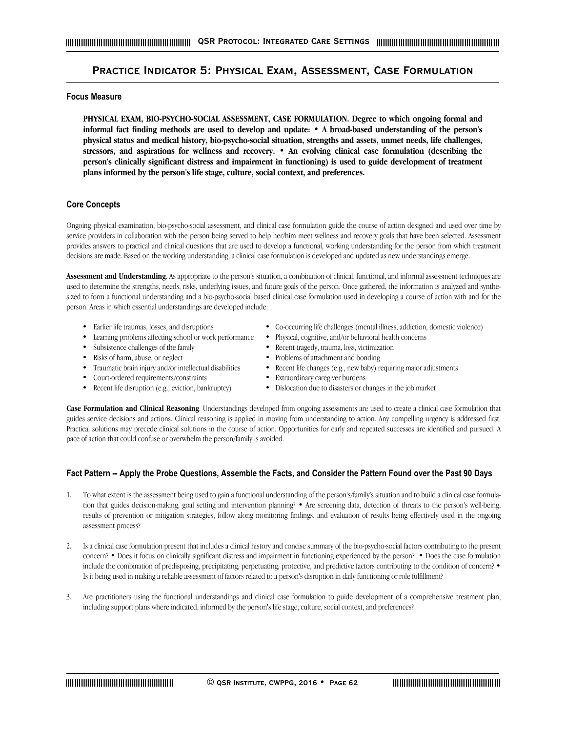## **Practice Indicator 5: Physical Exam, Assessment, Case Formulation**

## **Focus Measure**

**PHYSICAL EXAM, BIO-PSYCHO-SOCIAL ASSESSMENT, CASE FORMULATION. Degree to which ongoing formal and informal fact finding methods are used to develop and update: • A broad-based understanding of the person's physical status and medical history, bio-psycho-social situation, strengths and assets, unmet needs, life challenges, stressors, and aspirations for wellness and recovery. • An evolving clinical case formulation (describing the person's clinically significant distress and impairment in functioning) is used to guide development of treatment plans informed by the person's life stage, culture, social context, and preferences.**

## **Core Concepts**

Ongoing physical examination, bio-psycho-social assessment, and clinical case formulation guide the course of action designed and used over time by service providers in collaboration with the person being served to help her/him meet wellness and recovery goals that have been selected. Assessment provides answers to practical and clinical questions that are used to develop a functional, working understanding for the person from which treatment decisions are made. Based on the working understanding, a clinical case formulation is developed and updated as new understandings emerge.

**Assessment and Understanding**. As appropriate to the person's situation, a combination of clinical, functional, and informal assessment techniques are used to determine the strengths, needs, risks, underlying issues, and future goals of the person. Once gathered, the information is analyzed and synthesized to form a functional understanding and a bio-psycho-social based clinical case formulation used in developing a course of action with and for the person. Areas in which essential understandings are developed include:

- 
- Learning problems affecting school or work performance Physical, cognitive, and/or behavioral health concerns
- Subsistence challenges of the family **•** Recent tragedy, trauma, loss, victimization
- 
- 
- Court-ordered requirements/constraints Extraordinary caregiver burdens
- Recent life disruption (e.g., eviction, bankruptcy) Dislocation due to disasters or changes in the job market
- Earlier life traumas, losses, and disruptions Co-occurring life challenges (mental illness, addiction, domestic violence)
	- -
- Risks of harm, abuse, or neglect Problems of attachment and bonding
- Traumatic brain injury and/or intellectual disabilities Recent life changes (e.g., new baby) requiring major adjustments
	-
	-

**Case Formulation and Clinical Reasoning**. Understandings developed from ongoing assessments are used to create a clinical case formulation that guides service decisions and actions. Clinical reasoning is applied in moving from understanding to action. Any compelling urgency is addressed first. Practical solutions may precede clinical solutions in the course of action. Opportunities for early and repeated successes are identified and pursued. A pace of action that could confuse or overwhelm the person/family is avoided.

- 1. To what extent is the assessment being used to gain a functional understanding of the person's/family's situation and to build a clinical case formulation that guides decision-making, goal setting and intervention planning? • Are screening data, detection of threats to the person's well-being, results of prevention or mitigation strategies, follow along monitoring findings, and evaluation of results being effectively used in the ongoing assessment process?
- 2. Is a clinical case formulation present that includes a clinical history and concise summary of the bio-psycho-social factors contributing to the present concern? • Does it focus on clinically significant distress and impairment in functioning experienced by the person? • Does the case formulation include the combination of predisposing, precipitating, perpetuating, protective, and predictive factors contributing to the condition of concern? • Is it being used in making a reliable assessment of factors related to a person's disruption in daily functioning or role fulfillment?
- 3. Are practitioners using the functional understandings and clinical case formulation to guide development of a comprehensive treatment plan, including support plans where indicated, informed by the person's life stage, culture, social context, and preferences?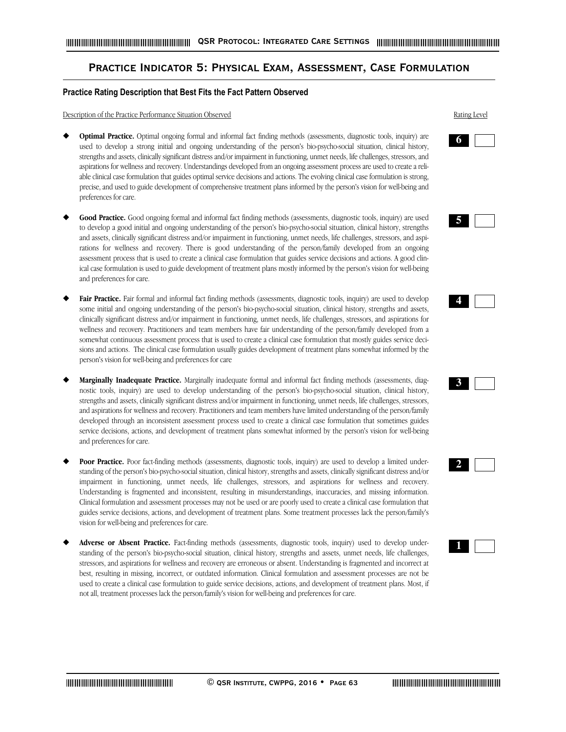## **Practice Indicator 5: Physical Exam, Assessment, Case Formulation**

## **Practice Rating Description that Best Fits the Fact Pattern Observed**

Description of the Practice Performance Situation Observed **Rating Level** Rating Level

- **Optimal Practice.** Optimal ongoing formal and informal fact finding methods (assessments, diagnostic tools, inquiry) are used to develop a strong initial and ongoing understanding of the person's bio-psycho-social situation, clinical history, strengths and assets, clinically significant distress and/or impairment in functioning, unmet needs, life challenges, stressors, and aspirations for wellness and recovery. Understandings developed from an ongoing assessment process are used to create a reliable clinical case formulation that guides optimal service decisions and actions. The evolving clinical case formulation is strong, precise, and used to guide development of comprehensive treatment plans informed by the person's vision for well-being and preferences for care.
- Good Practice. Good ongoing formal and informal fact finding methods (assessments, diagnostic tools, inquiry) are used to develop a good initial and ongoing understanding of the person's bio-psycho-social situation, clinical history, strengths and assets, clinically significant distress and/or impairment in functioning, unmet needs, life challenges, stressors, and aspirations for wellness and recovery. There is good understanding of the person/family developed from an ongoing assessment process that is used to create a clinical case formulation that guides service decisions and actions. A good clinical case formulation is used to guide development of treatment plans mostly informed by the person's vision for well-being and preferences for care.
- Fair Practice. Fair formal and informal fact finding methods (assessments, diagnostic tools, inquiry) are used to develop some initial and ongoing understanding of the person's bio-psycho-social situation, clinical history, strengths and assets, clinically significant distress and/or impairment in functioning, unmet needs, life challenges, stressors, and aspirations for wellness and recovery. Practitioners and team members have fair understanding of the person/family developed from a somewhat continuous assessment process that is used to create a clinical case formulation that mostly guides service decisions and actions. The clinical case formulation usually guides development of treatment plans somewhat informed by the person's vision for well-being and preferences for care
- Marginally Inadequate Practice. Marginally inadequate formal and informal fact finding methods (assessments, diagnostic tools, inquiry) are used to develop understanding of the person's bio-psycho-social situation, clinical history, strengths and assets, clinically significant distress and/or impairment in functioning, unmet needs, life challenges, stressors, and aspirations for wellness and recovery. Practitioners and team members have limited understanding of the person/family developed through an inconsistent assessment process used to create a clinical case formulation that sometimes guides service decisions, actions, and development of treatment plans somewhat informed by the person's vision for well-being and preferences for care.
- Poor Practice. Poor fact-finding methods (assessments, diagnostic tools, inquiry) are used to develop a limited understanding of the person's bio-psycho-social situation, clinical history, strengths and assets, clinically significant distress and/or impairment in functioning, unmet needs, life challenges, stressors, and aspirations for wellness and recovery. Understanding is fragmented and inconsistent, resulting in misunderstandings, inaccuracies, and missing information. Clinical formulation and assessment processes may not be used or are poorly used to create a clinical case formulation that guides service decisions, actions, and development of treatment plans. Some treatment processes lack the person/family's vision for well-being and preferences for care.
- Adverse or Absent Practice. Fact-finding methods (assessments, diagnostic tools, inquiry) used to develop understanding of the person's bio-psycho-social situation, clinical history, strengths and assets, unmet needs, life challenges, stressors, and aspirations for wellness and recovery are erroneous or absent. Understanding is fragmented and incorrect at best, resulting in missing, incorrect, or outdated information. Clinical formulation and assessment processes are not be used to create a clinical case formulation to guide service decisions, actions, and development of treatment plans. Most, if not all, treatment processes lack the person/family's vision for well-being and preferences for care.











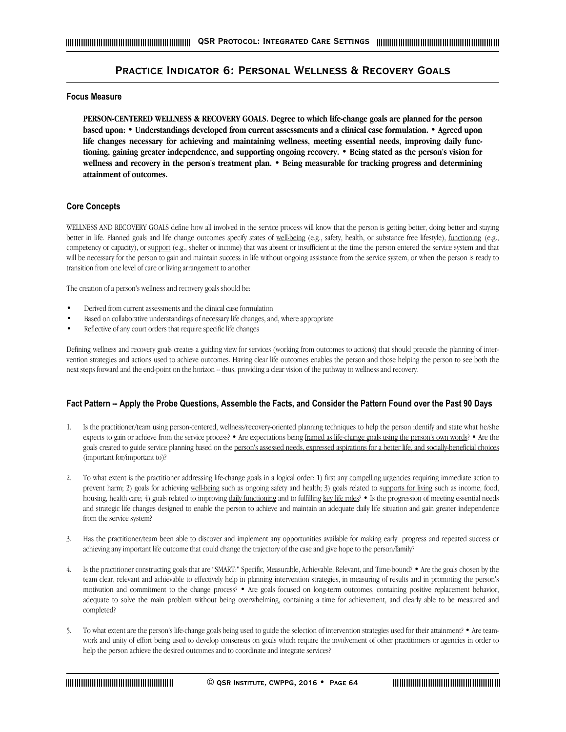## **Practice Indicator 6: Personal Wellness & Recovery Goals**

## **Focus Measure**

**PERSON-CENTERED WELLNESS & RECOVERY GOALS. Degree to which life-change goals are planned for the person based upon: • Understandings developed from current assessments and a clinical case formulation. • Agreed upon life changes necessary for achieving and maintaining wellness, meeting essential needs, improving daily functioning, gaining greater independence, and supporting ongoing recovery. • Being stated as the person's vision for wellness and recovery in the person's treatment plan. • Being measurable for tracking progress and determining attainment of outcomes.**

## **Core Concepts**

WELLNESS AND RECOVERY GOALS define how all involved in the service process will know that the person is getting better, doing better and staying better in life. Planned goals and life change outcomes specify states of well-being (e.g., safety, health, or substance free lifestyle), functioning (e.g., competency or capacity), or support (e.g., shelter or income) that was absent or insufficient at the time the person entered the service system and that will be necessary for the person to gain and maintain success in life without ongoing assistance from the service system, or when the person is ready to transition from one level of care or living arrangement to another.

The creation of a person's wellness and recovery goals should be:

- Derived from current assessments and the clinical case formulation
- Based on collaborative understandings of necessary life changes, and, where appropriate
- Reflective of any court orders that require specific life changes

Defining wellness and recovery goals creates a guiding view for services (working from outcomes to actions) that should precede the planning of intervention strategies and actions used to achieve outcomes. Having clear life outcomes enables the person and those helping the person to see both the next steps forward and the end-point on the horizon -- thus, providing a clear vision of the pathway to wellness and recovery.

- 1. Is the practitioner/team using person-centered, wellness/recovery-oriented planning techniques to help the person identify and state what he/she expects to gain or achieve from the service process? • Are expectations being framed as life-change goals using the person's own words? • Are the goals created to guide service planning based on the person's assessed needs, expressed aspirations for a better life, and socially-beneficial choices (important for/important to)?
- 2. To what extent is the practitioner addressing life-change goals in a logical order: 1) first any compelling urgencies requiring immediate action to prevent harm; 2) goals for achieving well-being such as ongoing safety and health; 3) goals related to supports for living such as income, food, housing, health care; 4) goals related to improving daily functioning and to fulfilling key life roles? • Is the progression of meeting essential needs and strategic life changes designed to enable the person to achieve and maintain an adequate daily life situation and gain greater independence from the service system?
- 3. Has the practitioner/team been able to discover and implement any opportunities available for making early progress and repeated success or achieving any important life outcome that could change the trajectory of the case and give hope to the person/family?
- 4. Is the practitioner constructing goals that are "SMART:" Specific, Measurable, Achievable, Relevant, and Time-bound? Are the goals chosen by the team clear, relevant and achievable to effectively help in planning intervention strategies, in measuring of results and in promoting the person's motivation and commitment to the change process? • Are goals focused on long-term outcomes, containing positive replacement behavior, adequate to solve the main problem without being overwhelming, containing a time for achievement, and clearly able to be measured and completed?
- 5. To what extent are the person's life-change goals being used to guide the selection of intervention strategies used for their attainment? Are teamwork and unity of effort being used to develop consensus on goals which require the involvement of other practitioners or agencies in order to help the person achieve the desired outcomes and to coordinate and integrate services?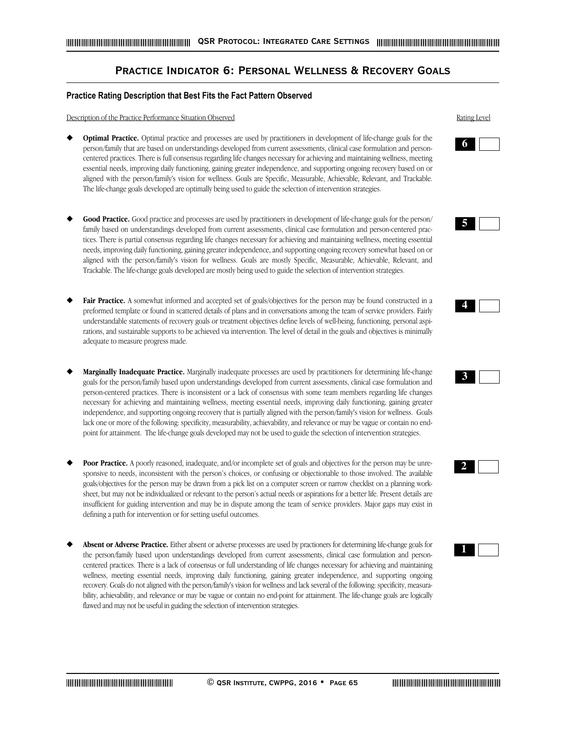## **Practice Indicator 6: Personal Wellness & Recovery Goals**

#### **Practice Rating Description that Best Fits the Fact Pattern Observed**

Description of the Practice Performance Situation Observed **Rating Level** Rating Level

- **Optimal Practice.** Optimal practice and processes are used by practitioners in development of life-change goals for the person/family that are based on understandings developed from current assessments, clinical case formulation and personcentered practices. There is full consensus regarding life changes necessary for achieving and maintaining wellness, meeting essential needs, improving daily functioning, gaining greater independence, and supporting ongoing recovery based on or aligned with the person/family's vision for wellness. Goals are Specific, Measurable, Achievable, Relevant, and Trackable. The life-change goals developed are optimally being used to guide the selection of intervention strategies.
- Good Practice. Good practice and processes are used by practitioners in development of life-change goals for the person/ family based on understandings developed from current assessments, clinical case formulation and person-centered practices. There is partial consensus regarding life changes necessary for achieving and maintaining wellness, meeting essential needs, improving daily functioning, gaining greater independence, and supporting ongoing recovery somewhat based on or aligned with the person/family's vision for wellness. Goals are mostly Specific, Measurable, Achievable, Relevant, and Trackable. The life-change goals developed are mostly being used to guide the selection of intervention strategies.
- Fair Practice. A somewhat informed and accepted set of goals/objectives for the person may be found constructed in a preformed template or found in scattered details of plans and in conversations among the team of service providers. Fairly understandable statements of recovery goals or treatment objectives define levels of well-being, functioning, personal aspirations, and sustainable supports to be achieved via intervention. The level of detail in the goals and objectives is minimally adequate to measure progress made.
- **Marginally Inadequate Practice.** Marginally inadequate processes are used by practitioners for determining life-change goals for the person/family based upon understandings developed from current assessments, clinical case formulation and person-centered practices. There is inconsistent or a lack of consensus with some team members regarding life changes necessary for achieving and maintaining wellness, meeting essential needs, improving daily functioning, gaining greater independence, and supporting ongoing recovery that is partially aligned with the person/family's vision for wellness. Goals lack one or more of the following: specificity, measurability, achievability, and relevance or may be vague or contain no endpoint for attainment. The life-change goals developed may not be used to guide the selection of intervention strategies.
- Poor Practice. A poorly reasoned, inadequate, and/or incomplete set of goals and objectives for the person may be unresponsive to needs, inconsistent with the person's choices, or confusing or objectionable to those involved. The available goals/objectives for the person may be drawn from a pick list on a computer screen or narrow checklist on a planning worksheet, but may not be individualized or relevant to the person's actual needs or aspirations for a better life. Present details are insufficient for guiding intervention and may be in dispute among the team of service providers. Major gaps may exist in defining a path for intervention or for setting useful outcomes.
- Absent or Adverse Practice. Either absent or adverse processes are used by practioners for determining life-change goals for the person/family based upon understandings developed from current assessments, clinical case formulation and personcentered practices. There is a lack of consensus or full understanding of life changes necessary for achieving and maintaining wellness, meeting essential needs, improving daily functioning, gaining greater independence, and supporting ongoing recovery. Goals do not aligned with the person/family's vision for wellness and lack several of the following: specificity, measurability, achievability, and relevance or may be vague or contain no end-point for attainment. The life-change goals are logically flawed and may not be useful in guiding the selection of intervention strategies.











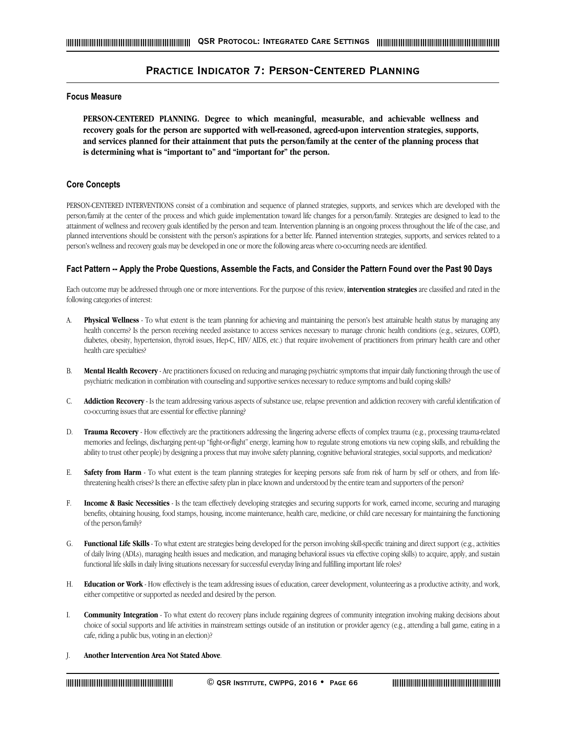## **Practice Indicator 7: Person-Centered Planning**

## **Focus Measure**

**PERSON-CENTERED PLANNING. Degree to which meaningful, measurable, and achievable wellness and recovery goals for the person are supported with well-reasoned, agreed-upon intervention strategies, supports, and services planned for their attainment that puts the person/family at the center of the planning process that is determining what is "important to" and "important for" the person.**

#### **Core Concepts**

PERSON-CENTERED INTERVENTIONS consist of a combination and sequence of planned strategies, supports, and services which are developed with the person/family at the center of the process and which guide implementation toward life changes for a person/family. Strategies are designed to lead to the attainment of wellness and recovery goals identified by the person and team. Intervention planning is an ongoing process throughout the life of the case, and planned interventions should be consistent with the person's aspirations for a better life. Planned intervention strategies, supports, and services related to a person's wellness and recovery goals may be developed in one or more the following areas where co-occurring needs are identified.

#### **Fact Pattern -- Apply the Probe Questions, Assemble the Facts, and Consider the Pattern Found over the Past 90 Days**

Each outcome may be addressed through one or more interventions. For the purpose of this review, **intervention strategies** are classified and rated in the following categories of interest:

- A. **Physical Wellness** To what extent is the team planning for achieving and maintaining the person's best attainable health status by managing any health concerns? Is the person receiving needed assistance to access services necessary to manage chronic health conditions (e.g., seizures, COPD, diabetes, obesity, hypertension, thyroid issues, Hep-C, HIV/ AIDS, etc.) that require involvement of practitioners from primary health care and other health care specialties?
- B. **Mental Health Recovery** Are practitioners focused on reducing and managing psychiatric symptoms that impair daily functioning through the use of psychiatric medication in combination with counseling and supportive services necessary to reduce symptoms and build coping skills?
- C. **Addiction Recovery** Is the team addressing various aspects of substance use, relapse prevention and addiction recovery with careful identification of co-occurring issues that are essential for effective planning?
- Trauma Recovery How effectively are the practitioners addressing the lingering adverse effects of complex trauma (e.g., processing trauma-related memories and feelings, discharging pent-up "fight-or-flight" energy, learning how to regulate strong emotions via new coping skills, and rebuilding the ability to trust other people) by designing a process that may involve safety planning, cognitive behavioral strategies, social supports, and medication?
- E. **Safety from Harm** To what extent is the team planning strategies for keeping persons safe from risk of harm by self or others, and from lifethreatening health crises? Is there an effective safety plan in place known and understood by the entire team and supporters of the person?
- F. **Income & Basic Necessities** Is the team effectively developing strategies and securing supports for work, earned income, securing and managing benefits, obtaining housing, food stamps, housing, income maintenance, health care, medicine, or child care necessary for maintaining the functioning of the person/family?
- G. **Functional Life Skills** To what extent are strategies being developed for the person involving skill-specific training and direct support (e.g., activities of daily living (ADLs), managing health issues and medication, and managing behavioral issues via effective coping skills) to acquire, apply, and sustain functional life skills in daily living situations necessary for successful everyday living and fulfilling important life roles?
- H. **Education or Work** How effectively is the team addressing issues of education, career development, volunteering as a productive activity, and work, either competitive or supported as needed and desired by the person.
- I. **Community Integration** To what extent do recovery plans include regaining degrees of community integration involving making decisions about choice of social supports and life activities in mainstream settings outside of an institution or provider agency (e.g., attending a ball game, eating in a cafe, riding a public bus, voting in an election)?
- J. **Another Intervention Area Not Stated Above**.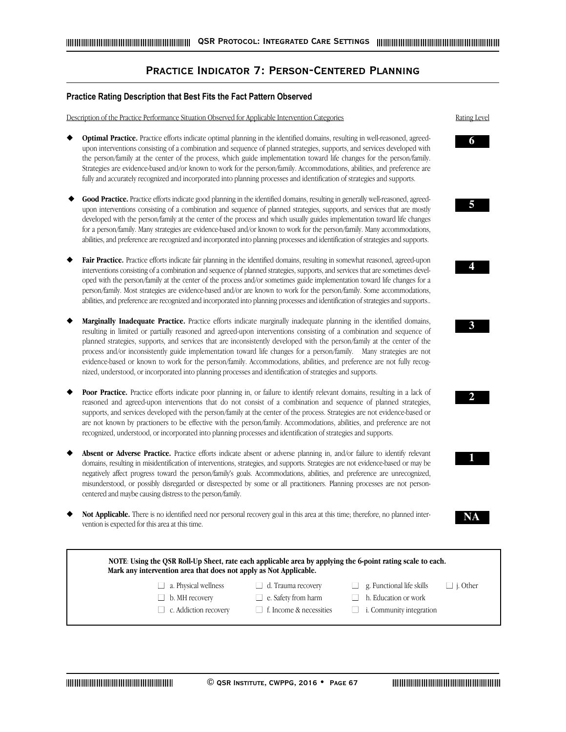## **Practice Indicator 7: Person-Centered Planning**

#### **Practice Rating Description that Best Fits the Fact Pattern Observed**

Description of the Practice Performance Situation Observed for Applicable Intervention Categories Rating Level

- Optimal Practice. Practice efforts indicate optimal planning in the identified domains, resulting in well-reasoned, agreedupon interventions consisting of a combination and sequence of planned strategies, supports, and services developed with the person/family at the center of the process, which guide implementation toward life changes for the person/family. Strategies are evidence-based and/or known to work for the person/family. Accommodations, abilities, and preference are fully and accurately recognized and incorporated into planning processes and identification of strategies and supports.
- Good Practice. Practice efforts indicate good planning in the identified domains, resulting in generally well-reasoned, agreedupon interventions consisting of a combination and sequence of planned strategies, supports, and services that are mostly developed with the person/family at the center of the process and which usually guides implementation toward life changes for a person/family. Many strategies are evidence-based and/or known to work for the person/family. Many accommodations, abilities, and preference are recognized and incorporated into planning processes and identification of strategies and supports.
- Fair Practice. Practice efforts indicate fair planning in the identified domains, resulting in somewhat reasoned, agreed-upon interventions consisting of a combination and sequence of planned strategies, supports, and services that are sometimes developed with the person/family at the center of the process and/or sometimes guide implementation toward life changes for a person/family. Most strategies are evidence-based and/or are known to work for the person/family. Some accommodations, abilities, and preference are recognized and incorporated into planning processes and identification of strategies and supports..
- **Marginally Inadequate Practice.** Practice efforts indicate marginally inadequate planning in the identified domains, resulting in limited or partially reasoned and agreed-upon interventions consisting of a combination and sequence of planned strategies, supports, and services that are inconsistently developed with the person/family at the center of the process and/or inconsistently guide implementation toward life changes for a person/family. Many strategies are not evidence-based or known to work for the person/family. Accommodations, abilities, and preference are not fully recognized, understood, or incorporated into planning processes and identification of strategies and supports.
- Poor Practice. Practice efforts indicate poor planning in, or failure to identify relevant domains, resulting in a lack of reasoned and agreed-upon interventions that do not consist of a combination and sequence of planned strategies, supports, and services developed with the person/family at the center of the process. Strategies are not evidence-based or are not known by practioners to be effective with the person/family. Accommodations, abilities, and preference are not recognized, understood, or incorporated into planning processes and identification of strategies and supports.
- Absent or Adverse Practice. Practice efforts indicate absent or adverse planning in, and/or failure to identify relevant domains, resulting in misidentification of interventions, strategies, and supports. Strategies are not evidence-based or may be negatively affect progress toward the person/family's goals. Accommodations, abilities, and preference are unrecognized, misunderstood, or possibly disregarded or disrespected by some or all practitioners. Planning processes are not personcentered and maybe causing distress to the person/family.
- Not Applicable. There is no identified need nor personal recovery goal in this area at this time; therefore, no planned intervention is expected for this area at this time.



**6**

**5**

**4**

**3**

**2**

**1**

**NA**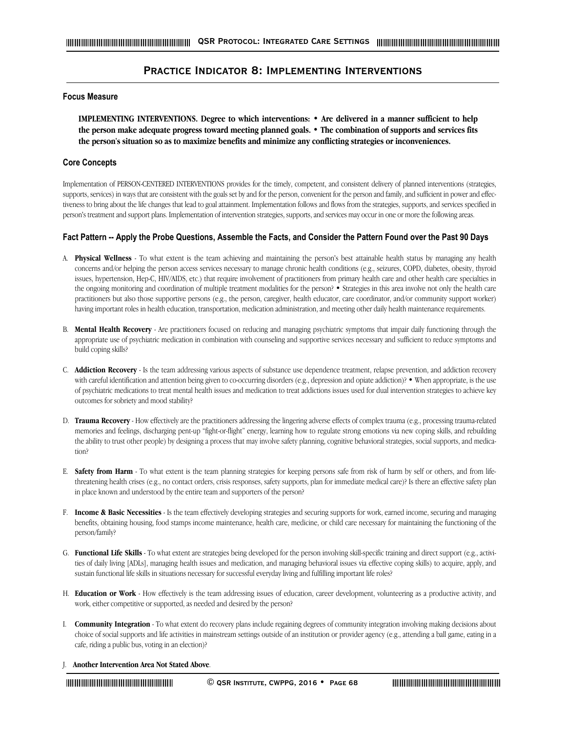## **Practice Indicator 8: Implementing Interventions**

## **Focus Measure**

**IMPLEMENTING INTERVENTIONS. Degree to which interventions: • Are delivered in a manner sufficient to help the person make adequate progress toward meeting planned goals. • The combination of supports and services fits the person's situation so as to maximize benefits and minimize any conflicting strategies or inconveniences.**

## **Core Concepts**

Implementation of PERSON-CENTERED INTERVENTIONS provides for the timely, competent, and consistent delivery of planned interventions (strategies, supports, services) in ways that are consistent with the goals set by and for the person, convenient for the person and family, and sufficient in power and effectiveness to bring about the life changes that lead to goal attainment. Implementation follows and flows from the strategies, supports, and services specified in person's treatment and support plans. Implementation of intervention strategies, supports, and services may occur in one or more the following areas.

## **Fact Pattern -- Apply the Probe Questions, Assemble the Facts, and Consider the Pattern Found over the Past 90 Days**

- A. Physical Wellness To what extent is the team achieving and maintaining the person's best attainable health status by managing any health concerns and/or helping the person access services necessary to manage chronic health conditions (e.g., seizures, COPD, diabetes, obesity, thyroid issues, hypertension, Hep-C, HIV/AIDS, etc.) that require involvement of practitioners from primary health care and other health care specialties in the ongoing monitoring and coordination of multiple treatment modalities for the person? • Strategies in this area involve not only the health care practitioners but also those supportive persons (e.g., the person, caregiver, health educator, care coordinator, and/or community support worker) having important roles in health education, transportation, medication administration, and meeting other daily health maintenance requirements.
- B. **Mental Health Recovery** Are practitioners focused on reducing and managing psychiatric symptoms that impair daily functioning through the appropriate use of psychiatric medication in combination with counseling and supportive services necessary and sufficient to reduce symptoms and build coping skills?
- C. **Addiction Recovery** Is the team addressing various aspects of substance use dependence treatment, relapse prevention, and addiction recovery with careful identification and attention being given to co-occurring disorders (e.g., depression and opiate addiction)? • When appropriate, is the use of psychiatric medications to treat mental health issues and medication to treat addictions issues used for dual intervention strategies to achieve key outcomes for sobriety and mood stability?
- D. **Trauma Recovery** How effectively are the practitioners addressing the lingering adverse effects of complex trauma (e.g., processing trauma-related memories and feelings, discharging pent-up "fight-or-flight" energy, learning how to regulate strong emotions via new coping skills, and rebuilding the ability to trust other people) by designing a process that may involve safety planning, cognitive behavioral strategies, social supports, and medication?
- E. Safety from Harm To what extent is the team planning strategies for keeping persons safe from risk of harm by self or others, and from lifethreatening health crises (e.g., no contact orders, crisis responses, safety supports, plan for immediate medical care)? Is there an effective safety plan in place known and understood by the entire team and supporters of the person?
- F. **Income & Basic Necessities** Is the team effectively developing strategies and securing supports for work, earned income, securing and managing benefits, obtaining housing, food stamps income maintenance, health care, medicine, or child care necessary for maintaining the functioning of the person/family?
- G. **Functional Life Skills** To what extent are strategies being developed for the person involving skill-specific training and direct support (e.g., activities of daily living [ADLs], managing health issues and medication, and managing behavioral issues via effective coping skills) to acquire, apply, and sustain functional life skills in situations necessary for successful everyday living and fulfilling important life roles?
- H. **Education or Work** How effectively is the team addressing issues of education, career development, volunteering as a productive activity, and work, either competitive or supported, as needed and desired by the person?
- I. **Community Integration** To what extent do recovery plans include regaining degrees of community integration involving making decisions about choice of social supports and life activities in mainstream settings outside of an institution or provider agency (e.g., attending a ball game, eating in a cafe, riding a public bus, voting in an election)?
- J. **Another Intervention Area Not Stated Above**.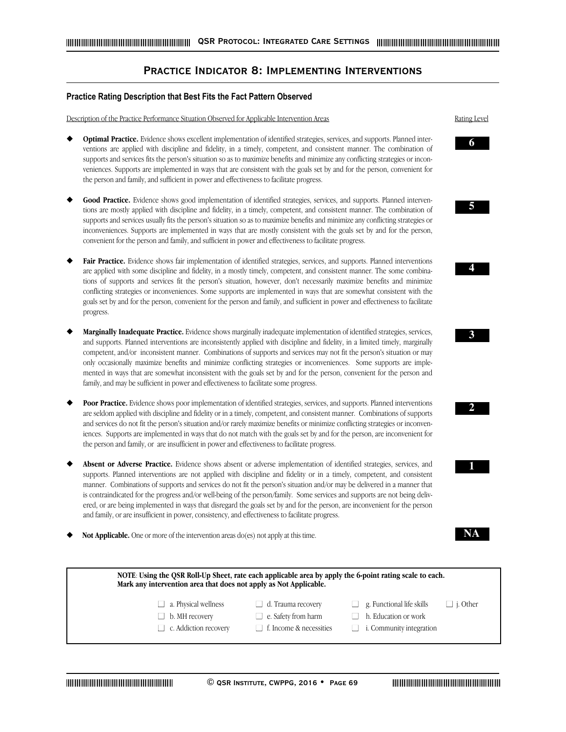## **Practice Indicator 8: Implementing Interventions**

## **Practice Rating Description that Best Fits the Fact Pattern Observed**

Description of the Practice Performance Situation Observed for Applicable Intervention Areas Rating Level

- **Optimal Practice.** Evidence shows excellent implementation of identified strategies, services, and supports. Planned interventions are applied with discipline and fidelity, in a timely, competent, and consistent manner. The combination of supports and services fits the person's situation so as to maximize benefits and minimize any conflicting strategies or inconveniences. Supports are implemented in ways that are consistent with the goals set by and for the person, convenient for the person and family, and sufficient in power and effectiveness to facilitate progress.
- Good Practice. Evidence shows good implementation of identified strategies, services, and supports. Planned interventions are mostly applied with discipline and fidelity, in a timely, competent, and consistent manner. The combination of supports and services usually fits the person's situation so as to maximize benefits and minimize any conflicting strategies or inconveniences. Supports are implemented in ways that are mostly consistent with the goals set by and for the person, convenient for the person and family, and sufficient in power and effectiveness to facilitate progress.
- Fair Practice. Evidence shows fair implementation of identified strategies, services, and supports. Planned interventions are applied with some discipline and fidelity, in a mostly timely, competent, and consistent manner. The some combinations of supports and services fit the person's situation, however, don't necessarily maximize benefits and minimize conflicting strategies or inconveniences. Some supports are implemented in ways that are somewhat consistent with the goals set by and for the person, convenient for the person and family, and sufficient in power and effectiveness to facilitate progress.
- **Marginally Inadequate Practice.** Evidence shows marginally inadequate implementation of identified strategies, services, and supports. Planned interventions are inconsistently applied with discipline and fidelity, in a limited timely, marginally competent, and/or inconsistent manner. Combinations of supports and services may not fit the person's situation or may only occasionally maximize benefits and minimize conflicting strategies or inconveniences. Some supports are implemented in ways that are somewhat inconsistent with the goals set by and for the person, convenient for the person and family, and may be sufficient in power and effectiveness to facilitate some progress.
- Poor Practice. Evidence shows poor implementation of identified strategies, services, and supports. Planned interventions are seldom applied with discipline and fidelity or in a timely, competent, and consistent manner. Combinations of supports and services do not fit the person's situation and/or rarely maximize benefits or minimize conflicting strategies or inconveniences. Supports are implemented in ways that do not match with the goals set by and for the person, are inconvenient for the person and family, or are insufficient in power and effectiveness to facilitate progress.
- Absent or Adverse Practice. Evidence shows absent or adverse implementation of identified strategies, services, and supports. Planned interventions are not applied with discipline and fidelity or in a timely, competent, and consistent manner. Combinations of supports and services do not fit the person's situation and/or may be delivered in a manner that is contraindicated for the progress and/or well-being of the person/family. Some services and supports are not being delivered, or are being implemented in ways that disregard the goals set by and for the person, are inconvenient for the person and family, or are insufficient in power, consistency, and effectiveness to facilitate progress.
- Not Applicable. One or more of the intervention areas do(es) not apply at this time.

| NOTE: Using the QSR Roll-Up Sheet, rate each applicable area by apply the 6-point rating scale to each.<br>Mark any intervention area that does not apply as Not Applicable. |                                                                                    |                                                                                                                  |  |  |
|------------------------------------------------------------------------------------------------------------------------------------------------------------------------------|------------------------------------------------------------------------------------|------------------------------------------------------------------------------------------------------------------|--|--|
| a. Physical wellness<br>$\Box$<br>b. MH recovery<br>$\mathbf{L}$<br>$\Box$ c. Addiction recovery                                                                             | $\Box$ d. Trauma recovery<br>e. Safety from harm<br>$\Box$ f. Income & necessities | g. Functional life skills<br>j. Other<br>$\mathbf{L}$<br>h. Education or work<br><i>i.</i> Community integration |  |  |

**6**

**5**

**4**

**3**

**2**

**1**

**NA**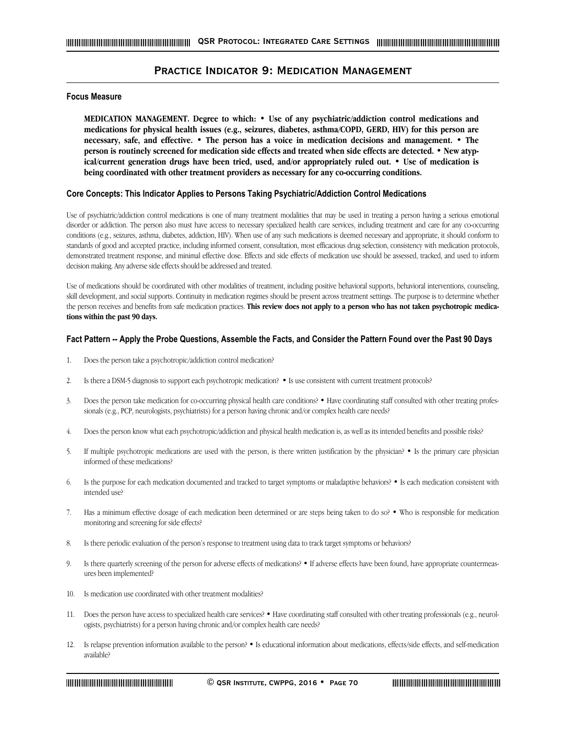## **Practice Indicator 9: Medication Management**

#### **Focus Measure**

**MEDICATION MANAGEMENT. Degree to which: • Use of any psychiatric/addiction control medications and medications for physical health issues (e.g., seizures, diabetes, asthma/COPD, GERD, HIV) for this person are necessary, safe, and effective. • The person has a voice in medication decisions and management. • The person is routinely screened for medication side effects and treated when side effects are detected. • New atypical/current generation drugs have been tried, used, and/or appropriately ruled out. • Use of medication is being coordinated with other treatment providers as necessary for any co-occurring conditions.** 

## **Core Concepts: This Indicator Applies to Persons Taking Psychiatric/Addiction Control Medications**

Use of psychiatric/addiction control medications is one of many treatment modalities that may be used in treating a person having a serious emotional disorder or addiction. The person also must have access to necessary specialized health care services, including treatment and care for any co-occurring conditions (e.g., seizures, asthma, diabetes, addiction, HIV). When use of any such medications is deemed necessary and appropriate, it should conform to standards of good and accepted practice, including informed consent, consultation, most efficacious drug selection, consistency with medication protocols, demonstrated treatment response, and minimal effective dose. Effects and side effects of medication use should be assessed, tracked, and used to inform decision making. Any adverse side effects should be addressed and treated.

Use of medications should be coordinated with other modalities of treatment, including positive behavioral supports, behavioral interventions, counseling, skill development, and social supports. Continuity in medication regimes should be present across treatment settings. The purpose is to determine whether the person receives and benefits from safe medication practices. **This review does not apply to a person who has not taken psychotropic medications within the past 90 days.**

- 1. Does the person take a psychotropic/addiction control medication?
- 2. Is there a DSM-5 diagnosis to support each psychotropic medication? Is use consistent with current treatment protocols?
- 3. Does the person take medication for co-occurring physical health care conditions? Have coordinating staff consulted with other treating professionals (e.g., PCP, neurologists, psychiatrists) for a person having chronic and/or complex health care needs?
- 4. Does the person know what each psychotropic/addiction and physical health medication is, as well as its intended benefits and possible risks?
- 5. If multiple psychotropic medications are used with the person, is there written justification by the physician? Is the primary care physician informed of these medications?
- 6. Is the purpose for each medication documented and tracked to target symptoms or maladaptive behaviors? Is each medication consistent with intended use?
- 7. Has a minimum effective dosage of each medication been determined or are steps being taken to do so? Who is responsible for medication monitoring and screening for side effects?
- 8. Is there periodic evaluation of the person's response to treatment using data to track target symptoms or behaviors?
- 9. Is there quarterly screening of the person for adverse effects of medications? If adverse effects have been found, have appropriate countermeasures been implemented?
- 10. Is medication use coordinated with other treatment modalities?
- 11. Does the person have access to specialized health care services? Have coordinating staff consulted with other treating professionals (e.g., neurologists, psychiatrists) for a person having chronic and/or complex health care needs?
- 12. Is relapse prevention information available to the person? Is educational information about medications, effects/side effects, and self-medication available?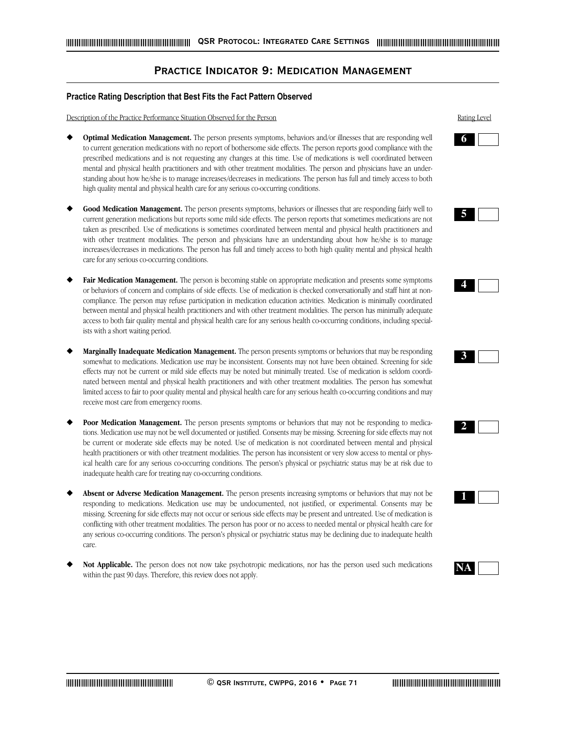## **Practice Indicator 9: Medication Management**

## **Practice Rating Description that Best Fits the Fact Pattern Observed**

Description of the Practice Performance Situation Observed for the Person Rating Level

- Optimal Medication Management. The person presents symptoms, behaviors and/or illnesses that are responding well to current generation medications with no report of bothersome side effects. The person reports good compliance with the prescribed medications and is not requesting any changes at this time. Use of medications is well coordinated between mental and physical health practitioners and with other treatment modalities. The person and physicians have an understanding about how he/she is to manage increases/decreases in medications. The person has full and timely access to both high quality mental and physical health care for any serious co-occurring conditions.
- Good Medication Management. The person presents symptoms, behaviors or illnesses that are responding fairly well to current generation medications but reports some mild side effects. The person reports that sometimes medications are not taken as prescribed. Use of medications is sometimes coordinated between mental and physical health practitioners and with other treatment modalities. The person and physicians have an understanding about how he/she is to manage increases/decreases in medications. The person has full and timely access to both high quality mental and physical health care for any serious co-occurring conditions.
- Fair Medication Management. The person is becoming stable on appropriate medication and presents some symptoms or behaviors of concern and complains of side effects. Use of medication is checked conversationally and staff hint at noncompliance. The person may refuse participation in medication education activities. Medication is minimally coordinated between mental and physical health practitioners and with other treatment modalities. The person has minimally adequate access to both fair quality mental and physical health care for any serious health co-occurring conditions, including specialists with a short waiting period.
- **Marginally Inadequate Medication Management.** The person presents symptoms or behaviors that may be responding somewhat to medications. Medication use may be inconsistent. Consents may not have been obtained. Screening for side effects may not be current or mild side effects may be noted but minimally treated. Use of medication is seldom coordinated between mental and physical health practitioners and with other treatment modalities. The person has somewhat limited access to fair to poor quality mental and physical health care for any serious health co-occurring conditions and may receive most care from emergency rooms.
- Poor Medication Management. The person presents symptoms or behaviors that may not be responding to medications. Medication use may not be well documented or justified. Consents may be missing. Screening for side effects may not be current or moderate side effects may be noted. Use of medication is not coordinated between mental and physical health practitioners or with other treatment modalities. The person has inconsistent or very slow access to mental or physical health care for any serious co-occurring conditions. The person's physical or psychiatric status may be at risk due to inadequate health care for treating nay co-occurring conditions.
- Absent or Adverse Medication Management. The person presents increasing symptoms or behaviors that may not be responding to medications. Medication use may be undocumented, not justified, or experimental. Consents may be missing. Screening for side effects may not occur or serious side effects may be present and untreated. Use of medication is conflicting with other treatment modalities. The person has poor or no access to needed mental or physical health care for any serious co-occurring conditions. The person's physical or psychiatric status may be declining due to inadequate health care.
- Not Applicable. The person does not now take psychotropic medications, nor has the person used such medications within the past 90 days. Therefore, this review does not apply.













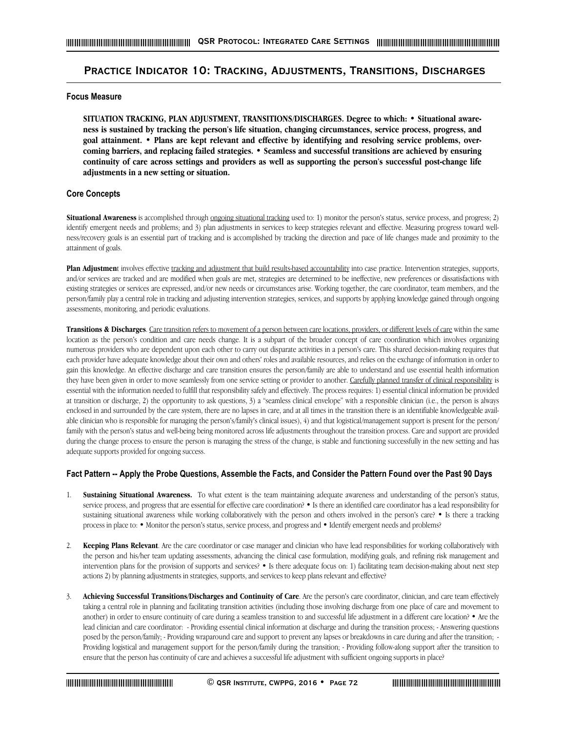## **Practice Indicator 10: Tracking, Adjustments, Transitions, Discharges**

## **Focus Measure**

**SITUATION TRACKING, PLAN ADJUSTMENT, TRANSITIONS/DISCHARGES. Degree to which: • Situational awareness is sustained by tracking the person's life situation, changing circumstances, service process, progress, and goal attainment. • Plans are kept relevant and effective by identifying and resolving service problems, overcoming barriers, and replacing failed strategies. • Seamless and successful transitions are achieved by ensuring continuity of care across settings and providers as well as supporting the person's successful post-change life adjustments in a new setting or situation.**

## **Core Concepts**

**Situational Awareness** is accomplished through ongoing situational tracking used to: 1) monitor the person's status, service process, and progress; 2) identify emergent needs and problems; and 3) plan adjustments in services to keep strategies relevant and effective. Measuring progress toward wellness/recovery goals is an essential part of tracking and is accomplished by tracking the direction and pace of life changes made and proximity to the attainment of goals.

Plan Adjustment involves effective tracking and adjustment that build results-based accountability into case practice. Intervention strategies, supports, and/or services are tracked and are modified when goals are met, strategies are determined to be ineffective, new preferences or dissatisfactions with existing strategies or services are expressed, and/or new needs or circumstances arise. Working together, the care coordinator, team members, and the person/family play a central role in tracking and adjusting intervention strategies, services, and supports by applying knowledge gained through ongoing assessments, monitoring, and periodic evaluations.

**Transitions & Discharges**. Care transition refers to movement of a person between care locations, providers, or different levels of care within the same location as the person's condition and care needs change. It is a subpart of the broader concept of care coordination which involves organizing numerous providers who are dependent upon each other to carry out disparate activities in a person's care. This shared decision-making requires that each provider have adequate knowledge about their own and others' roles and available resources, and relies on the exchange of information in order to gain this knowledge. An effective discharge and care transition ensures the person/family are able to understand and use essential health information they have been given in order to move seamlessly from one service setting or provider to another. Carefully planned transfer of clinical responsibility is essential with the information needed to fulfill that responsibility safely and effectively. The process requires: 1) essential clinical information be provided at transition or discharge, 2) the opportunity to ask questions, 3) a "seamless clinical envelope" with a responsible clinician (i.e., the person is always enclosed in and surrounded by the care system, there are no lapses in care, and at all times in the transition there is an identifiable knowledgeable available clinician who is responsible for managing the person's/family's clinical issues), 4) and that logistical/management support is present for the person/ family with the person's status and well-being being monitored across life adjustments throughout the transition process. Care and support are provided during the change process to ensure the person is managing the stress of the change, is stable and functioning successfully in the new setting and has adequate supports provided for ongoing success.

- **Sustaining Situational Awareness.** To what extent is the team maintaining adequate awareness and understanding of the person's status, service process, and progress that are essential for effective care coordination? • Is there an identified care coordinator has a lead responsibility for sustaining situational awareness while working collaboratively with the person and others involved in the person's care? • Is there a tracking process in place to: • Monitor the person's status, service process, and progress and • Identify emergent needs and problems?
- 2. **Keeping Plans Relevant**. Are the care coordinator or case manager and clinician who have lead responsibilities for working collaboratively with the person and his/her team updating assessments, advancing the clinical case formulation, modifying goals, and refining risk management and intervention plans for the provision of supports and services? • Is there adequate focus on: 1) facilitating team decision-making about next step actions 2) by planning adjustments in strategies, supports, and services to keep plans relevant and effective?
- 3. **Achieving Successful Transitions/Discharges and Continuity of Care**. Are the person's care coordinator, clinician, and care team effectively taking a central role in planning and facilitating transition activities (including those involving discharge from one place of care and movement to another) in order to ensure continuity of care during a seamless transition to and successful life adjustment in a different care location? • Are the lead clinician and care coordinator: - Providing essential clinical information at discharge and during the transition process; - Answering questions posed by the person/family; - Providing wraparound care and support to prevent any lapses or breakdowns in care during and after the transition; - Providing logistical and management support for the person/family during the transition; - Providing follow-along support after the transition to ensure that the person has continuity of care and achieves a successful life adjustment with sufficient ongoing supports in place?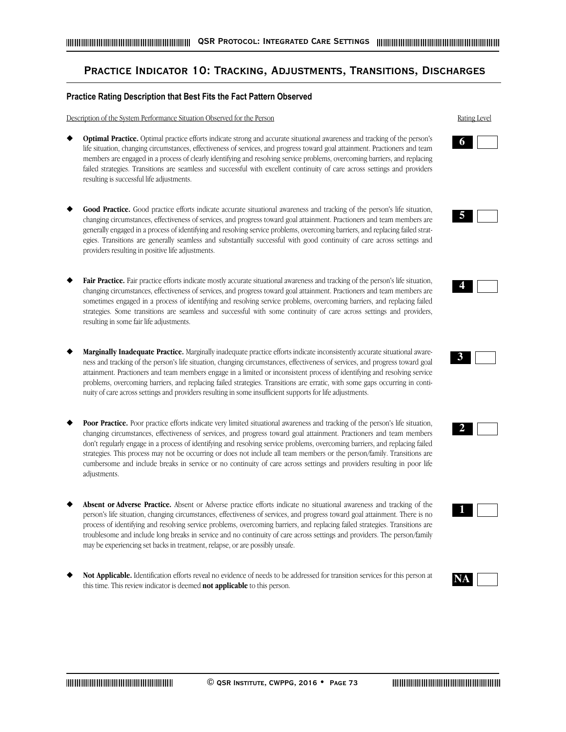# **Practice Indicator 10: Tracking, Adjustments, Transitions, Discharges**

### **Practice Rating Description that Best Fits the Fact Pattern Observed**

Description of the System Performance Situation Observed for the Person Rating Level

- **Optimal Practice.** Optimal practice efforts indicate strong and accurate situational awareness and tracking of the person's life situation, changing circumstances, effectiveness of services, and progress toward goal attainment. Practioners and team members are engaged in a process of clearly identifying and resolving service problems, overcoming barriers, and replacing failed strategies. Transitions are seamless and successful with excellent continuity of care across settings and providers resulting is successful life adjustments.
- Good Practice. Good practice efforts indicate accurate situational awareness and tracking of the person's life situation, changing circumstances, effectiveness of services, and progress toward goal attainment. Practioners and team members are generally engaged in a process of identifying and resolving service problems, overcoming barriers, and replacing failed strategies. Transitions are generally seamless and substantially successful with good continuity of care across settings and providers resulting in positive life adjustments.
- Fair Practice. Fair practice efforts indicate mostly accurate situational awareness and tracking of the person's life situation, changing circumstances, effectiveness of services, and progress toward goal attainment. Practioners and team members are sometimes engaged in a process of identifying and resolving service problems, overcoming barriers, and replacing failed strategies. Some transitions are seamless and successful with some continuity of care across settings and providers, resulting in some fair life adjustments.
- Marginally Inadequate Practice. Marginally inadequate practice efforts indicate inconsistently accurate situational awareness and tracking of the person's life situation, changing circumstances, effectiveness of services, and progress toward goal attainment. Practioners and team members engage in a limited or inconsistent process of identifying and resolving service problems, overcoming barriers, and replacing failed strategies. Transitions are erratic, with some gaps occurring in continuity of care across settings and providers resulting in some insufficient supports for life adjustments.
- Poor Practice. Poor practice efforts indicate very limited situational awareness and tracking of the person's life situation, changing circumstances, effectiveness of services, and progress toward goal attainment. Practioners and team members don't regularly engage in a process of identifying and resolving service problems, overcoming barriers, and replacing failed strategies. This process may not be occurring or does not include all team members or the person/family. Transitions are cumbersome and include breaks in service or no continuity of care across settings and providers resulting in poor life adjustments.
- Absent or Adverse Practice. Absent or Adverse practice efforts indicate no situational awareness and tracking of the person's life situation, changing circumstances, effectiveness of services, and progress toward goal attainment. There is no process of identifying and resolving service problems, overcoming barriers, and replacing failed strategies. Transitions are troublesome and include long breaks in service and no continuity of care across settings and providers. The person/family may be experiencing set backs in treatment, relapse, or are possibly unsafe.
- Not Applicable. Identification efforts reveal no evidence of needs to be addressed for transition services for this person at this time. This review indicator is deemed **not applicable** to this person.













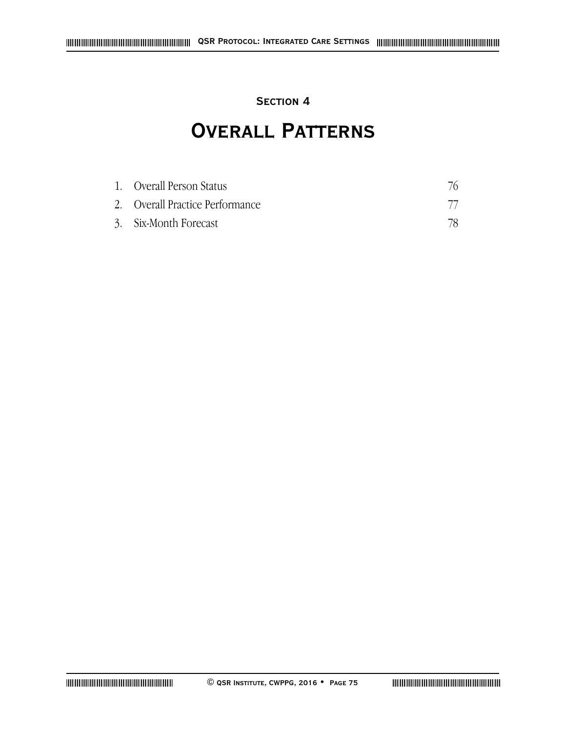# **Section 4**

# **Overall Patterns**

| 1. Overall Person Status        | 76 |
|---------------------------------|----|
| 2. Overall Practice Performance |    |
| 3. Six-Month Forecast           | 78 |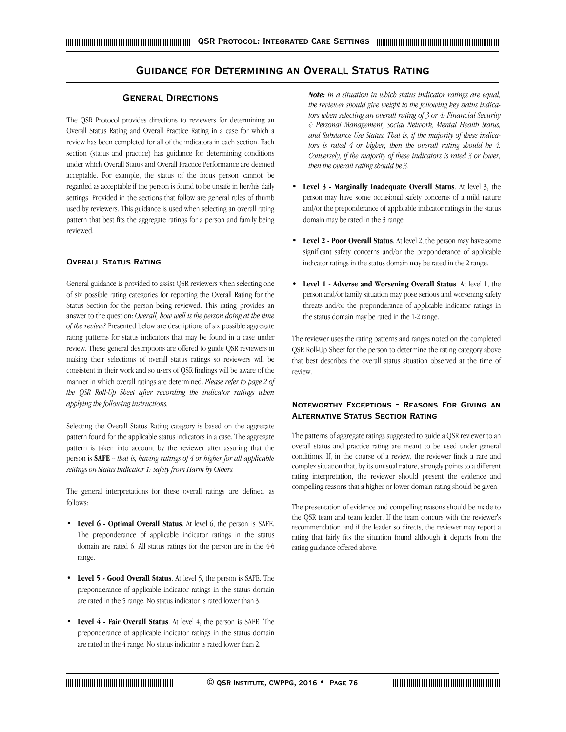## **Guidance for Determining an Overall Status Rating**

#### **General Directions**

The QSR Protocol provides directions to reviewers for determining an Overall Status Rating and Overall Practice Rating in a case for which a review has been completed for all of the indicators in each section. Each section (status and practice) has guidance for determining conditions under which Overall Status and Overall Practice Performance are deemed acceptable. For example, the status of the focus person cannot be regarded as acceptable if the person is found to be unsafe in her/his daily settings. Provided in the sections that follow are general rules of thumb used by reviewers. This guidance is used when selecting an overall rating pattern that best fits the aggregate ratings for a person and family being reviewed.

#### **Overall Status Rating**

General guidance is provided to assist QSR reviewers when selecting one of six possible rating categories for reporting the Overall Rating for the Status Section for the person being reviewed. This rating provides an answer to the question: *Overall, how well is the person doing at the time of the review?* Presented below are descriptions of six possible aggregate rating patterns for status indicators that may be found in a case under review. These general descriptions are offered to guide QSR reviewers in making their selections of overall status ratings so reviewers will be consistent in their work and so users of QSR findings will be aware of the manner in which overall ratings are determined. *Please refer to page 2 of the QSR Roll-Up Sheet after recording the indicator ratings when applying the following instructions.*

Selecting the Overall Status Rating category is based on the aggregate pattern found for the applicable status indicators in a case. The aggregate pattern is taken into account by the reviewer after assuring that the person is **SAFE** -- *that is, having ratings of 4 or higher for all applicable settings on Status Indicator 1: Safety from Harm by Others.* 

The general interpretations for these overall ratings are defined as follows:

- **Level 6 Optimal Overall Status**. At level 6, the person is SAFE. The preponderance of applicable indicator ratings in the status domain are rated 6. All status ratings for the person are in the 4-6 range.
- **Level 5 Good Overall Status**. At level 5, the person is SAFE. The preponderance of applicable indicator ratings in the status domain are rated in the 5 range. No status indicator is rated lower than 3.
- **Level 4 Fair Overall Status**. At level 4, the person is SAFE. The preponderance of applicable indicator ratings in the status domain are rated in the 4 range. No status indicator is rated lower than 2.

*Note: In a situation in which status indicator ratings are equal, the reviewer should give weight to the following key status indicators when selecting an overall rating of 3 or 4: Financial Security & Personal Management, Social Network, Mental Health Status, and Substance Use Status. That is, if the majority of these indicators is rated 4 or higher, then the overall rating should be 4. Conversely, if the majority of these indicators is rated 3 or lower, then the overall rating should be 3.* 

- **Level 3 Marginally Inadequate Overall Status**. At level 3, the person may have some occasional safety concerns of a mild nature and/or the preponderance of applicable indicator ratings in the status domain may be rated in the 3 range.
- **Level 2 Poor Overall Status**. At level 2, the person may have some significant safety concerns and/or the preponderance of applicable indicator ratings in the status domain may be rated in the 2 range.
- **Level 1 Adverse and Worsening Overall Status**. At level 1, the person and/or family situation may pose serious and worsening safety threats and/or the preponderance of applicable indicator ratings in the status domain may be rated in the 1-2 range.

The reviewer uses the rating patterns and ranges noted on the completed QSR Roll-Up Sheet for the person to determine the rating category above that best describes the overall status situation observed at the time of review.

#### **Noteworthy Exceptions - Reasons For Giving an Alternative Status Section Rating**

The patterns of aggregate ratings suggested to guide a QSR reviewer to an overall status and practice rating are meant to be used under general conditions. If, in the course of a review, the reviewer finds a rare and complex situation that, by its unusual nature, strongly points to a different rating interpretation, the reviewer should present the evidence and compelling reasons that a higher or lower domain rating should be given.

The presentation of evidence and compelling reasons should be made to the QSR team and team leader. If the team concurs with the reviewer's recommendation and if the leader so directs, the reviewer may report a rating that fairly fits the situation found although it departs from the rating guidance offered above.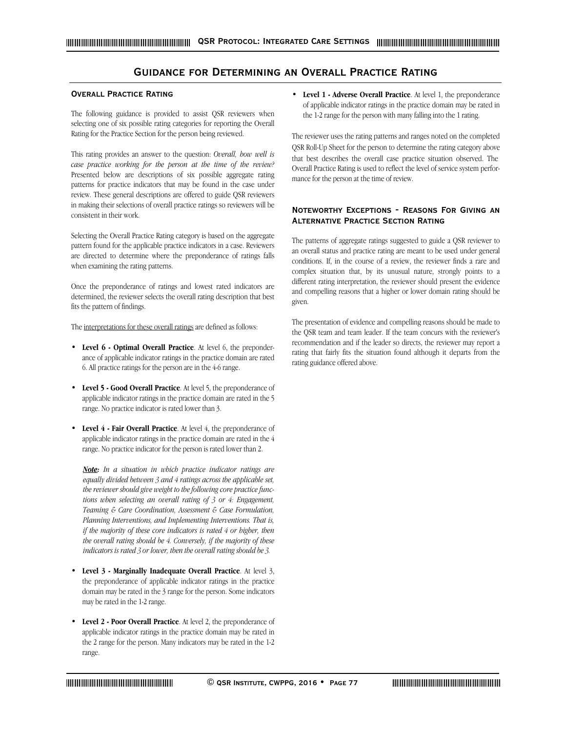# **Guidance for Determining an Overall Practice Rating**

#### **Overall Practice Rating**

The following guidance is provided to assist QSR reviewers when selecting one of six possible rating categories for reporting the Overall Rating for the Practice Section for the person being reviewed.

This rating provides an answer to the question: *Overall, how well is case practice working for the person at the time of the review?* Presented below are descriptions of six possible aggregate rating patterns for practice indicators that may be found in the case under review. These general descriptions are offered to guide QSR reviewers in making their selections of overall practice ratings so reviewers will be consistent in their work.

Selecting the Overall Practice Rating category is based on the aggregate pattern found for the applicable practice indicators in a case. Reviewers are directed to determine where the preponderance of ratings falls when examining the rating patterns.

Once the preponderance of ratings and lowest rated indicators are determined, the reviewer selects the overall rating description that best fits the pattern of findings.

The interpretations for these overall ratings are defined as follows:

- **Level 6 Optimal Overall Practice**. At level 6, the preponderance of applicable indicator ratings in the practice domain are rated 6. All practice ratings for the person are in the 4-6 range.
- **Level 5 Good Overall Practice**. At level 5, the preponderance of applicable indicator ratings in the practice domain are rated in the 5 range. No practice indicator is rated lower than 3.
- Level 4 Fair Overall Practice. At level 4, the preponderance of applicable indicator ratings in the practice domain are rated in the 4 range. No practice indicator for the person is rated lower than 2.

*Note: In a situation in which practice indicator ratings are equally divided between 3 and 4 ratings across the applicable set, the reviewer should give weight to the following core practice functions when selecting an overall rating of 3 or 4: Engagement, Teaming & Care Coordination, Assessment & Case Formulation, Planning Interventions, and Implementing Interventions. That is, if the majority of these core indicators is rated 4 or higher, then the overall rating should be 4. Conversely, if the majority of these indicators is rated 3 or lower, then the overall rating should be 3.* 

- **Level 3 Marginally Inadequate Overall Practice**. At level 3, the preponderance of applicable indicator ratings in the practice domain may be rated in the 3 range for the person. Some indicators may be rated in the 1-2 range.
- **Level 2 Poor Overall Practice**. At level 2, the preponderance of applicable indicator ratings in the practice domain may be rated in the 2 range for the person. Many indicators may be rated in the 1-2 range.

• **Level 1 - Adverse Overall Practice**. At level 1, the preponderance of applicable indicator ratings in the practice domain may be rated in the 1-2 range for the person with many falling into the 1 rating.

The reviewer uses the rating patterns and ranges noted on the completed QSR Roll-Up Sheet for the person to determine the rating category above that best describes the overall case practice situation observed. The Overall Practice Rating is used to reflect the level of service system performance for the person at the time of review.

### **Noteworthy Exceptions - Reasons For Giving an Alternative Practice Section Rating**

The patterns of aggregate ratings suggested to guide a QSR reviewer to an overall status and practice rating are meant to be used under general conditions. If, in the course of a review, the reviewer finds a rare and complex situation that, by its unusual nature, strongly points to a different rating interpretation, the reviewer should present the evidence and compelling reasons that a higher or lower domain rating should be given.

The presentation of evidence and compelling reasons should be made to the QSR team and team leader. If the team concurs with the reviewer's recommendation and if the leader so directs, the reviewer may report a rating that fairly fits the situation found although it departs from the rating guidance offered above.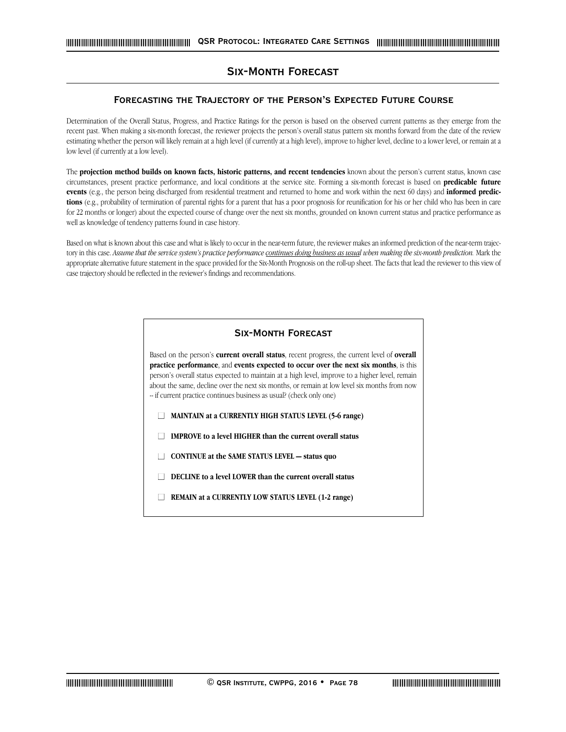# **Six-Month Forecast**

### **Forecasting the Trajectory of the Person's Expected Future Course**

Determination of the Overall Status, Progress, and Practice Ratings for the person is based on the observed current patterns as they emerge from the recent past. When making a six-month forecast, the reviewer projects the person's overall status pattern six months forward from the date of the review estimating whether the person will likely remain at a high level (if currently at a high level), improve to higher level, decline to a lower level, or remain at a low level (if currently at a low level).

The **projection method builds on known facts, historic patterns, and recent tendencies** known about the person's current status, known case circumstances, present practice performance, and local conditions at the service site. Forming a six-month forecast is based on **predicable future events** (e.g., the person being discharged from residential treatment and returned to home and work within the next 60 days) and **informed predictions** (e.g., probability of termination of parental rights for a parent that has a poor prognosis for reunification for his or her child who has been in care for 22 months or longer) about the expected course of change over the next six months, grounded on known current status and practice performance as well as knowledge of tendency patterns found in case history.

Based on what is known about this case and what is likely to occur in the near-term future, the reviewer makes an informed prediction of the near-term trajectory in this case. Assume that the service system's practice performance continues doing business as usual when making the six-month prediction. Mark the appropriate alternative future statement in the space provided for the Six-Month Prognosis on the roll-up sheet. The facts that lead the reviewer to this view of case trajectory should be reflected in the reviewer's findings and recommendations.

# **Six-Month Forecast**

Based on the person's **current overall status**, recent progress, the current level of **overall practice performance**, and **events expected to occur over the next six months**, is this person's overall status expected to maintain at a high level, improve to a higher level, remain about the same, decline over the next six months, or remain at low level six months from now -- if current practice continues business as usual? (check only one)

- **MAINTAIN at a CURRENTLY HIGH STATUS LEVEL (5-6 range)**
- $\Box$  **IMPROVE** to a level HIGHER than the current overall status
- □ **CONTINUE at the SAME STATUS LEVEL** − status quo
- **DECLINE to a level LOWER than the current overall status**
- **REMAIN at a CURRENTLY LOW STATUS LEVEL (1-2 range)**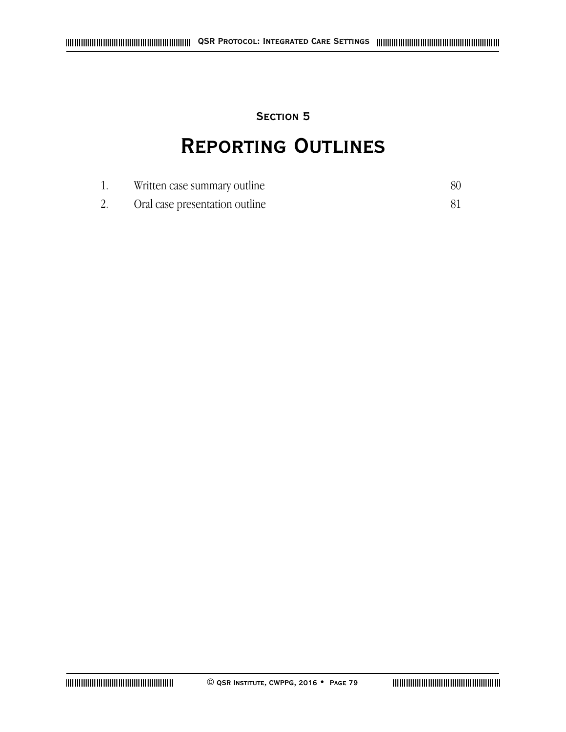# **Section 5**

# **Reporting Outlines**

| Written case summary outline   |  |
|--------------------------------|--|
| Oral case presentation outline |  |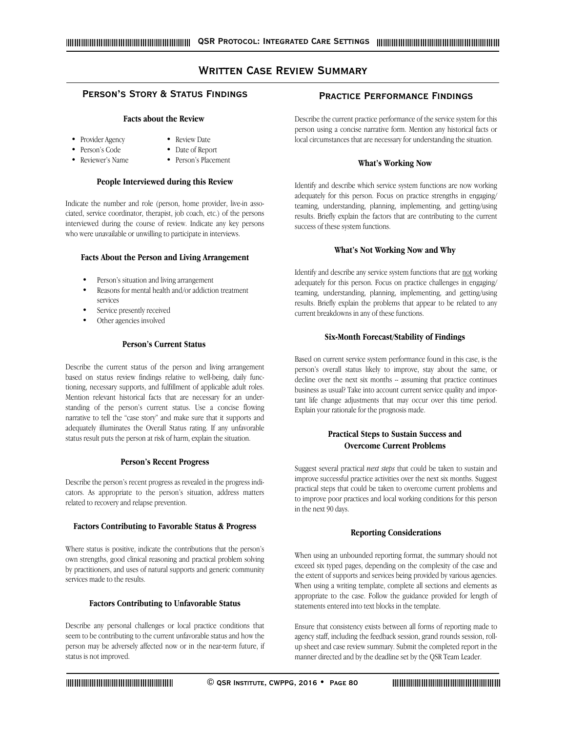# **Written Case Review Summary**

### **Person's Story & Status Findings**

#### **Facts about the Review**

- Provider Agency Review Date
- Person's Code Date of Report
- 
- 
- 
- Reviewer's Name Person's Placement

#### **People Interviewed during this Review**

Indicate the number and role (person, home provider, live-in associated, service coordinator, therapist, job coach, etc.) of the persons interviewed during the course of review. Indicate any key persons who were unavailable or unwilling to participate in interviews.

#### **Facts About the Person and Living Arrangement**

- Person's situation and living arrangement
- Reasons for mental health and/or addiction treatment services
- Service presently received
- Other agencies involved

#### **Person's Current Status**

Describe the current status of the person and living arrangement based on status review findings relative to well-being, daily functioning, necessary supports, and fulfillment of applicable adult roles. Mention relevant historical facts that are necessary for an understanding of the person's current status. Use a concise flowing narrative to tell the "case story" and make sure that it supports and adequately illuminates the Overall Status rating. If any unfavorable status result puts the person at risk of harm, explain the situation.

#### **Person's Recent Progress**

Describe the person's recent progress as revealed in the progress indicators. As appropriate to the person's situation, address matters related to recovery and relapse prevention.

#### **Factors Contributing to Favorable Status & Progress**

Where status is positive, indicate the contributions that the person's own strengths, good clinical reasoning and practical problem solving by practitioners, and uses of natural supports and generic community services made to the results.

#### **Factors Contributing to Unfavorable Status**

Describe any personal challenges or local practice conditions that seem to be contributing to the current unfavorable status and how the person may be adversely affected now or in the near-term future, if status is not improved.

### **Practice Performance Findings**

Describe the current practice performance of the service system for this person using a concise narrative form. Mention any historical facts or local circumstances that are necessary for understanding the situation.

#### **What's Working Now**

Identify and describe which service system functions are now working adequately for this person. Focus on practice strengths in engaging/ teaming, understanding, planning, implementing, and getting/using results. Briefly explain the factors that are contributing to the current success of these system functions.

#### **What's Not Working Now and Why**

Identify and describe any service system functions that are not working adequately for this person. Focus on practice challenges in engaging/ teaming, understanding, planning, implementing, and getting/using results. Briefly explain the problems that appear to be related to any current breakdowns in any of these functions.

#### **Six-Month Forecast/Stability of Findings**

Based on current service system performance found in this case, is the person's overall status likely to improve, stay about the same, or decline over the next six months -- assuming that practice continues business as usual? Take into account current service quality and important life change adjustments that may occur over this time period. Explain your rationale for the prognosis made.

### **Practical Steps to Sustain Success and Overcome Current Problems**

Suggest several practical *next steps* that could be taken to sustain and improve successful practice activities over the next six months. Suggest practical steps that could be taken to overcome current problems and to improve poor practices and local working conditions for this person in the next 90 days.

#### **Reporting Considerations**

When using an unbounded reporting format, the summary should not exceed six typed pages, depending on the complexity of the case and the extent of supports and services being provided by various agencies. When using a writing template, complete all sections and elements as appropriate to the case. Follow the guidance provided for length of statements entered into text blocks in the template.

Ensure that consistency exists between all forms of reporting made to agency staff, including the feedback session, grand rounds session, rollup sheet and case review summary. Submit the completed report in the manner directed and by the deadline set by the QSR Team Leader.